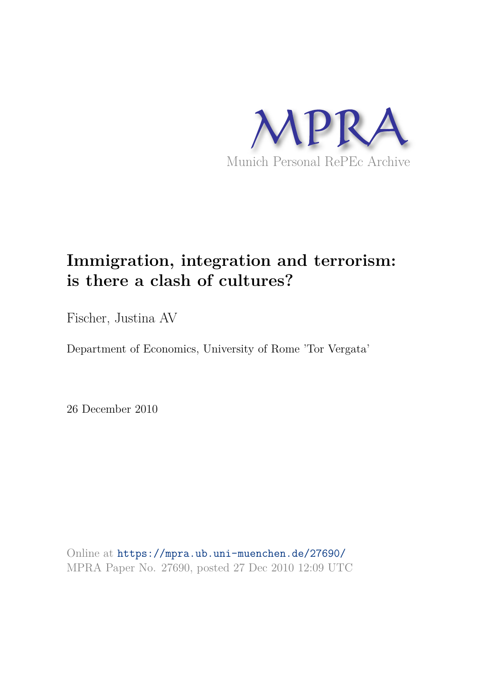

# **Immigration, integration and terrorism: is there a clash of cultures?**

Fischer, Justina AV

Department of Economics, University of Rome 'Tor Vergata'

26 December 2010

Online at https://mpra.ub.uni-muenchen.de/27690/ MPRA Paper No. 27690, posted 27 Dec 2010 12:09 UTC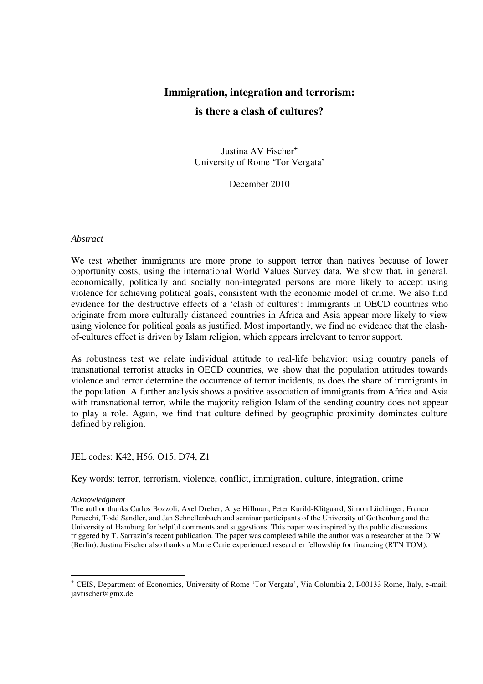### **Immigration, integration and terrorism:**

#### **is there a clash of cultures?**

Justina AV Fischer<sup>+</sup> University of Rome 'Tor Vergata'

December 2010

#### *Abstract*

We test whether immigrants are more prone to support terror than natives because of lower opportunity costs, using the international World Values Survey data. We show that, in general, economically, politically and socially non-integrated persons are more likely to accept using violence for achieving political goals, consistent with the economic model of crime. We also find evidence for the destructive effects of a 'clash of cultures': Immigrants in OECD countries who originate from more culturally distanced countries in Africa and Asia appear more likely to view using violence for political goals as justified. Most importantly, we find no evidence that the clashof-cultures effect is driven by Islam religion, which appears irrelevant to terror support.

As robustness test we relate individual attitude to real-life behavior: using country panels of transnational terrorist attacks in OECD countries, we show that the population attitudes towards violence and terror determine the occurrence of terror incidents, as does the share of immigrants in the population. A further analysis shows a positive association of immigrants from Africa and Asia with transnational terror, while the majority religion Islam of the sending country does not appear to play a role. Again, we find that culture defined by geographic proximity dominates culture defined by religion.

#### JEL codes: K42, H56, O15, D74, Z1

Key words: terror, terrorism, violence, conflict, immigration, culture, integration, crime

#### *Acknowledgment*

The author thanks Carlos Bozzoli, Axel Dreher, Arye Hillman, Peter Kurild-Klitgaard, Simon Lüchinger, Franco Peracchi, Todd Sandler, and Jan Schnellenbach and seminar participants of the University of Gothenburg and the University of Hamburg for helpful comments and suggestions. This paper was inspired by the public discussions triggered by T. Sarrazin's recent publication. The paper was completed while the author was a researcher at the DIW (Berlin). Justina Fischer also thanks a Marie Curie experienced researcher fellowship for financing (RTN TOM).

<sup>-</sup>+ CEIS, Department of Economics, University of Rome 'Tor Vergata', Via Columbia 2, I-00133 Rome, Italy, e-mail: javfischer@gmx.de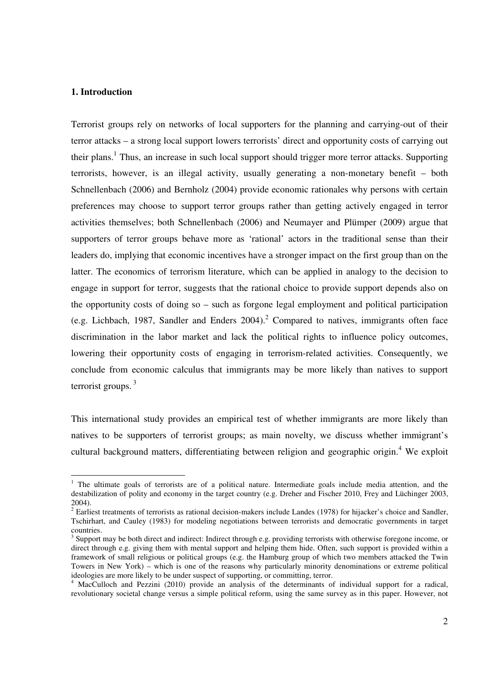#### **1. Introduction**

-

Terrorist groups rely on networks of local supporters for the planning and carrying-out of their terror attacks – a strong local support lowers terrorists' direct and opportunity costs of carrying out their plans.<sup>1</sup> Thus, an increase in such local support should trigger more terror attacks. Supporting terrorists, however, is an illegal activity, usually generating a non-monetary benefit – both Schnellenbach (2006) and Bernholz (2004) provide economic rationales why persons with certain preferences may choose to support terror groups rather than getting actively engaged in terror activities themselves; both Schnellenbach (2006) and Neumayer and Plümper (2009) argue that supporters of terror groups behave more as 'rational' actors in the traditional sense than their leaders do, implying that economic incentives have a stronger impact on the first group than on the latter. The economics of terrorism literature, which can be applied in analogy to the decision to engage in support for terror, suggests that the rational choice to provide support depends also on the opportunity costs of doing so – such as forgone legal employment and political participation (e.g. Lichbach, 1987, Sandler and Enders  $2004$ ).<sup>2</sup> Compared to natives, immigrants often face discrimination in the labor market and lack the political rights to influence policy outcomes, lowering their opportunity costs of engaging in terrorism-related activities. Consequently, we conclude from economic calculus that immigrants may be more likely than natives to support terrorist groups.  $3$ 

This international study provides an empirical test of whether immigrants are more likely than natives to be supporters of terrorist groups; as main novelty, we discuss whether immigrant's cultural background matters, differentiating between religion and geographic origin.<sup>4</sup> We exploit

<sup>&</sup>lt;sup>1</sup> The ultimate goals of terrorists are of a political nature. Intermediate goals include media attention, and the destabilization of polity and economy in the target country (e.g. Dreher and Fischer 2010, Frey and Lüchinger 2003, 2004).

 $2$  Earliest treatments of terrorists as rational decision-makers include Landes (1978) for hijacker's choice and Sandler, Tschirhart, and Cauley (1983) for modeling negotiations between terrorists and democratic governments in target countries.

<sup>&</sup>lt;sup>3</sup> Support may be both direct and indirect: Indirect through e.g. providing terrorists with otherwise foregone income, or direct through e.g. giving them with mental support and helping them hide. Often, such support is provided within a framework of small religious or political groups (e.g. the Hamburg group of which two members attacked the Twin Towers in New York) – which is one of the reasons why particularly minority denominations or extreme political ideologies are more likely to be under suspect of supporting, or committing, terror.

<sup>&</sup>lt;sup>4</sup> MacCulloch and Pezzini (2010) provide an analysis of the determinants of individual support for a radical, revolutionary societal change versus a simple political reform, using the same survey as in this paper. However, not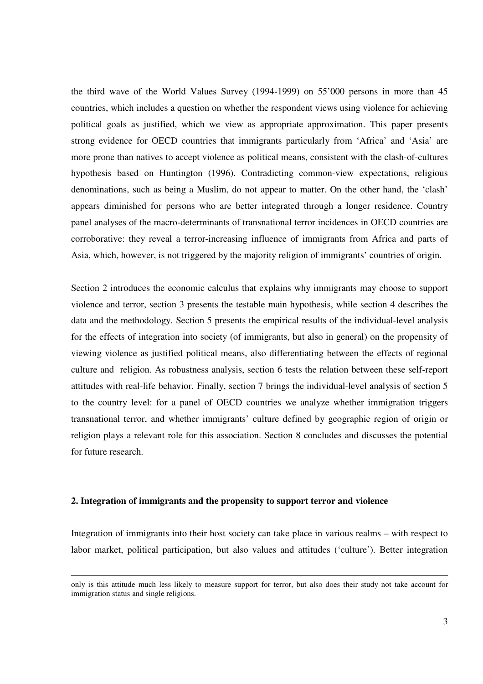the third wave of the World Values Survey (1994-1999) on 55'000 persons in more than 45 countries, which includes a question on whether the respondent views using violence for achieving political goals as justified, which we view as appropriate approximation. This paper presents strong evidence for OECD countries that immigrants particularly from 'Africa' and 'Asia' are more prone than natives to accept violence as political means, consistent with the clash-of-cultures hypothesis based on Huntington (1996). Contradicting common-view expectations, religious denominations, such as being a Muslim, do not appear to matter. On the other hand, the 'clash' appears diminished for persons who are better integrated through a longer residence. Country panel analyses of the macro-determinants of transnational terror incidences in OECD countries are corroborative: they reveal a terror-increasing influence of immigrants from Africa and parts of Asia, which, however, is not triggered by the majority religion of immigrants' countries of origin.

Section 2 introduces the economic calculus that explains why immigrants may choose to support violence and terror, section 3 presents the testable main hypothesis, while section 4 describes the data and the methodology. Section 5 presents the empirical results of the individual-level analysis for the effects of integration into society (of immigrants, but also in general) on the propensity of viewing violence as justified political means, also differentiating between the effects of regional culture and religion. As robustness analysis, section 6 tests the relation between these self-report attitudes with real-life behavior. Finally, section 7 brings the individual-level analysis of section 5 to the country level: for a panel of OECD countries we analyze whether immigration triggers transnational terror, and whether immigrants' culture defined by geographic region of origin or religion plays a relevant role for this association. Section 8 concludes and discusses the potential for future research.

#### **2. Integration of immigrants and the propensity to support terror and violence**

l

Integration of immigrants into their host society can take place in various realms – with respect to labor market, political participation, but also values and attitudes ('culture'). Better integration

only is this attitude much less likely to measure support for terror, but also does their study not take account for immigration status and single religions.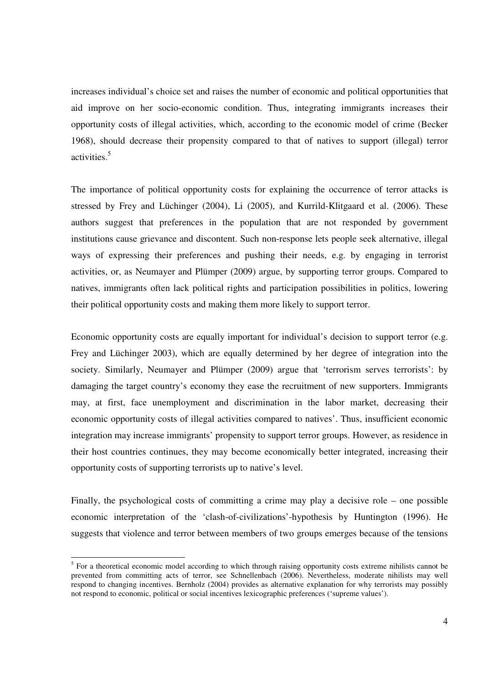increases individual's choice set and raises the number of economic and political opportunities that aid improve on her socio-economic condition. Thus, integrating immigrants increases their opportunity costs of illegal activities, which, according to the economic model of crime (Becker 1968), should decrease their propensity compared to that of natives to support (illegal) terror activities.<sup>5</sup>

The importance of political opportunity costs for explaining the occurrence of terror attacks is stressed by Frey and Lüchinger (2004), Li (2005), and Kurrild-Klitgaard et al. (2006). These authors suggest that preferences in the population that are not responded by government institutions cause grievance and discontent. Such non-response lets people seek alternative, illegal ways of expressing their preferences and pushing their needs, e.g. by engaging in terrorist activities, or, as Neumayer and Plümper (2009) argue, by supporting terror groups. Compared to natives, immigrants often lack political rights and participation possibilities in politics, lowering their political opportunity costs and making them more likely to support terror.

Economic opportunity costs are equally important for individual's decision to support terror (e.g. Frey and Lüchinger 2003), which are equally determined by her degree of integration into the society. Similarly, Neumayer and Plümper (2009) argue that 'terrorism serves terrorists': by damaging the target country's economy they ease the recruitment of new supporters. Immigrants may, at first, face unemployment and discrimination in the labor market, decreasing their economic opportunity costs of illegal activities compared to natives'. Thus, insufficient economic integration may increase immigrants' propensity to support terror groups. However, as residence in their host countries continues, they may become economically better integrated, increasing their opportunity costs of supporting terrorists up to native's level.

Finally, the psychological costs of committing a crime may play a decisive role – one possible economic interpretation of the 'clash-of-civilizations'-hypothesis by Huntington (1996). He suggests that violence and terror between members of two groups emerges because of the tensions

<sup>&</sup>lt;sup>5</sup> For a theoretical economic model according to which through raising opportunity costs extreme nihilists cannot be prevented from committing acts of terror, see Schnellenbach (2006). Nevertheless, moderate nihilists may well respond to changing incentives. Bernholz (2004) provides as alternative explanation for why terrorists may possibly not respond to economic, political or social incentives lexicographic preferences ('supreme values').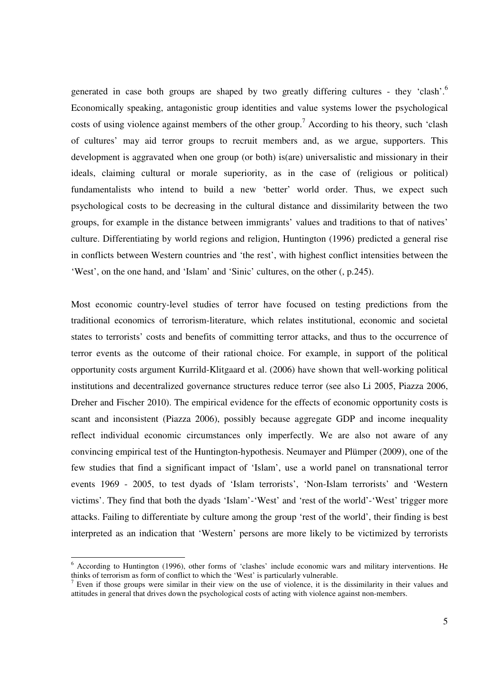generated in case both groups are shaped by two greatly differing cultures - they 'clash'.<sup>6</sup> Economically speaking, antagonistic group identities and value systems lower the psychological costs of using violence against members of the other group.<sup>7</sup> According to his theory, such 'clash of cultures' may aid terror groups to recruit members and, as we argue, supporters. This development is aggravated when one group (or both) is(are) universalistic and missionary in their ideals, claiming cultural or morale superiority, as in the case of (religious or political) fundamentalists who intend to build a new 'better' world order. Thus, we expect such psychological costs to be decreasing in the cultural distance and dissimilarity between the two groups, for example in the distance between immigrants' values and traditions to that of natives' culture. Differentiating by world regions and religion, Huntington (1996) predicted a general rise in conflicts between Western countries and 'the rest', with highest conflict intensities between the 'West', on the one hand, and 'Islam' and 'Sinic' cultures, on the other (, p.245).

Most economic country-level studies of terror have focused on testing predictions from the traditional economics of terrorism-literature, which relates institutional, economic and societal states to terrorists' costs and benefits of committing terror attacks, and thus to the occurrence of terror events as the outcome of their rational choice. For example, in support of the political opportunity costs argument Kurrild-Klitgaard et al. (2006) have shown that well-working political institutions and decentralized governance structures reduce terror (see also Li 2005, Piazza 2006, Dreher and Fischer 2010). The empirical evidence for the effects of economic opportunity costs is scant and inconsistent (Piazza 2006), possibly because aggregate GDP and income inequality reflect individual economic circumstances only imperfectly. We are also not aware of any convincing empirical test of the Huntington-hypothesis. Neumayer and Plümper (2009), one of the few studies that find a significant impact of 'Islam', use a world panel on transnational terror events 1969 - 2005, to test dyads of 'Islam terrorists', 'Non-Islam terrorists' and 'Western victims'. They find that both the dyads 'Islam'-'West' and 'rest of the world'-'West' trigger more attacks. Failing to differentiate by culture among the group 'rest of the world', their finding is best interpreted as an indication that 'Western' persons are more likely to be victimized by terrorists

<sup>&</sup>lt;sup>6</sup> According to Huntington (1996), other forms of 'clashes' include economic wars and military interventions. He thinks of terrorism as form of conflict to which the 'West' is particularly vulnerable.

<sup>&</sup>lt;sup>7</sup> Even if those groups were similar in their view on the use of violence, it is the dissimilarity in their values and attitudes in general that drives down the psychological costs of acting with violence against non-members.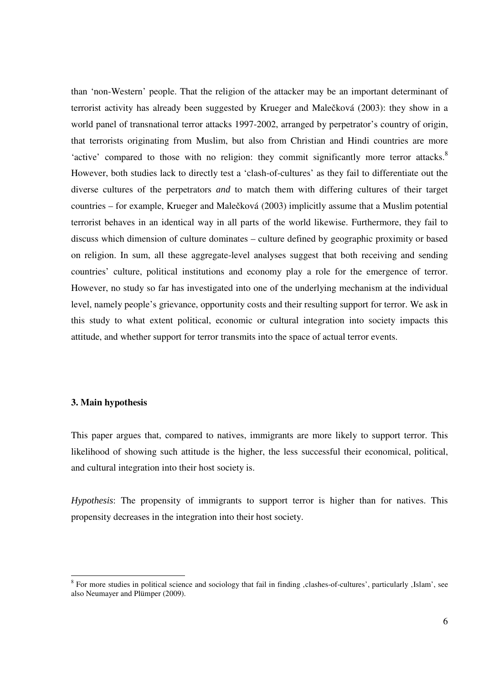than 'non-Western' people. That the religion of the attacker may be an important determinant of terrorist activity has already been suggested by Krueger and Malečková (2003): they show in a world panel of transnational terror attacks 1997-2002, arranged by perpetrator's country of origin, that terrorists originating from Muslim, but also from Christian and Hindi countries are more 'active' compared to those with no religion: they commit significantly more terror attacks.<sup>8</sup> However, both studies lack to directly test a 'clash-of-cultures' as they fail to differentiate out the diverse cultures of the perpetrators *and* to match them with differing cultures of their target countries – for example, Krueger and Malečková (2003) implicitly assume that a Muslim potential terrorist behaves in an identical way in all parts of the world likewise. Furthermore, they fail to discuss which dimension of culture dominates – culture defined by geographic proximity or based on religion. In sum, all these aggregate-level analyses suggest that both receiving and sending countries' culture, political institutions and economy play a role for the emergence of terror. However, no study so far has investigated into one of the underlying mechanism at the individual level, namely people's grievance, opportunity costs and their resulting support for terror. We ask in this study to what extent political, economic or cultural integration into society impacts this attitude, and whether support for terror transmits into the space of actual terror events.

#### **3. Main hypothesis**

This paper argues that, compared to natives, immigrants are more likely to support terror. This likelihood of showing such attitude is the higher, the less successful their economical, political, and cultural integration into their host society is.

*Hypothesis*: The propensity of immigrants to support terror is higher than for natives. This propensity decreases in the integration into their host society.

<sup>&</sup>lt;sup>8</sup> For more studies in political science and sociology that fail in finding , clashes-of-cultures', particularly , Islam', see also Neumayer and Plümper (2009).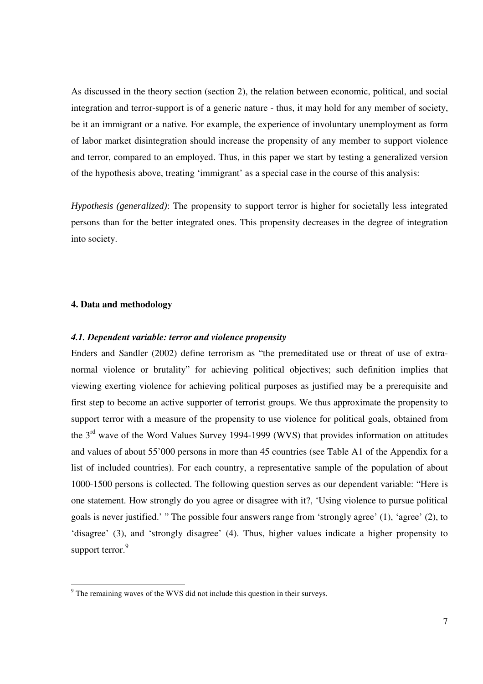As discussed in the theory section (section 2), the relation between economic, political, and social integration and terror-support is of a generic nature - thus, it may hold for any member of society, be it an immigrant or a native. For example, the experience of involuntary unemployment as form of labor market disintegration should increase the propensity of any member to support violence and terror, compared to an employed. Thus, in this paper we start by testing a generalized version of the hypothesis above, treating 'immigrant' as a special case in the course of this analysis:

*Hypothesis (generalized)*: The propensity to support terror is higher for societally less integrated persons than for the better integrated ones. This propensity decreases in the degree of integration into society.

#### **4. Data and methodology**

#### *4.1. Dependent variable: terror and violence propensity*

Enders and Sandler (2002) define terrorism as "the premeditated use or threat of use of extranormal violence or brutality" for achieving political objectives; such definition implies that viewing exerting violence for achieving political purposes as justified may be a prerequisite and first step to become an active supporter of terrorist groups. We thus approximate the propensity to support terror with a measure of the propensity to use violence for political goals, obtained from the  $3<sup>rd</sup>$  wave of the Word Values Survey 1994-1999 (WVS) that provides information on attitudes and values of about 55'000 persons in more than 45 countries (see Table A1 of the Appendix for a list of included countries). For each country, a representative sample of the population of about 1000-1500 persons is collected. The following question serves as our dependent variable: "Here is one statement. How strongly do you agree or disagree with it?, 'Using violence to pursue political goals is never justified.' " The possible four answers range from 'strongly agree' (1), 'agree' (2), to 'disagree' (3), and 'strongly disagree' (4). Thus, higher values indicate a higher propensity to support terror.<sup>9</sup>

The remaining waves of the WVS did not include this question in their surveys.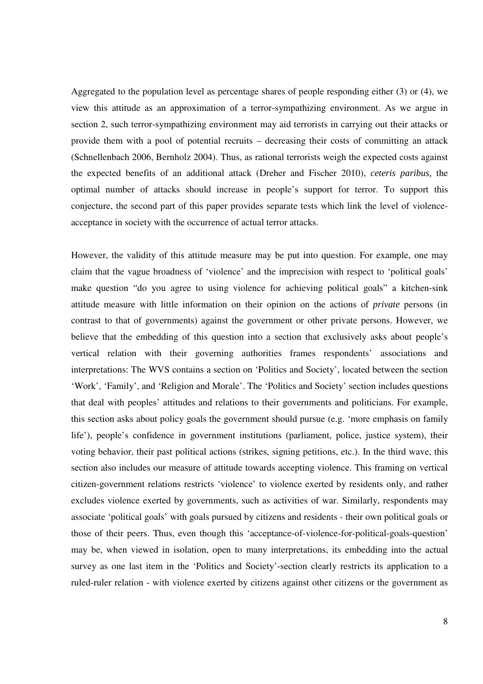Aggregated to the population level as percentage shares of people responding either (3) or (4), we view this attitude as an approximation of a terror-sympathizing environment. As we argue in section 2, such terror-sympathizing environment may aid terrorists in carrying out their attacks or provide them with a pool of potential recruits – decreasing their costs of committing an attack (Schnellenbach 2006, Bernholz 2004). Thus, as rational terrorists weigh the expected costs against the expected benefits of an additional attack (Dreher and Fischer 2010), *ceteris paribus,* the optimal number of attacks should increase in people's support for terror. To support this conjecture, the second part of this paper provides separate tests which link the level of violenceacceptance in society with the occurrence of actual terror attacks.

However, the validity of this attitude measure may be put into question. For example, one may claim that the vague broadness of 'violence' and the imprecision with respect to 'political goals' make question "do you agree to using violence for achieving political goals" a kitchen-sink attitude measure with little information on their opinion on the actions of *private* persons (in contrast to that of governments) against the government or other private persons. However, we believe that the embedding of this question into a section that exclusively asks about people's vertical relation with their governing authorities frames respondents' associations and interpretations: The WVS contains a section on 'Politics and Society', located between the section 'Work', 'Family', and 'Religion and Morale'. The 'Politics and Society' section includes questions that deal with peoples' attitudes and relations to their governments and politicians. For example, this section asks about policy goals the government should pursue (e.g. 'more emphasis on family life'), people's confidence in government institutions (parliament, police, justice system), their voting behavior, their past political actions (strikes, signing petitions, etc.). In the third wave, this section also includes our measure of attitude towards accepting violence. This framing on vertical citizen-government relations restricts 'violence' to violence exerted by residents only, and rather excludes violence exerted by governments, such as activities of war. Similarly, respondents may associate 'political goals' with goals pursued by citizens and residents - their own political goals or those of their peers. Thus, even though this 'acceptance-of-violence-for-political-goals-question' may be, when viewed in isolation, open to many interpretations, its embedding into the actual survey as one last item in the 'Politics and Society'-section clearly restricts its application to a ruled-ruler relation - with violence exerted by citizens against other citizens or the government as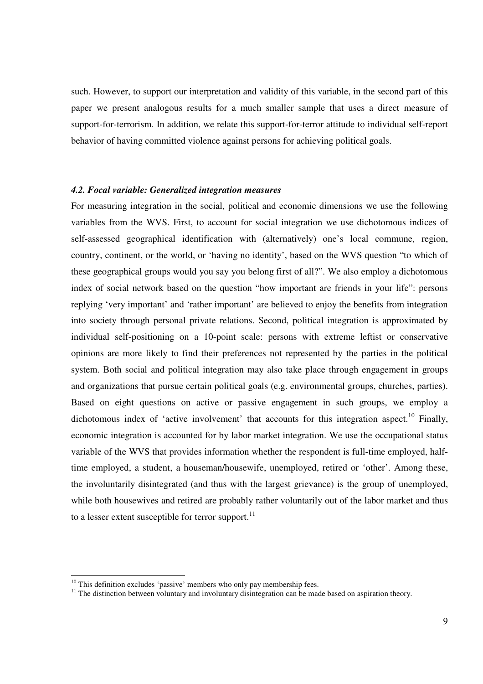such. However, to support our interpretation and validity of this variable, in the second part of this paper we present analogous results for a much smaller sample that uses a direct measure of support-for-terrorism. In addition, we relate this support-for-terror attitude to individual self-report behavior of having committed violence against persons for achieving political goals.

#### *4.2. Focal variable: Generalized integration measures*

For measuring integration in the social, political and economic dimensions we use the following variables from the WVS. First, to account for social integration we use dichotomous indices of self-assessed geographical identification with (alternatively) one's local commune, region, country, continent, or the world, or 'having no identity', based on the WVS question "to which of these geographical groups would you say you belong first of all?". We also employ a dichotomous index of social network based on the question "how important are friends in your life": persons replying 'very important' and 'rather important' are believed to enjoy the benefits from integration into society through personal private relations. Second, political integration is approximated by individual self-positioning on a 10-point scale: persons with extreme leftist or conservative opinions are more likely to find their preferences not represented by the parties in the political system. Both social and political integration may also take place through engagement in groups and organizations that pursue certain political goals (e.g. environmental groups, churches, parties). Based on eight questions on active or passive engagement in such groups, we employ a dichotomous index of 'active involvement' that accounts for this integration aspect.<sup>10</sup> Finally, economic integration is accounted for by labor market integration. We use the occupational status variable of the WVS that provides information whether the respondent is full-time employed, halftime employed, a student, a houseman/housewife, unemployed, retired or 'other'. Among these, the involuntarily disintegrated (and thus with the largest grievance) is the group of unemployed, while both housewives and retired are probably rather voluntarily out of the labor market and thus to a lesser extent susceptible for terror support. $^{11}$ 

 $10$  This definition excludes 'passive' members who only pay membership fees.

<sup>&</sup>lt;sup>11</sup> The distinction between voluntary and involuntary disintegration can be made based on aspiration theory.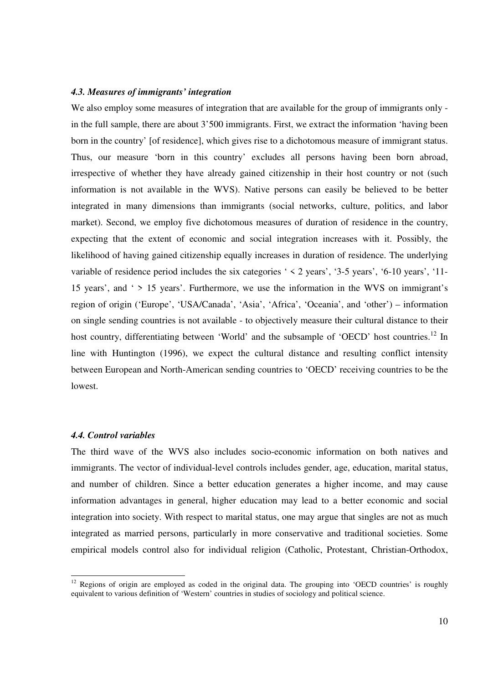#### *4.3. Measures of immigrants' integration*

We also employ some measures of integration that are available for the group of immigrants only in the full sample, there are about 3'500 immigrants. First, we extract the information 'having been born in the country' [of residence], which gives rise to a dichotomous measure of immigrant status. Thus, our measure 'born in this country' excludes all persons having been born abroad, irrespective of whether they have already gained citizenship in their host country or not (such information is not available in the WVS). Native persons can easily be believed to be better integrated in many dimensions than immigrants (social networks, culture, politics, and labor market). Second, we employ five dichotomous measures of duration of residence in the country, expecting that the extent of economic and social integration increases with it. Possibly, the likelihood of having gained citizenship equally increases in duration of residence. The underlying variable of residence period includes the six categories ' < 2 years', '3-5 years', '6-10 years', '11- 15 years', and ' > 15 years'. Furthermore, we use the information in the WVS on immigrant's region of origin ('Europe', 'USA/Canada', 'Asia', 'Africa', 'Oceania', and 'other') – information on single sending countries is not available - to objectively measure their cultural distance to their host country, differentiating between 'World' and the subsample of 'OECD' host countries.<sup>12</sup> In line with Huntington (1996), we expect the cultural distance and resulting conflict intensity between European and North-American sending countries to 'OECD' receiving countries to be the lowest.

#### *4.4. Control variables*

-

The third wave of the WVS also includes socio-economic information on both natives and immigrants. The vector of individual-level controls includes gender, age, education, marital status, and number of children. Since a better education generates a higher income, and may cause information advantages in general, higher education may lead to a better economic and social integration into society. With respect to marital status, one may argue that singles are not as much integrated as married persons, particularly in more conservative and traditional societies. Some empirical models control also for individual religion (Catholic, Protestant, Christian-Orthodox,

 $12$  Regions of origin are employed as coded in the original data. The grouping into 'OECD countries' is roughly equivalent to various definition of 'Western' countries in studies of sociology and political science.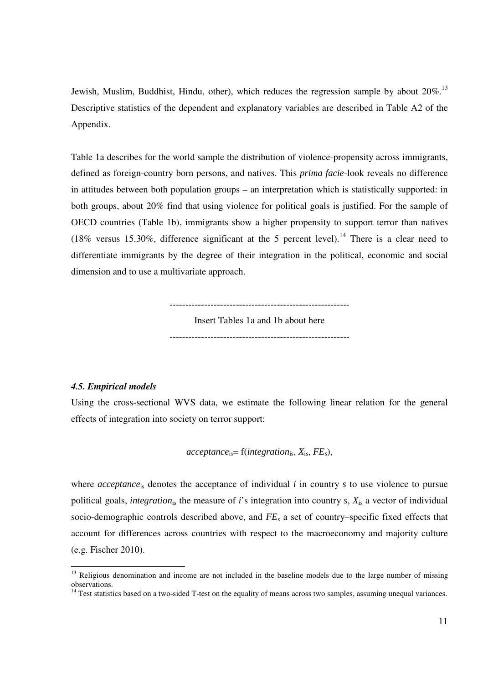Jewish, Muslim, Buddhist, Hindu, other), which reduces the regression sample by about 20%.<sup>13</sup> Descriptive statistics of the dependent and explanatory variables are described in Table A2 of the Appendix.

Table 1a describes for the world sample the distribution of violence-propensity across immigrants, defined as foreign-country born persons, and natives. This *prima facie*-look reveals no difference in attitudes between both population groups – an interpretation which is statistically supported: in both groups, about 20% find that using violence for political goals is justified. For the sample of OECD countries (Table 1b), immigrants show a higher propensity to support terror than natives (18% versus 15.30%, difference significant at the 5 percent level).<sup>14</sup> There is a clear need to differentiate immigrants by the degree of their integration in the political, economic and social dimension and to use a multivariate approach.

---------------------------------------------------------

Insert Tables 1a and 1b about here

---------------------------------------------------------

#### *4.5. Empirical models*

-

Using the cross-sectional WVS data, we estimate the following linear relation for the general effects of integration into society on terror support:

$$
acceptance_{is} = f(integration_{is}, X_{is}, FE_s),
$$

where *acceptance*<sub>is</sub> denotes the acceptance of individual *i* in country *s* to use violence to pursue political goals, *integration*<sub>is</sub> the measure of *i*'s integration into country *s*,  $X_{is}$  a vector of individual socio-demographic controls described above, and *FE<sup>s</sup>* a set of country–specific fixed effects that account for differences across countries with respect to the macroeconomy and majority culture (e.g. Fischer 2010).

<sup>&</sup>lt;sup>13</sup> Religious denomination and income are not included in the baseline models due to the large number of missing observations.

 $14$  Test statistics based on a two-sided T-test on the equality of means across two samples, assuming unequal variances.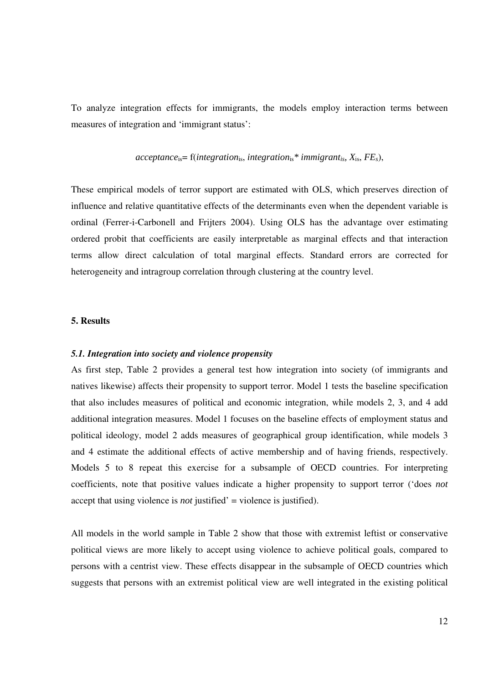To analyze integration effects for immigrants, the models employ interaction terms between measures of integration and 'immigrant status':

#### $acceptance_{is} = f(integration_{is}, integration_{is}^* \text{ } immigrant_{is}, X_{is}, FE_{s}),$

These empirical models of terror support are estimated with OLS, which preserves direction of influence and relative quantitative effects of the determinants even when the dependent variable is ordinal (Ferrer-i-Carbonell and Frijters 2004). Using OLS has the advantage over estimating ordered probit that coefficients are easily interpretable as marginal effects and that interaction terms allow direct calculation of total marginal effects. Standard errors are corrected for heterogeneity and intragroup correlation through clustering at the country level.

#### **5. Results**

#### *5.1. Integration into society and violence propensity*

As first step, Table 2 provides a general test how integration into society (of immigrants and natives likewise) affects their propensity to support terror. Model 1 tests the baseline specification that also includes measures of political and economic integration, while models 2, 3, and 4 add additional integration measures. Model 1 focuses on the baseline effects of employment status and political ideology, model 2 adds measures of geographical group identification, while models 3 and 4 estimate the additional effects of active membership and of having friends, respectively. Models 5 to 8 repeat this exercise for a subsample of OECD countries. For interpreting coefficients, note that positive values indicate a higher propensity to support terror ('does *not* accept that using violence is *not* justified' = violence is justified).

All models in the world sample in Table 2 show that those with extremist leftist or conservative political views are more likely to accept using violence to achieve political goals, compared to persons with a centrist view. These effects disappear in the subsample of OECD countries which suggests that persons with an extremist political view are well integrated in the existing political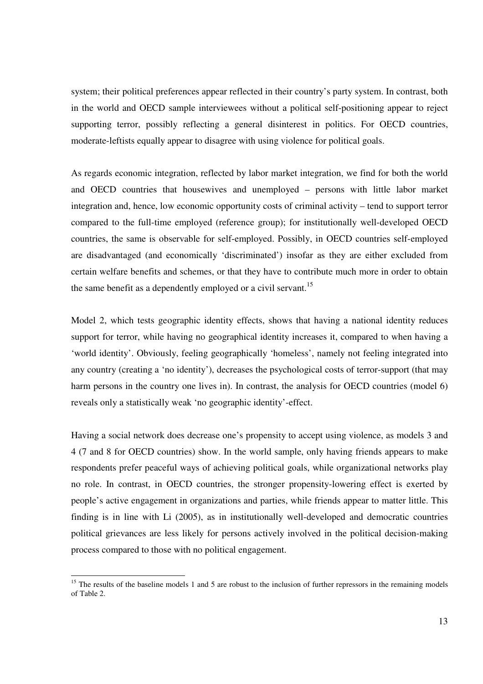system; their political preferences appear reflected in their country's party system. In contrast, both in the world and OECD sample interviewees without a political self-positioning appear to reject supporting terror, possibly reflecting a general disinterest in politics. For OECD countries, moderate-leftists equally appear to disagree with using violence for political goals.

As regards economic integration, reflected by labor market integration, we find for both the world and OECD countries that housewives and unemployed – persons with little labor market integration and, hence, low economic opportunity costs of criminal activity – tend to support terror compared to the full-time employed (reference group); for institutionally well-developed OECD countries, the same is observable for self-employed. Possibly, in OECD countries self-employed are disadvantaged (and economically 'discriminated') insofar as they are either excluded from certain welfare benefits and schemes, or that they have to contribute much more in order to obtain the same benefit as a dependently employed or a civil servant.<sup>15</sup>

Model 2, which tests geographic identity effects, shows that having a national identity reduces support for terror, while having no geographical identity increases it, compared to when having a 'world identity'. Obviously, feeling geographically 'homeless', namely not feeling integrated into any country (creating a 'no identity'), decreases the psychological costs of terror-support (that may harm persons in the country one lives in). In contrast, the analysis for OECD countries (model 6) reveals only a statistically weak 'no geographic identity'-effect.

Having a social network does decrease one's propensity to accept using violence, as models 3 and 4 (7 and 8 for OECD countries) show. In the world sample, only having friends appears to make respondents prefer peaceful ways of achieving political goals, while organizational networks play no role. In contrast, in OECD countries, the stronger propensity-lowering effect is exerted by people's active engagement in organizations and parties, while friends appear to matter little. This finding is in line with Li (2005), as in institutionally well-developed and democratic countries political grievances are less likely for persons actively involved in the political decision-making process compared to those with no political engagement.

 $15$  The results of the baseline models 1 and 5 are robust to the inclusion of further repressors in the remaining models of Table 2.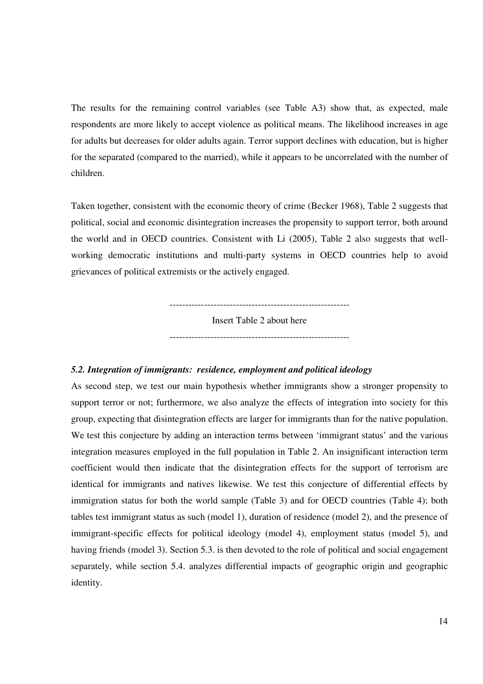The results for the remaining control variables (see Table A3) show that, as expected, male respondents are more likely to accept violence as political means. The likelihood increases in age for adults but decreases for older adults again. Terror support declines with education, but is higher for the separated (compared to the married), while it appears to be uncorrelated with the number of children.

Taken together, consistent with the economic theory of crime (Becker 1968), Table 2 suggests that political, social and economic disintegration increases the propensity to support terror, both around the world and in OECD countries. Consistent with Li (2005), Table 2 also suggests that wellworking democratic institutions and multi-party systems in OECD countries help to avoid grievances of political extremists or the actively engaged.

> --------------------------------------------------------- Insert Table 2 about here ---------------------------------------------------------

#### *5.2. Integration of immigrants: residence, employment and political ideology*

As second step, we test our main hypothesis whether immigrants show a stronger propensity to support terror or not; furthermore, we also analyze the effects of integration into society for this group, expecting that disintegration effects are larger for immigrants than for the native population. We test this conjecture by adding an interaction terms between 'immigrant status' and the various integration measures employed in the full population in Table 2. An insignificant interaction term coefficient would then indicate that the disintegration effects for the support of terrorism are identical for immigrants and natives likewise. We test this conjecture of differential effects by immigration status for both the world sample (Table 3) and for OECD countries (Table 4); both tables test immigrant status as such (model 1), duration of residence (model 2), and the presence of immigrant-specific effects for political ideology (model 4), employment status (model 5), and having friends (model 3). Section 5.3. is then devoted to the role of political and social engagement separately, while section 5.4. analyzes differential impacts of geographic origin and geographic identity.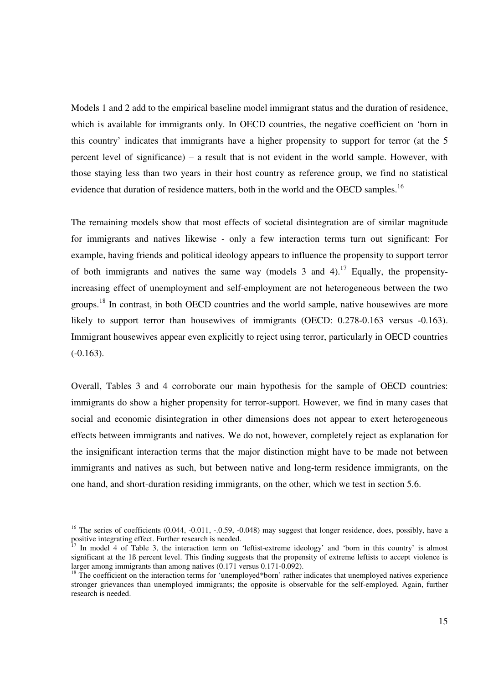Models 1 and 2 add to the empirical baseline model immigrant status and the duration of residence, which is available for immigrants only. In OECD countries, the negative coefficient on 'born in this country' indicates that immigrants have a higher propensity to support for terror (at the 5 percent level of significance) – a result that is not evident in the world sample. However, with those staying less than two years in their host country as reference group, we find no statistical evidence that duration of residence matters, both in the world and the OECD samples.<sup>16</sup>

The remaining models show that most effects of societal disintegration are of similar magnitude for immigrants and natives likewise - only a few interaction terms turn out significant: For example, having friends and political ideology appears to influence the propensity to support terror of both immigrants and natives the same way (models 3 and 4).<sup>17</sup> Equally, the propensityincreasing effect of unemployment and self-employment are not heterogeneous between the two groups.<sup>18</sup> In contrast, in both OECD countries and the world sample, native housewives are more likely to support terror than housewives of immigrants (OECD: 0.278-0.163 versus -0.163). Immigrant housewives appear even explicitly to reject using terror, particularly in OECD countries  $(-0.163)$ .

Overall, Tables 3 and 4 corroborate our main hypothesis for the sample of OECD countries: immigrants do show a higher propensity for terror-support. However, we find in many cases that social and economic disintegration in other dimensions does not appear to exert heterogeneous effects between immigrants and natives. We do not, however, completely reject as explanation for the insignificant interaction terms that the major distinction might have to be made not between immigrants and natives as such, but between native and long-term residence immigrants, on the one hand, and short-duration residing immigrants, on the other, which we test in section 5.6.

 $16$  The series of coefficients (0.044, -0.011, -.0.59, -0.048) may suggest that longer residence, does, possibly, have a positive integrating effect. Further research is needed.

In model 4 of Table 3, the interaction term on 'leftist-extreme ideology' and 'born in this country' is almost significant at the 1B percent level. This finding suggests that the propensity of extreme leftists to accept violence is larger among immigrants than among natives  $(0.171 \text{ versus } 0.171 - 0.092)$ .

<sup>&</sup>lt;sup>18</sup> The coefficient on the interaction terms for 'unemployed\*born' rather indicates that unemployed natives experience stronger grievances than unemployed immigrants; the opposite is observable for the self-employed. Again, further research is needed.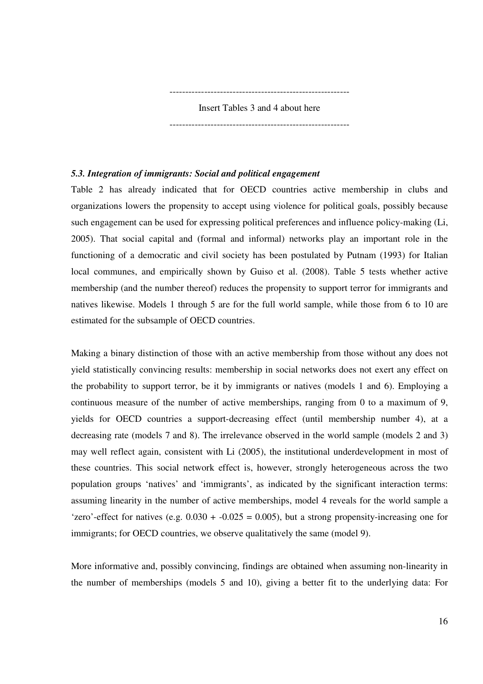---------------------------------------------------------

Insert Tables 3 and 4 about here ---------------------------------------------------------

#### *5.3. Integration of immigrants: Social and political engagement*

Table 2 has already indicated that for OECD countries active membership in clubs and organizations lowers the propensity to accept using violence for political goals, possibly because such engagement can be used for expressing political preferences and influence policy-making (Li, 2005). That social capital and (formal and informal) networks play an important role in the functioning of a democratic and civil society has been postulated by Putnam (1993) for Italian local communes, and empirically shown by Guiso et al. (2008). Table 5 tests whether active membership (and the number thereof) reduces the propensity to support terror for immigrants and natives likewise. Models 1 through 5 are for the full world sample, while those from 6 to 10 are estimated for the subsample of OECD countries.

Making a binary distinction of those with an active membership from those without any does not yield statistically convincing results: membership in social networks does not exert any effect on the probability to support terror, be it by immigrants or natives (models 1 and 6). Employing a continuous measure of the number of active memberships, ranging from 0 to a maximum of 9, yields for OECD countries a support-decreasing effect (until membership number 4), at a decreasing rate (models 7 and 8). The irrelevance observed in the world sample (models 2 and 3) may well reflect again, consistent with Li (2005), the institutional underdevelopment in most of these countries. This social network effect is, however, strongly heterogeneous across the two population groups 'natives' and 'immigrants', as indicated by the significant interaction terms: assuming linearity in the number of active memberships, model 4 reveals for the world sample a 'zero'-effect for natives (e.g.  $0.030 + -0.025 = 0.005$ ), but a strong propensity-increasing one for immigrants; for OECD countries, we observe qualitatively the same (model 9).

More informative and, possibly convincing, findings are obtained when assuming non-linearity in the number of memberships (models 5 and 10), giving a better fit to the underlying data: For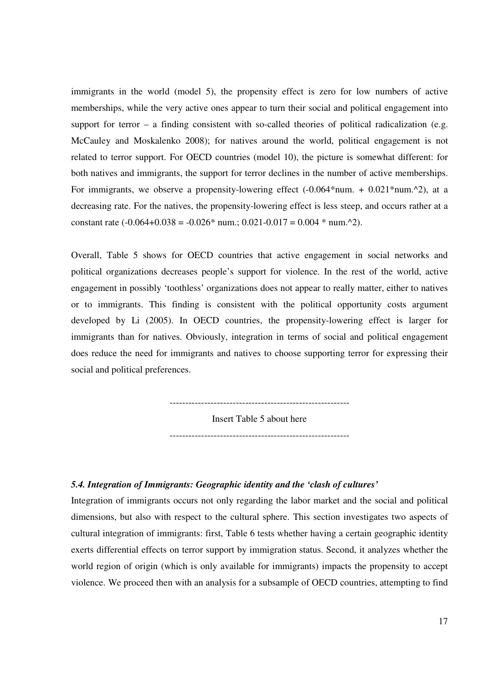immigrants in the world (model 5), the propensity effect is zero for low numbers of active memberships, while the very active ones appear to turn their social and political engagement into support for terror – a finding consistent with so-called theories of political radicalization (e.g. McCauley and Moskalenko 2008); for natives around the world, political engagement is not related to terror support. For OECD countries (model 10), the picture is somewhat different: for both natives and immigrants, the support for terror declines in the number of active memberships. For immigrants, we observe a propensity-lowering effect  $(-0.064*num + 0.021*num.^2)$ , at a decreasing rate. For the natives, the propensity-lowering effect is less steep, and occurs rather at a constant rate  $(-0.064+0.038 = -0.026*$  num.;  $0.021-0.017 = 0.004*$  num.^2).

Overall, Table 5 shows for OECD countries that active engagement in social networks and political organizations decreases people's support for violence. In the rest of the world, active engagement in possibly 'toothless' organizations does not appear to really matter, either to natives or to immigrants. This finding is consistent with the political opportunity costs argument developed by Li (2005). In OECD countries, the propensity-lowering effect is larger for immigrants than for natives. Obviously, integration in terms of social and political engagement does reduce the need for immigrants and natives to choose supporting terror for expressing their social and political preferences.

---------------------------------------------------------

Insert Table 5 about here ---------------------------------------------------------

#### *5.4. Integration of Immigrants: Geographic identity and the 'clash of cultures'*

Integration of immigrants occurs not only regarding the labor market and the social and political dimensions, but also with respect to the cultural sphere. This section investigates two aspects of cultural integration of immigrants: first, Table 6 tests whether having a certain geographic identity exerts differential effects on terror support by immigration status. Second, it analyzes whether the world region of origin (which is only available for immigrants) impacts the propensity to accept violence. We proceed then with an analysis for a subsample of OECD countries, attempting to find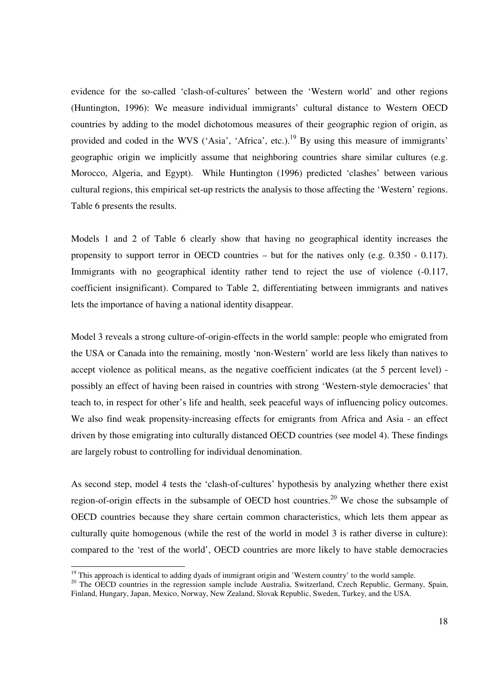evidence for the so-called 'clash-of-cultures' between the 'Western world' and other regions (Huntington, 1996): We measure individual immigrants' cultural distance to Western OECD countries by adding to the model dichotomous measures of their geographic region of origin, as provided and coded in the WVS ('Asia', 'Africa', etc.).<sup>19</sup> By using this measure of immigrants' geographic origin we implicitly assume that neighboring countries share similar cultures (e.g. Morocco, Algeria, and Egypt). While Huntington (1996) predicted 'clashes' between various cultural regions, this empirical set-up restricts the analysis to those affecting the 'Western' regions. Table 6 presents the results.

Models 1 and 2 of Table 6 clearly show that having no geographical identity increases the propensity to support terror in OECD countries – but for the natives only (e.g. 0.350 - 0.117). Immigrants with no geographical identity rather tend to reject the use of violence  $(-0.117, ...)$ coefficient insignificant). Compared to Table 2, differentiating between immigrants and natives lets the importance of having a national identity disappear.

Model 3 reveals a strong culture-of-origin-effects in the world sample: people who emigrated from the USA or Canada into the remaining, mostly 'non-Western' world are less likely than natives to accept violence as political means, as the negative coefficient indicates (at the 5 percent level) possibly an effect of having been raised in countries with strong 'Western-style democracies' that teach to, in respect for other's life and health, seek peaceful ways of influencing policy outcomes. We also find weak propensity-increasing effects for emigrants from Africa and Asia - an effect driven by those emigrating into culturally distanced OECD countries (see model 4). These findings are largely robust to controlling for individual denomination.

As second step, model 4 tests the 'clash-of-cultures' hypothesis by analyzing whether there exist region-of-origin effects in the subsample of OECD host countries.<sup>20</sup> We chose the subsample of OECD countries because they share certain common characteristics, which lets them appear as culturally quite homogenous (while the rest of the world in model 3 is rather diverse in culture): compared to the 'rest of the world', OECD countries are more likely to have stable democracies

<sup>&</sup>lt;sup>19</sup> This approach is identical to adding dyads of immigrant origin and 'Western country' to the world sample.

<sup>&</sup>lt;sup>20</sup> The OECD countries in the regression sample include Australia, Switzerland, Czech Republic, Germany, Spain, Finland, Hungary, Japan, Mexico, Norway, New Zealand, Slovak Republic, Sweden, Turkey, and the USA.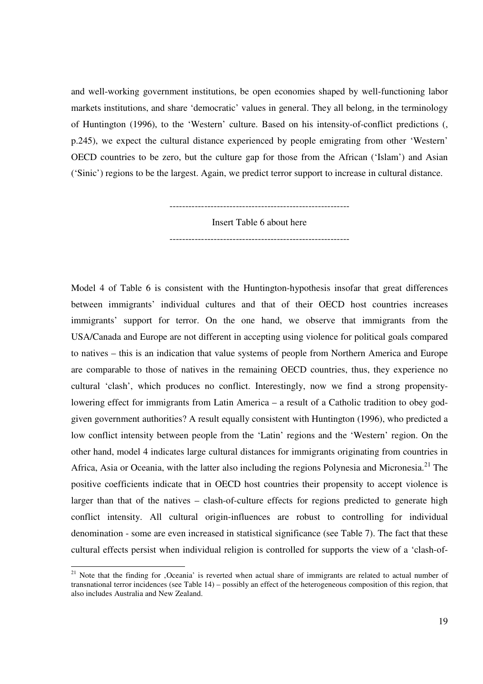and well-working government institutions, be open economies shaped by well-functioning labor markets institutions, and share 'democratic' values in general. They all belong, in the terminology of Huntington (1996), to the 'Western' culture. Based on his intensity-of-conflict predictions (, p.245), we expect the cultural distance experienced by people emigrating from other 'Western' OECD countries to be zero, but the culture gap for those from the African ('Islam') and Asian ('Sinic') regions to be the largest. Again, we predict terror support to increase in cultural distance.

> --------------------------------------------------------- Insert Table 6 about here

> ---------------------------------------------------------

Model 4 of Table 6 is consistent with the Huntington-hypothesis insofar that great differences between immigrants' individual cultures and that of their OECD host countries increases immigrants' support for terror. On the one hand, we observe that immigrants from the USA/Canada and Europe are not different in accepting using violence for political goals compared to natives – this is an indication that value systems of people from Northern America and Europe are comparable to those of natives in the remaining OECD countries, thus, they experience no cultural 'clash', which produces no conflict. Interestingly, now we find a strong propensitylowering effect for immigrants from Latin America – a result of a Catholic tradition to obey godgiven government authorities? A result equally consistent with Huntington (1996), who predicted a low conflict intensity between people from the 'Latin' regions and the 'Western' region. On the other hand, model 4 indicates large cultural distances for immigrants originating from countries in Africa, Asia or Oceania, with the latter also including the regions Polynesia and Micronesia.<sup>21</sup> The positive coefficients indicate that in OECD host countries their propensity to accept violence is larger than that of the natives – clash-of-culture effects for regions predicted to generate high conflict intensity. All cultural origin-influences are robust to controlling for individual denomination - some are even increased in statistical significance (see Table 7). The fact that these cultural effects persist when individual religion is controlled for supports the view of a 'clash-of-

<sup>&</sup>lt;sup>21</sup> Note that the finding for , Oceania' is reverted when actual share of immigrants are related to actual number of transnational terror incidences (see Table 14) – possibly an effect of the heterogeneous composition of this region, that also includes Australia and New Zealand.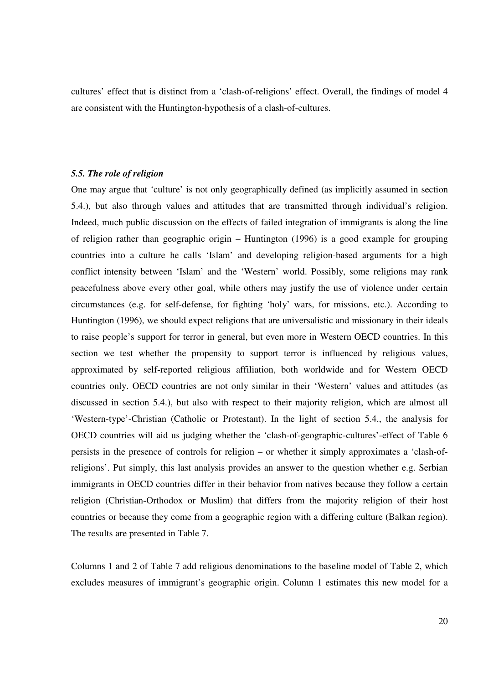cultures' effect that is distinct from a 'clash-of-religions' effect. Overall, the findings of model 4 are consistent with the Huntington-hypothesis of a clash-of-cultures.

#### *5.5. The role of religion*

One may argue that 'culture' is not only geographically defined (as implicitly assumed in section 5.4.), but also through values and attitudes that are transmitted through individual's religion. Indeed, much public discussion on the effects of failed integration of immigrants is along the line of religion rather than geographic origin – Huntington (1996) is a good example for grouping countries into a culture he calls 'Islam' and developing religion-based arguments for a high conflict intensity between 'Islam' and the 'Western' world. Possibly, some religions may rank peacefulness above every other goal, while others may justify the use of violence under certain circumstances (e.g. for self-defense, for fighting 'holy' wars, for missions, etc.). According to Huntington (1996), we should expect religions that are universalistic and missionary in their ideals to raise people's support for terror in general, but even more in Western OECD countries. In this section we test whether the propensity to support terror is influenced by religious values, approximated by self-reported religious affiliation, both worldwide and for Western OECD countries only. OECD countries are not only similar in their 'Western' values and attitudes (as discussed in section 5.4.), but also with respect to their majority religion, which are almost all 'Western-type'-Christian (Catholic or Protestant). In the light of section 5.4., the analysis for OECD countries will aid us judging whether the 'clash-of-geographic-cultures'-effect of Table 6 persists in the presence of controls for religion – or whether it simply approximates a 'clash-ofreligions'. Put simply, this last analysis provides an answer to the question whether e.g. Serbian immigrants in OECD countries differ in their behavior from natives because they follow a certain religion (Christian-Orthodox or Muslim) that differs from the majority religion of their host countries or because they come from a geographic region with a differing culture (Balkan region). The results are presented in Table 7.

Columns 1 and 2 of Table 7 add religious denominations to the baseline model of Table 2, which excludes measures of immigrant's geographic origin. Column 1 estimates this new model for a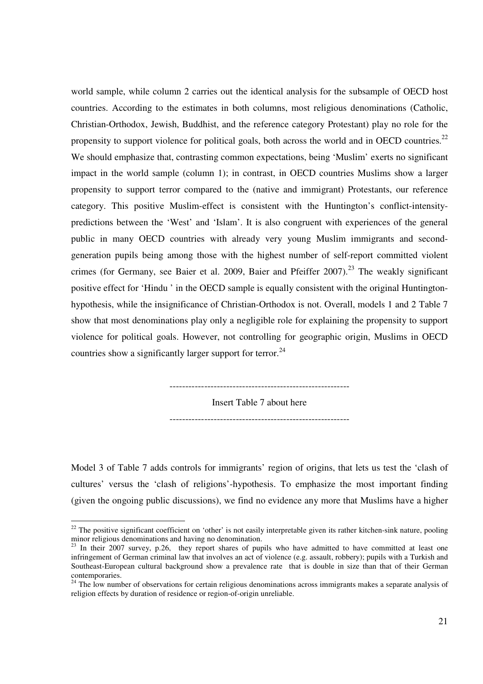world sample, while column 2 carries out the identical analysis for the subsample of OECD host countries. According to the estimates in both columns, most religious denominations (Catholic, Christian-Orthodox, Jewish, Buddhist, and the reference category Protestant) play no role for the propensity to support violence for political goals, both across the world and in OECD countries.<sup>22</sup> We should emphasize that, contrasting common expectations, being 'Muslim' exerts no significant impact in the world sample (column 1); in contrast, in OECD countries Muslims show a larger propensity to support terror compared to the (native and immigrant) Protestants, our reference category. This positive Muslim-effect is consistent with the Huntington's conflict-intensitypredictions between the 'West' and 'Islam'. It is also congruent with experiences of the general public in many OECD countries with already very young Muslim immigrants and secondgeneration pupils being among those with the highest number of self-report committed violent crimes (for Germany, see Baier et al. 2009, Baier and Pfeiffer 2007).<sup>23</sup> The weakly significant positive effect for 'Hindu ' in the OECD sample is equally consistent with the original Huntingtonhypothesis, while the insignificance of Christian-Orthodox is not. Overall, models 1 and 2 Table 7 show that most denominations play only a negligible role for explaining the propensity to support violence for political goals. However, not controlling for geographic origin, Muslims in OECD countries show a significantly larger support for terror.<sup>24</sup>

---------------------------------------------------------

Insert Table 7 about here ---------------------------------------------------------

Model 3 of Table 7 adds controls for immigrants' region of origins, that lets us test the 'clash of cultures' versus the 'clash of religions'-hypothesis. To emphasize the most important finding (given the ongoing public discussions), we find no evidence any more that Muslims have a higher

 $22$  The positive significant coefficient on 'other' is not easily interpretable given its rather kitchen-sink nature, pooling minor religious denominations and having no denomination.

 $^{23}$  In their 2007 survey, p.26, they report shares of pupils who have admitted to have committed at least one infringement of German criminal law that involves an act of violence (e.g. assault, robbery); pupils with a Turkish and Southeast-European cultural background show a prevalence rate that is double in size than that of their German contemporaries.

<sup>&</sup>lt;sup>24</sup> The low number of observations for certain religious denominations across immigrants makes a separate analysis of religion effects by duration of residence or region-of-origin unreliable.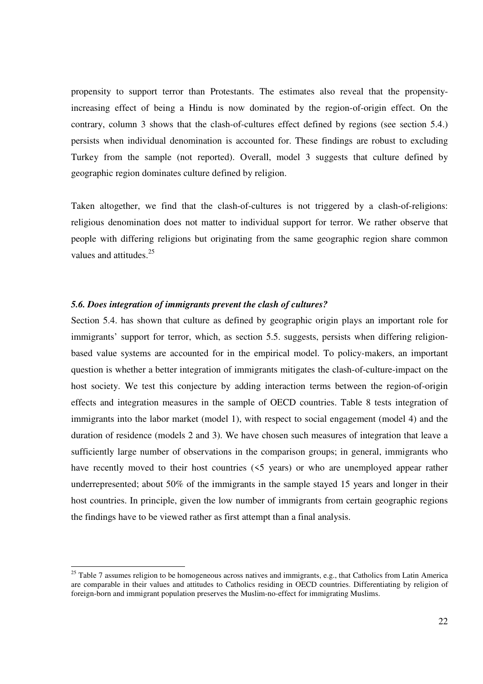propensity to support terror than Protestants. The estimates also reveal that the propensityincreasing effect of being a Hindu is now dominated by the region-of-origin effect. On the contrary, column 3 shows that the clash-of-cultures effect defined by regions (see section 5.4.) persists when individual denomination is accounted for. These findings are robust to excluding Turkey from the sample (not reported). Overall, model 3 suggests that culture defined by geographic region dominates culture defined by religion.

Taken altogether, we find that the clash-of-cultures is not triggered by a clash-of-religions: religious denomination does not matter to individual support for terror. We rather observe that people with differing religions but originating from the same geographic region share common values and attitudes.<sup>25</sup>

#### *5.6. Does integration of immigrants prevent the clash of cultures?*

-

Section 5.4. has shown that culture as defined by geographic origin plays an important role for immigrants' support for terror, which, as section 5.5. suggests, persists when differing religionbased value systems are accounted for in the empirical model. To policy-makers, an important question is whether a better integration of immigrants mitigates the clash-of-culture-impact on the host society. We test this conjecture by adding interaction terms between the region-of-origin effects and integration measures in the sample of OECD countries. Table 8 tests integration of immigrants into the labor market (model 1), with respect to social engagement (model 4) and the duration of residence (models 2 and 3). We have chosen such measures of integration that leave a sufficiently large number of observations in the comparison groups; in general, immigrants who have recently moved to their host countries ( $5$  years) or who are unemployed appear rather underrepresented; about 50% of the immigrants in the sample stayed 15 years and longer in their host countries. In principle, given the low number of immigrants from certain geographic regions the findings have to be viewed rather as first attempt than a final analysis.

<sup>&</sup>lt;sup>25</sup> Table 7 assumes religion to be homogeneous across natives and immigrants, e.g., that Catholics from Latin America are comparable in their values and attitudes to Catholics residing in OECD countries. Differentiating by religion of foreign-born and immigrant population preserves the Muslim-no-effect for immigrating Muslims.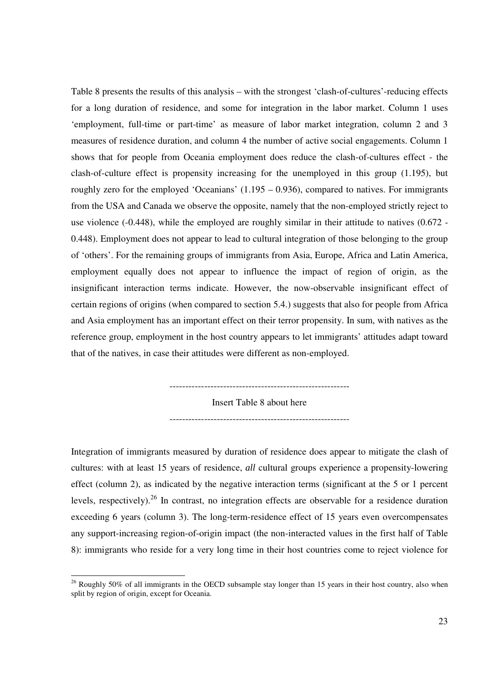Table 8 presents the results of this analysis – with the strongest 'clash-of-cultures'-reducing effects for a long duration of residence, and some for integration in the labor market. Column 1 uses 'employment, full-time or part-time' as measure of labor market integration, column 2 and 3 measures of residence duration, and column 4 the number of active social engagements. Column 1 shows that for people from Oceania employment does reduce the clash-of-cultures effect - the clash-of-culture effect is propensity increasing for the unemployed in this group (1.195), but roughly zero for the employed 'Oceanians' (1.195 – 0.936), compared to natives. For immigrants from the USA and Canada we observe the opposite, namely that the non-employed strictly reject to use violence (-0.448), while the employed are roughly similar in their attitude to natives (0.672 - 0.448). Employment does not appear to lead to cultural integration of those belonging to the group of 'others'. For the remaining groups of immigrants from Asia, Europe, Africa and Latin America, employment equally does not appear to influence the impact of region of origin, as the insignificant interaction terms indicate. However, the now-observable insignificant effect of certain regions of origins (when compared to section 5.4.) suggests that also for people from Africa and Asia employment has an important effect on their terror propensity. In sum, with natives as the reference group, employment in the host country appears to let immigrants' attitudes adapt toward that of the natives, in case their attitudes were different as non-employed.

Insert Table 8 about here

---------------------------------------------------------

---------------------------------------------------------

Integration of immigrants measured by duration of residence does appear to mitigate the clash of cultures: with at least 15 years of residence, *all* cultural groups experience a propensity-lowering effect (column 2), as indicated by the negative interaction terms (significant at the 5 or 1 percent levels, respectively).<sup>26</sup> In contrast, no integration effects are observable for a residence duration exceeding 6 years (column 3). The long-term-residence effect of 15 years even overcompensates any support-increasing region-of-origin impact (the non-interacted values in the first half of Table 8): immigrants who reside for a very long time in their host countries come to reject violence for

 $26$  Roughly 50% of all immigrants in the OECD subsample stay longer than 15 years in their host country, also when split by region of origin, except for Oceania.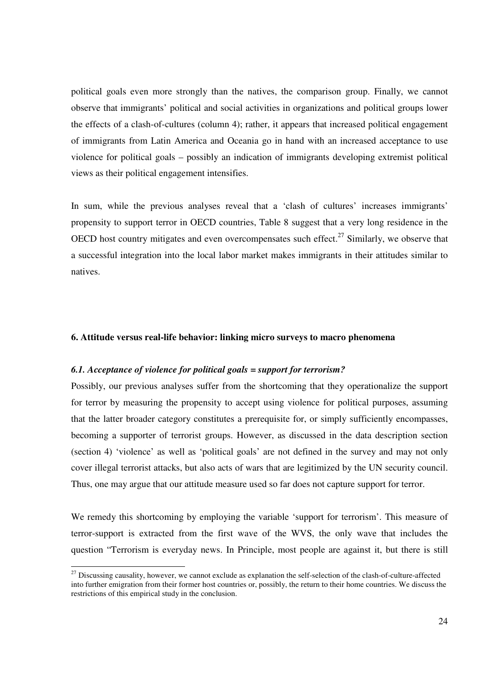political goals even more strongly than the natives, the comparison group. Finally, we cannot observe that immigrants' political and social activities in organizations and political groups lower the effects of a clash-of-cultures (column 4); rather, it appears that increased political engagement of immigrants from Latin America and Oceania go in hand with an increased acceptance to use violence for political goals – possibly an indication of immigrants developing extremist political views as their political engagement intensifies.

In sum, while the previous analyses reveal that a 'clash of cultures' increases immigrants' propensity to support terror in OECD countries, Table 8 suggest that a very long residence in the OECD host country mitigates and even overcompensates such effect.<sup>27</sup> Similarly, we observe that a successful integration into the local labor market makes immigrants in their attitudes similar to natives.

#### **6. Attitude versus real-life behavior: linking micro surveys to macro phenomena**

#### *6.1. Acceptance of violence for political goals = support for terrorism?*

-

Possibly, our previous analyses suffer from the shortcoming that they operationalize the support for terror by measuring the propensity to accept using violence for political purposes, assuming that the latter broader category constitutes a prerequisite for, or simply sufficiently encompasses, becoming a supporter of terrorist groups. However, as discussed in the data description section (section 4) 'violence' as well as 'political goals' are not defined in the survey and may not only cover illegal terrorist attacks, but also acts of wars that are legitimized by the UN security council. Thus, one may argue that our attitude measure used so far does not capture support for terror.

We remedy this shortcoming by employing the variable 'support for terrorism'. This measure of terror-support is extracted from the first wave of the WVS, the only wave that includes the question "Terrorism is everyday news. In Principle, most people are against it, but there is still

<sup>&</sup>lt;sup>27</sup> Discussing causality, however, we cannot exclude as explanation the self-selection of the clash-of-culture-affected into further emigration from their former host countries or, possibly, the return to their home countries. We discuss the restrictions of this empirical study in the conclusion.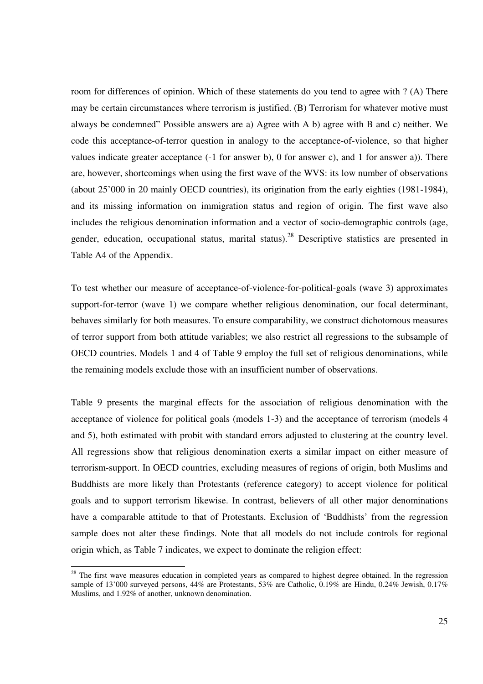room for differences of opinion. Which of these statements do you tend to agree with ? (A) There may be certain circumstances where terrorism is justified. (B) Terrorism for whatever motive must always be condemned" Possible answers are a) Agree with A b) agree with B and c) neither. We code this acceptance-of-terror question in analogy to the acceptance-of-violence, so that higher values indicate greater acceptance (-1 for answer b), 0 for answer c), and 1 for answer a)). There are, however, shortcomings when using the first wave of the WVS: its low number of observations (about 25'000 in 20 mainly OECD countries), its origination from the early eighties (1981-1984), and its missing information on immigration status and region of origin. The first wave also includes the religious denomination information and a vector of socio-demographic controls (age, gender, education, occupational status, marital status).<sup>28</sup> Descriptive statistics are presented in Table A4 of the Appendix.

To test whether our measure of acceptance-of-violence-for-political-goals (wave 3) approximates support-for-terror (wave 1) we compare whether religious denomination, our focal determinant, behaves similarly for both measures. To ensure comparability, we construct dichotomous measures of terror support from both attitude variables; we also restrict all regressions to the subsample of OECD countries. Models 1 and 4 of Table 9 employ the full set of religious denominations, while the remaining models exclude those with an insufficient number of observations.

Table 9 presents the marginal effects for the association of religious denomination with the acceptance of violence for political goals (models 1-3) and the acceptance of terrorism (models 4 and 5), both estimated with probit with standard errors adjusted to clustering at the country level. All regressions show that religious denomination exerts a similar impact on either measure of terrorism-support. In OECD countries, excluding measures of regions of origin, both Muslims and Buddhists are more likely than Protestants (reference category) to accept violence for political goals and to support terrorism likewise. In contrast, believers of all other major denominations have a comparable attitude to that of Protestants. Exclusion of 'Buddhists' from the regression sample does not alter these findings. Note that all models do not include controls for regional origin which, as Table 7 indicates, we expect to dominate the religion effect:

 $28$  The first wave measures education in completed years as compared to highest degree obtained. In the regression sample of 13'000 surveyed persons, 44% are Protestants, 53% are Catholic, 0.19% are Hindu, 0.24% Jewish, 0.17% Muslims, and 1.92% of another, unknown denomination.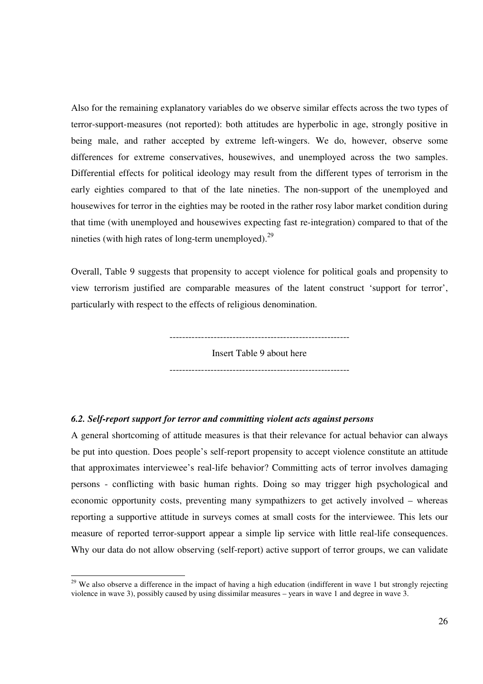Also for the remaining explanatory variables do we observe similar effects across the two types of terror-support-measures (not reported): both attitudes are hyperbolic in age, strongly positive in being male, and rather accepted by extreme left-wingers. We do, however, observe some differences for extreme conservatives, housewives, and unemployed across the two samples. Differential effects for political ideology may result from the different types of terrorism in the early eighties compared to that of the late nineties. The non-support of the unemployed and housewives for terror in the eighties may be rooted in the rather rosy labor market condition during that time (with unemployed and housewives expecting fast re-integration) compared to that of the nineties (with high rates of long-term unemployed). $^{29}$ 

Overall, Table 9 suggests that propensity to accept violence for political goals and propensity to view terrorism justified are comparable measures of the latent construct 'support for terror', particularly with respect to the effects of religious denomination.

> --------------------------------------------------------- Insert Table 9 about here

> ---------------------------------------------------------

#### *6.2. Self-report support for terror and committing violent acts against persons*

-

A general shortcoming of attitude measures is that their relevance for actual behavior can always be put into question. Does people's self-report propensity to accept violence constitute an attitude that approximates interviewee's real-life behavior? Committing acts of terror involves damaging persons - conflicting with basic human rights. Doing so may trigger high psychological and economic opportunity costs, preventing many sympathizers to get actively involved – whereas reporting a supportive attitude in surveys comes at small costs for the interviewee. This lets our measure of reported terror-support appear a simple lip service with little real-life consequences. Why our data do not allow observing (self-report) active support of terror groups, we can validate

 $29$  We also observe a difference in the impact of having a high education (indifferent in wave 1 but strongly rejecting violence in wave 3), possibly caused by using dissimilar measures – years in wave 1 and degree in wave 3.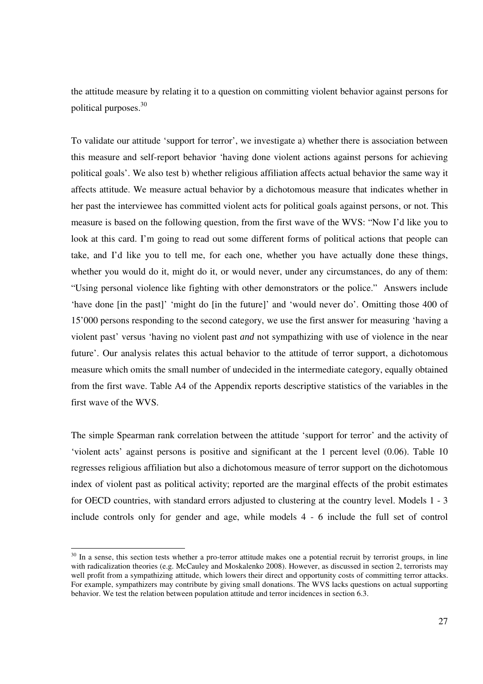the attitude measure by relating it to a question on committing violent behavior against persons for political purposes.<sup>30</sup>

To validate our attitude 'support for terror', we investigate a) whether there is association between this measure and self-report behavior 'having done violent actions against persons for achieving political goals'. We also test b) whether religious affiliation affects actual behavior the same way it affects attitude. We measure actual behavior by a dichotomous measure that indicates whether in her past the interviewee has committed violent acts for political goals against persons, or not. This measure is based on the following question, from the first wave of the WVS: "Now I'd like you to look at this card. I'm going to read out some different forms of political actions that people can take, and I'd like you to tell me, for each one, whether you have actually done these things, whether you would do it, might do it, or would never, under any circumstances, do any of them: "Using personal violence like fighting with other demonstrators or the police." Answers include 'have done [in the past]' 'might do [in the future]' and 'would never do'. Omitting those 400 of 15'000 persons responding to the second category, we use the first answer for measuring 'having a violent past' versus 'having no violent past *and* not sympathizing with use of violence in the near future'. Our analysis relates this actual behavior to the attitude of terror support, a dichotomous measure which omits the small number of undecided in the intermediate category, equally obtained from the first wave. Table A4 of the Appendix reports descriptive statistics of the variables in the first wave of the WVS.

The simple Spearman rank correlation between the attitude 'support for terror' and the activity of 'violent acts' against persons is positive and significant at the 1 percent level (0.06). Table 10 regresses religious affiliation but also a dichotomous measure of terror support on the dichotomous index of violent past as political activity; reported are the marginal effects of the probit estimates for OECD countries, with standard errors adjusted to clustering at the country level. Models 1 - 3 include controls only for gender and age, while models 4 - 6 include the full set of control

 $30$  In a sense, this section tests whether a pro-terror attitude makes one a potential recruit by terrorist groups, in line with radicalization theories (e.g. McCauley and Moskalenko 2008). However, as discussed in section 2, terrorists may well profit from a sympathizing attitude, which lowers their direct and opportunity costs of committing terror attacks. For example, sympathizers may contribute by giving small donations. The WVS lacks questions on actual supporting behavior. We test the relation between population attitude and terror incidences in section 6.3.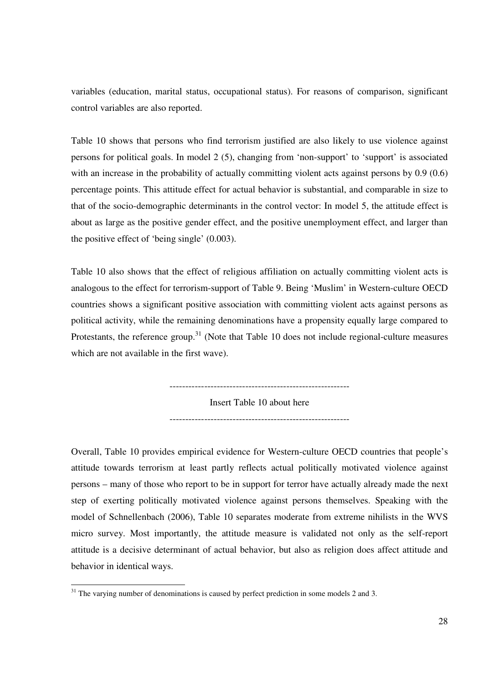variables (education, marital status, occupational status). For reasons of comparison, significant control variables are also reported.

Table 10 shows that persons who find terrorism justified are also likely to use violence against persons for political goals. In model 2 (5), changing from 'non-support' to 'support' is associated with an increase in the probability of actually committing violent acts against persons by 0.9 (0.6) percentage points. This attitude effect for actual behavior is substantial, and comparable in size to that of the socio-demographic determinants in the control vector: In model 5, the attitude effect is about as large as the positive gender effect, and the positive unemployment effect, and larger than the positive effect of 'being single' (0.003).

Table 10 also shows that the effect of religious affiliation on actually committing violent acts is analogous to the effect for terrorism-support of Table 9. Being 'Muslim' in Western-culture OECD countries shows a significant positive association with committing violent acts against persons as political activity, while the remaining denominations have a propensity equally large compared to Protestants, the reference group.<sup>31</sup> (Note that Table 10 does not include regional-culture measures which are not available in the first wave).

Insert Table 10 about here

---------------------------------------------------------

---------------------------------------------------------

Overall, Table 10 provides empirical evidence for Western-culture OECD countries that people's attitude towards terrorism at least partly reflects actual politically motivated violence against persons – many of those who report to be in support for terror have actually already made the next step of exerting politically motivated violence against persons themselves. Speaking with the model of Schnellenbach (2006), Table 10 separates moderate from extreme nihilists in the WVS micro survey. Most importantly, the attitude measure is validated not only as the self-report attitude is a decisive determinant of actual behavior, but also as religion does affect attitude and behavior in identical ways.

 $31$  The varying number of denominations is caused by perfect prediction in some models 2 and 3.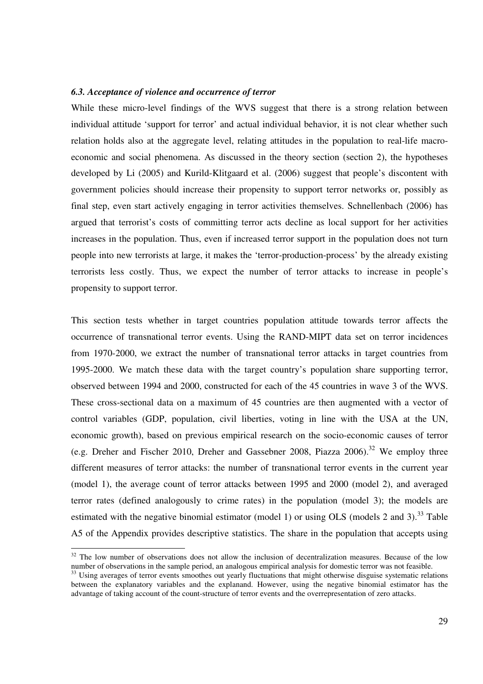#### *6.3. Acceptance of violence and occurrence of terror*

While these micro-level findings of the WVS suggest that there is a strong relation between individual attitude 'support for terror' and actual individual behavior, it is not clear whether such relation holds also at the aggregate level, relating attitudes in the population to real-life macroeconomic and social phenomena. As discussed in the theory section (section 2), the hypotheses developed by Li (2005) and Kurild-Klitgaard et al. (2006) suggest that people's discontent with government policies should increase their propensity to support terror networks or, possibly as final step, even start actively engaging in terror activities themselves. Schnellenbach (2006) has argued that terrorist's costs of committing terror acts decline as local support for her activities increases in the population. Thus, even if increased terror support in the population does not turn people into new terrorists at large, it makes the 'terror-production-process' by the already existing terrorists less costly. Thus, we expect the number of terror attacks to increase in people's propensity to support terror.

This section tests whether in target countries population attitude towards terror affects the occurrence of transnational terror events. Using the RAND-MIPT data set on terror incidences from 1970-2000, we extract the number of transnational terror attacks in target countries from 1995-2000. We match these data with the target country's population share supporting terror, observed between 1994 and 2000, constructed for each of the 45 countries in wave 3 of the WVS. These cross-sectional data on a maximum of 45 countries are then augmented with a vector of control variables (GDP, population, civil liberties, voting in line with the USA at the UN, economic growth), based on previous empirical research on the socio-economic causes of terror (e.g. Dreher and Fischer 2010, Dreher and Gassebner 2008, Piazza  $2006$ ).<sup>32</sup> We employ three different measures of terror attacks: the number of transnational terror events in the current year (model 1), the average count of terror attacks between 1995 and 2000 (model 2), and averaged terror rates (defined analogously to crime rates) in the population (model 3); the models are estimated with the negative binomial estimator (model 1) or using OLS (models 2 and 3).<sup>33</sup> Table A5 of the Appendix provides descriptive statistics. The share in the population that accepts using

 $32$  The low number of observations does not allow the inclusion of decentralization measures. Because of the low number of observations in the sample period, an analogous empirical analysis for domestic terror was not feasible.

<sup>&</sup>lt;sup>33</sup> Using averages of terror events smoothes out yearly fluctuations that might otherwise disguise systematic relations between the explanatory variables and the explanand. However, using the negative binomial estimator has the advantage of taking account of the count-structure of terror events and the overrepresentation of zero attacks.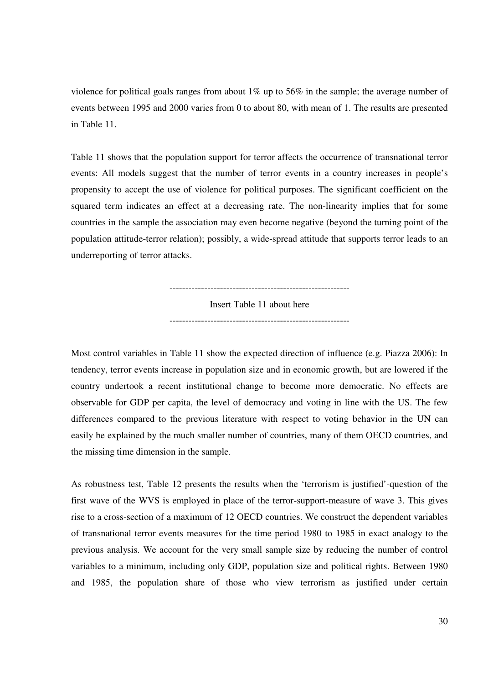violence for political goals ranges from about  $1\%$  up to 56% in the sample; the average number of events between 1995 and 2000 varies from 0 to about 80, with mean of 1. The results are presented in Table 11.

Table 11 shows that the population support for terror affects the occurrence of transnational terror events: All models suggest that the number of terror events in a country increases in people's propensity to accept the use of violence for political purposes. The significant coefficient on the squared term indicates an effect at a decreasing rate. The non-linearity implies that for some countries in the sample the association may even become negative (beyond the turning point of the population attitude-terror relation); possibly, a wide-spread attitude that supports terror leads to an underreporting of terror attacks.

> --------------------------------------------------------- Insert Table 11 about here ---------------------------------------------------------

Most control variables in Table 11 show the expected direction of influence (e.g. Piazza 2006): In tendency, terror events increase in population size and in economic growth, but are lowered if the country undertook a recent institutional change to become more democratic. No effects are observable for GDP per capita, the level of democracy and voting in line with the US. The few differences compared to the previous literature with respect to voting behavior in the UN can easily be explained by the much smaller number of countries, many of them OECD countries, and the missing time dimension in the sample.

As robustness test, Table 12 presents the results when the 'terrorism is justified'-question of the first wave of the WVS is employed in place of the terror-support-measure of wave 3. This gives rise to a cross-section of a maximum of 12 OECD countries. We construct the dependent variables of transnational terror events measures for the time period 1980 to 1985 in exact analogy to the previous analysis. We account for the very small sample size by reducing the number of control variables to a minimum, including only GDP, population size and political rights. Between 1980 and 1985, the population share of those who view terrorism as justified under certain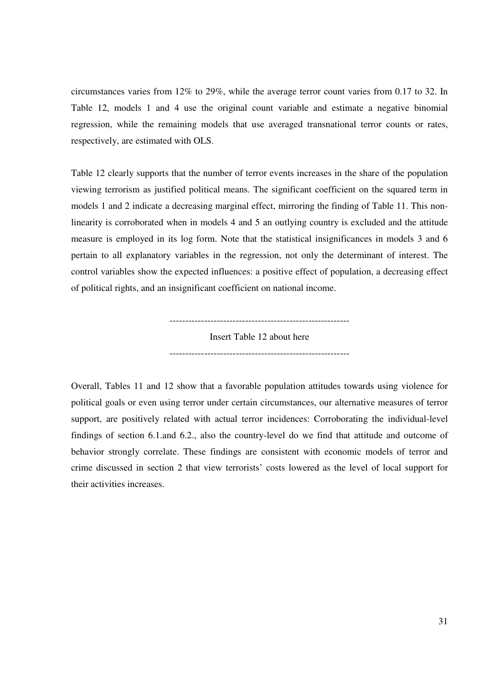circumstances varies from 12% to 29%, while the average terror count varies from 0.17 to 32. In Table 12, models 1 and 4 use the original count variable and estimate a negative binomial regression, while the remaining models that use averaged transnational terror counts or rates, respectively, are estimated with OLS.

Table 12 clearly supports that the number of terror events increases in the share of the population viewing terrorism as justified political means. The significant coefficient on the squared term in models 1 and 2 indicate a decreasing marginal effect, mirroring the finding of Table 11. This nonlinearity is corroborated when in models 4 and 5 an outlying country is excluded and the attitude measure is employed in its log form. Note that the statistical insignificances in models 3 and 6 pertain to all explanatory variables in the regression, not only the determinant of interest. The control variables show the expected influences: a positive effect of population, a decreasing effect of political rights, and an insignificant coefficient on national income.

> --------------------------------------------------------- Insert Table 12 about here ---------------------------------------------------------

Overall, Tables 11 and 12 show that a favorable population attitudes towards using violence for political goals or even using terror under certain circumstances, our alternative measures of terror support, are positively related with actual terror incidences: Corroborating the individual-level findings of section 6.1.and 6.2., also the country-level do we find that attitude and outcome of behavior strongly correlate. These findings are consistent with economic models of terror and crime discussed in section 2 that view terrorists' costs lowered as the level of local support for their activities increases.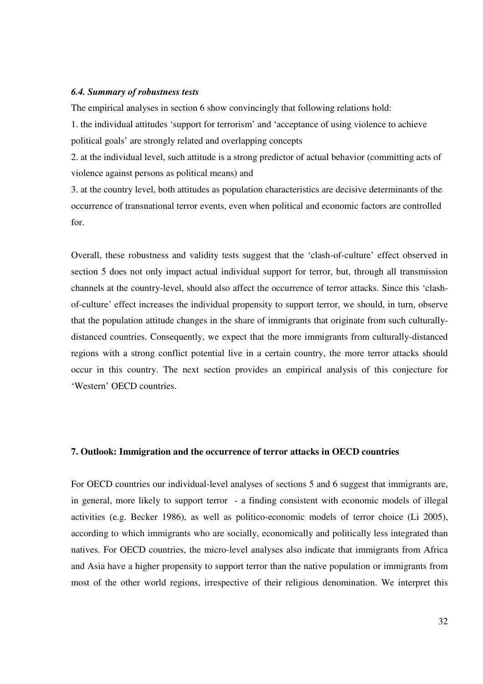#### *6.4. Summary of robustness tests*

The empirical analyses in section 6 show convincingly that following relations hold:

1. the individual attitudes 'support for terrorism' and 'acceptance of using violence to achieve political goals' are strongly related and overlapping concepts

2. at the individual level, such attitude is a strong predictor of actual behavior (committing acts of violence against persons as political means) and

3. at the country level, both attitudes as population characteristics are decisive determinants of the occurrence of transnational terror events, even when political and economic factors are controlled for.

Overall, these robustness and validity tests suggest that the 'clash-of-culture' effect observed in section 5 does not only impact actual individual support for terror, but, through all transmission channels at the country-level, should also affect the occurrence of terror attacks. Since this 'clashof-culture' effect increases the individual propensity to support terror, we should, in turn, observe that the population attitude changes in the share of immigrants that originate from such culturallydistanced countries. Consequently, we expect that the more immigrants from culturally-distanced regions with a strong conflict potential live in a certain country, the more terror attacks should occur in this country. The next section provides an empirical analysis of this conjecture for 'Western' OECD countries.

#### **7. Outlook: Immigration and the occurrence of terror attacks in OECD countries**

For OECD countries our individual-level analyses of sections 5 and 6 suggest that immigrants are, in general, more likely to support terror - a finding consistent with economic models of illegal activities (e.g. Becker 1986), as well as politico-economic models of terror choice (Li 2005), according to which immigrants who are socially, economically and politically less integrated than natives. For OECD countries, the micro-level analyses also indicate that immigrants from Africa and Asia have a higher propensity to support terror than the native population or immigrants from most of the other world regions, irrespective of their religious denomination. We interpret this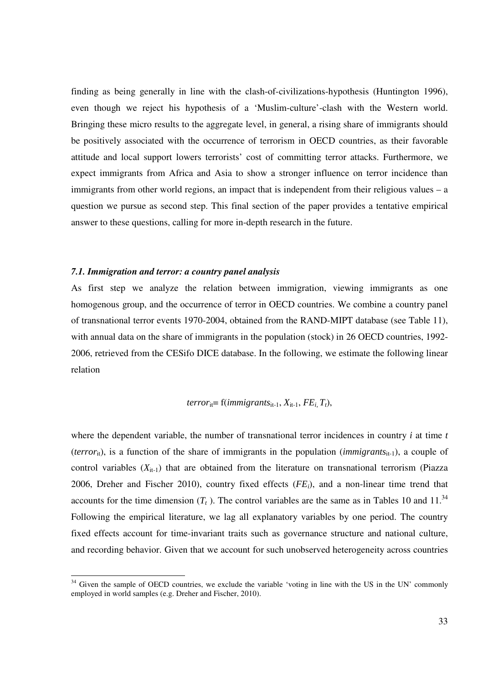finding as being generally in line with the clash-of-civilizations-hypothesis (Huntington 1996), even though we reject his hypothesis of a 'Muslim-culture'-clash with the Western world. Bringing these micro results to the aggregate level, in general, a rising share of immigrants should be positively associated with the occurrence of terrorism in OECD countries, as their favorable attitude and local support lowers terrorists' cost of committing terror attacks. Furthermore, we expect immigrants from Africa and Asia to show a stronger influence on terror incidence than immigrants from other world regions, an impact that is independent from their religious values – a question we pursue as second step. This final section of the paper provides a tentative empirical answer to these questions, calling for more in-depth research in the future.

#### *7.1. Immigration and terror: a country panel analysis*

-

As first step we analyze the relation between immigration, viewing immigrants as one homogenous group, and the occurrence of terror in OECD countries. We combine a country panel of transnational terror events 1970-2004, obtained from the RAND-MIPT database (see Table 11), with annual data on the share of immigrants in the population (stock) in 26 OECD countries, 1992-2006, retrieved from the CESifo DICE database. In the following, we estimate the following linear relation

*terror*<sub>it</sub> = f(*immigrants*<sub>it-1</sub>, 
$$
X_{it-1}
$$
,  $FE_i$ ,  $T_t$ ),

where the dependent variable, the number of transnational terror incidences in country *i* at time *t* (*terror*<sub>it</sub>), is a function of the share of immigrants in the population (*immigrants*<sub>it-1</sub>), a couple of control variables  $(X_{it-1})$  that are obtained from the literature on transnational terrorism (Piazza 2006, Dreher and Fischer 2010), country fixed effects (*FEi*), and a non-linear time trend that accounts for the time dimension  $(T_t)$ . The control variables are the same as in Tables 10 and 11.<sup>34</sup> Following the empirical literature, we lag all explanatory variables by one period. The country fixed effects account for time-invariant traits such as governance structure and national culture, and recording behavior. Given that we account for such unobserved heterogeneity across countries

<sup>&</sup>lt;sup>34</sup> Given the sample of OECD countries, we exclude the variable 'voting in line with the US in the UN' commonly employed in world samples (e.g. Dreher and Fischer, 2010).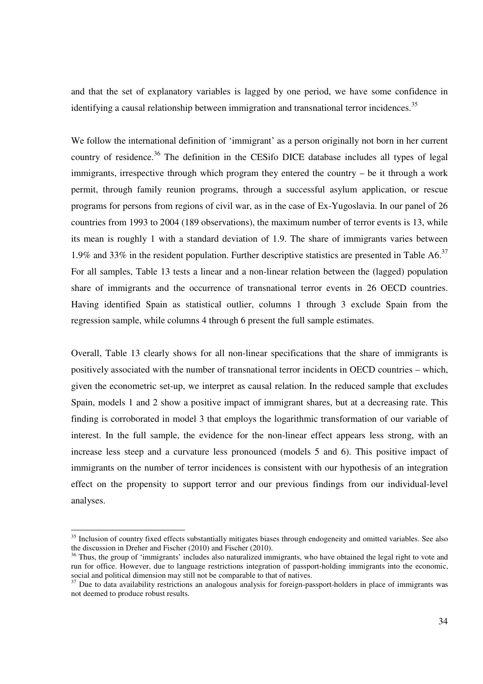and that the set of explanatory variables is lagged by one period, we have some confidence in identifying a causal relationship between immigration and transnational terror incidences.<sup>35</sup>

We follow the international definition of 'immigrant' as a person originally not born in her current country of residence.<sup>36</sup> The definition in the CESifo DICE database includes all types of legal immigrants, irrespective through which program they entered the country – be it through a work permit, through family reunion programs, through a successful asylum application, or rescue programs for persons from regions of civil war, as in the case of Ex-Yugoslavia. In our panel of 26 countries from 1993 to 2004 (189 observations), the maximum number of terror events is 13, while its mean is roughly 1 with a standard deviation of 1.9. The share of immigrants varies between 1.9% and 33% in the resident population. Further descriptive statistics are presented in Table A6.<sup>37</sup> For all samples, Table 13 tests a linear and a non-linear relation between the (lagged) population share of immigrants and the occurrence of transnational terror events in 26 OECD countries. Having identified Spain as statistical outlier, columns 1 through 3 exclude Spain from the regression sample, while columns 4 through 6 present the full sample estimates.

Overall, Table 13 clearly shows for all non-linear specifications that the share of immigrants is positively associated with the number of transnational terror incidents in OECD countries – which, given the econometric set-up, we interpret as causal relation. In the reduced sample that excludes Spain, models 1 and 2 show a positive impact of immigrant shares, but at a decreasing rate. This finding is corroborated in model 3 that employs the logarithmic transformation of our variable of interest. In the full sample, the evidence for the non-linear effect appears less strong, with an increase less steep and a curvature less pronounced (models 5 and 6). This positive impact of immigrants on the number of terror incidences is consistent with our hypothesis of an integration effect on the propensity to support terror and our previous findings from our individual-level analyses.

<sup>&</sup>lt;sup>35</sup> Inclusion of country fixed effects substantially mitigates biases through endogeneity and omitted variables. See also the discussion in Dreher and Fischer (2010) and Fischer (2010).

<sup>&</sup>lt;sup>36</sup> Thus, the group of 'immigrants' includes also naturalized immigrants, who have obtained the legal right to vote and run for office. However, due to language restrictions integration of passport-holding immigrants into the economic, social and political dimension may still not be comparable to that of natives.

 $37$  Due to data availability restrictions an analogous analysis for foreign-passport-holders in place of immigrants was not deemed to produce robust results.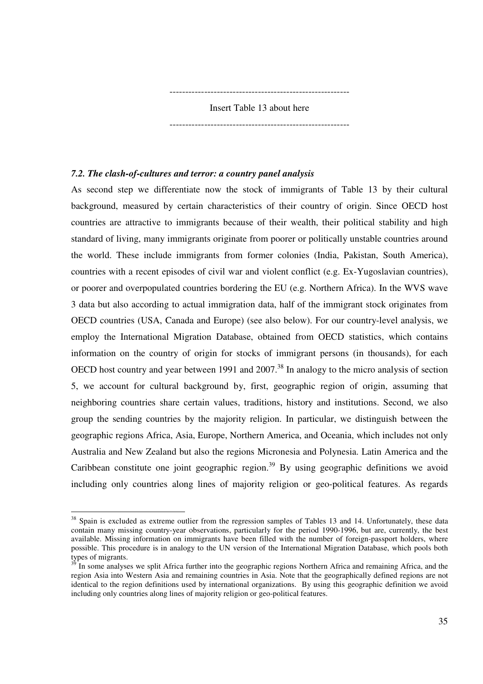--------------------------------------------------------- Insert Table 13 about here

---------------------------------------------------------

#### *7.2. The clash-of-cultures and terror: a country panel analysis*

-

As second step we differentiate now the stock of immigrants of Table 13 by their cultural background, measured by certain characteristics of their country of origin. Since OECD host countries are attractive to immigrants because of their wealth, their political stability and high standard of living, many immigrants originate from poorer or politically unstable countries around the world. These include immigrants from former colonies (India, Pakistan, South America), countries with a recent episodes of civil war and violent conflict (e.g. Ex-Yugoslavian countries), or poorer and overpopulated countries bordering the EU (e.g. Northern Africa). In the WVS wave 3 data but also according to actual immigration data, half of the immigrant stock originates from OECD countries (USA, Canada and Europe) (see also below). For our country-level analysis, we employ the International Migration Database, obtained from OECD statistics, which contains information on the country of origin for stocks of immigrant persons (in thousands), for each OECD host country and year between 1991 and 2007.<sup>38</sup> In analogy to the micro analysis of section 5, we account for cultural background by, first, geographic region of origin, assuming that neighboring countries share certain values, traditions, history and institutions. Second, we also group the sending countries by the majority religion. In particular, we distinguish between the geographic regions Africa, Asia, Europe, Northern America, and Oceania, which includes not only Australia and New Zealand but also the regions Micronesia and Polynesia. Latin America and the Caribbean constitute one joint geographic region.<sup>39</sup> By using geographic definitions we avoid including only countries along lines of majority religion or geo-political features. As regards

<sup>&</sup>lt;sup>38</sup> Spain is excluded as extreme outlier from the regression samples of Tables 13 and 14. Unfortunately, these data contain many missing country-year observations, particularly for the period 1990-1996, but are, currently, the best available. Missing information on immigrants have been filled with the number of foreign-passport holders, where possible. This procedure is in analogy to the UN version of the International Migration Database, which pools both types of migrants.

In some analyses we split Africa further into the geographic regions Northern Africa and remaining Africa, and the region Asia into Western Asia and remaining countries in Asia. Note that the geographically defined regions are not identical to the region definitions used by international organizations. By using this geographic definition we avoid including only countries along lines of majority religion or geo-political features.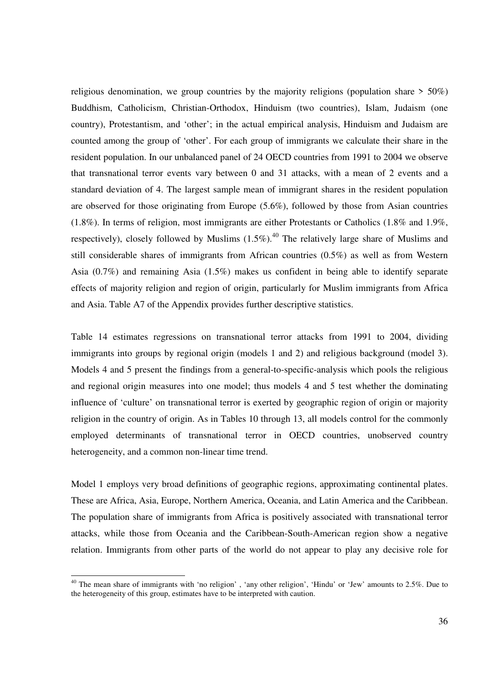religious denomination, we group countries by the majority religions (population share  $> 50\%$ ) Buddhism, Catholicism, Christian-Orthodox, Hinduism (two countries), Islam, Judaism (one country), Protestantism, and 'other'; in the actual empirical analysis, Hinduism and Judaism are counted among the group of 'other'. For each group of immigrants we calculate their share in the resident population. In our unbalanced panel of 24 OECD countries from 1991 to 2004 we observe that transnational terror events vary between 0 and 31 attacks, with a mean of 2 events and a standard deviation of 4. The largest sample mean of immigrant shares in the resident population are observed for those originating from Europe (5.6%), followed by those from Asian countries (1.8%). In terms of religion, most immigrants are either Protestants or Catholics (1.8% and 1.9%, respectively), closely followed by Muslims  $(1.5\%)$ .<sup>40</sup> The relatively large share of Muslims and still considerable shares of immigrants from African countries (0.5%) as well as from Western Asia (0.7%) and remaining Asia (1.5%) makes us confident in being able to identify separate effects of majority religion and region of origin, particularly for Muslim immigrants from Africa and Asia. Table A7 of the Appendix provides further descriptive statistics.

Table 14 estimates regressions on transnational terror attacks from 1991 to 2004, dividing immigrants into groups by regional origin (models 1 and 2) and religious background (model 3). Models 4 and 5 present the findings from a general-to-specific-analysis which pools the religious and regional origin measures into one model; thus models 4 and 5 test whether the dominating influence of 'culture' on transnational terror is exerted by geographic region of origin or majority religion in the country of origin. As in Tables 10 through 13, all models control for the commonly employed determinants of transnational terror in OECD countries, unobserved country heterogeneity, and a common non-linear time trend.

Model 1 employs very broad definitions of geographic regions, approximating continental plates. These are Africa, Asia, Europe, Northern America, Oceania, and Latin America and the Caribbean. The population share of immigrants from Africa is positively associated with transnational terror attacks, while those from Oceania and the Caribbean-South-American region show a negative relation. Immigrants from other parts of the world do not appear to play any decisive role for

 $40$  The mean share of immigrants with 'no religion', 'any other religion', 'Hindu' or 'Jew' amounts to 2.5%. Due to the heterogeneity of this group, estimates have to be interpreted with caution.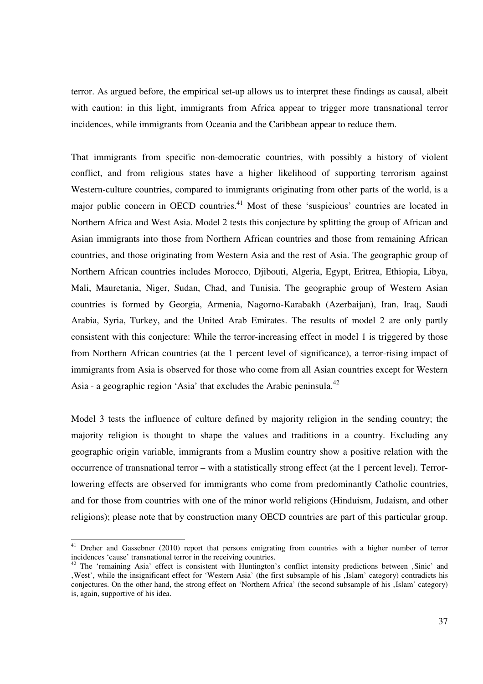terror. As argued before, the empirical set-up allows us to interpret these findings as causal, albeit with caution: in this light, immigrants from Africa appear to trigger more transnational terror incidences, while immigrants from Oceania and the Caribbean appear to reduce them.

That immigrants from specific non-democratic countries, with possibly a history of violent conflict, and from religious states have a higher likelihood of supporting terrorism against Western-culture countries, compared to immigrants originating from other parts of the world, is a major public concern in OECD countries.<sup>41</sup> Most of these 'suspicious' countries are located in Northern Africa and West Asia. Model 2 tests this conjecture by splitting the group of African and Asian immigrants into those from Northern African countries and those from remaining African countries, and those originating from Western Asia and the rest of Asia. The geographic group of Northern African countries includes Morocco, Djibouti, Algeria, Egypt, Eritrea, Ethiopia, Libya, Mali, Mauretania, Niger, Sudan, Chad, and Tunisia. The geographic group of Western Asian countries is formed by Georgia, Armenia, Nagorno-Karabakh (Azerbaijan), Iran, Iraq, Saudi Arabia, Syria, Turkey, and the United Arab Emirates. The results of model 2 are only partly consistent with this conjecture: While the terror-increasing effect in model 1 is triggered by those from Northern African countries (at the 1 percent level of significance), a terror-rising impact of immigrants from Asia is observed for those who come from all Asian countries except for Western Asia - a geographic region 'Asia' that excludes the Arabic peninsula. $^{42}$ 

Model 3 tests the influence of culture defined by majority religion in the sending country; the majority religion is thought to shape the values and traditions in a country. Excluding any geographic origin variable, immigrants from a Muslim country show a positive relation with the occurrence of transnational terror – with a statistically strong effect (at the 1 percent level). Terrorlowering effects are observed for immigrants who come from predominantly Catholic countries, and for those from countries with one of the minor world religions (Hinduism, Judaism, and other religions); please note that by construction many OECD countries are part of this particular group.

<sup>&</sup>lt;sup>41</sup> Dreher and Gassebner (2010) report that persons emigrating from countries with a higher number of terror incidences 'cause' transnational terror in the receiving countries.

<sup>&</sup>lt;sup>42</sup> The 'remaining Asia' effect is consistent with Huntington's conflict intensity predictions between ,Sinic' and 'West', while the insignificant effect for 'Western Asia' (the first subsample of his 'Islam' category) contradicts his conjectures. On the other hand, the strong effect on 'Northern Africa' (the second subsample of his , Islam' category) is, again, supportive of his idea.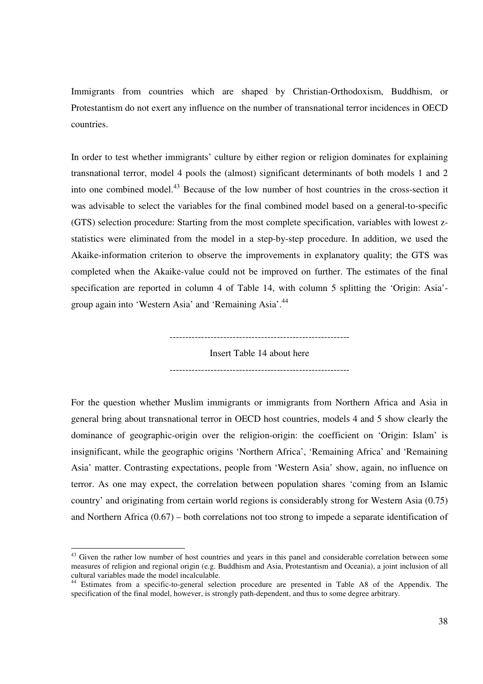Immigrants from countries which are shaped by Christian-Orthodoxism, Buddhism, or Protestantism do not exert any influence on the number of transnational terror incidences in OECD countries.

In order to test whether immigrants' culture by either region or religion dominates for explaining transnational terror, model 4 pools the (almost) significant determinants of both models 1 and 2 into one combined model.<sup>43</sup> Because of the low number of host countries in the cross-section it was advisable to select the variables for the final combined model based on a general-to-specific (GTS) selection procedure: Starting from the most complete specification, variables with lowest zstatistics were eliminated from the model in a step-by-step procedure. In addition, we used the Akaike-information criterion to observe the improvements in explanatory quality; the GTS was completed when the Akaike-value could not be improved on further. The estimates of the final specification are reported in column 4 of Table 14, with column 5 splitting the 'Origin: Asia' group again into 'Western Asia' and 'Remaining Asia'.<sup>44</sup>

---------------------------------------------------------

Insert Table 14 about here

---------------------------------------------------------

For the question whether Muslim immigrants or immigrants from Northern Africa and Asia in general bring about transnational terror in OECD host countries, models 4 and 5 show clearly the dominance of geographic-origin over the religion-origin: the coefficient on 'Origin: Islam' is insignificant, while the geographic origins 'Northern Africa', 'Remaining Africa' and 'Remaining Asia' matter. Contrasting expectations, people from 'Western Asia' show, again, no influence on terror. As one may expect, the correlation between population shares 'coming from an Islamic country' and originating from certain world regions is considerably strong for Western Asia (0.75) and Northern Africa (0.67) – both correlations not too strong to impede a separate identification of

<sup>&</sup>lt;sup>43</sup> Given the rather low number of host countries and years in this panel and considerable correlation between some measures of religion and regional origin (e.g. Buddhism and Asia, Protestantism and Oceania), a joint inclusion of all cultural variables made the model incalculable.

<sup>&</sup>lt;sup>44</sup> Estimates from a specific-to-general selection procedure are presented in Table A8 of the Appendix. The specification of the final model, however, is strongly path-dependent, and thus to some degree arbitrary.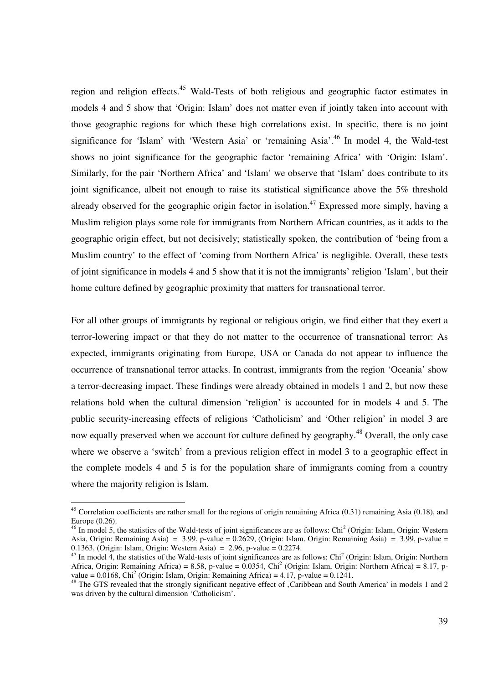region and religion effects.<sup>45</sup> Wald-Tests of both religious and geographic factor estimates in models 4 and 5 show that 'Origin: Islam' does not matter even if jointly taken into account with those geographic regions for which these high correlations exist. In specific, there is no joint significance for 'Islam' with 'Western Asia' or 'remaining Asia'.<sup>46</sup> In model 4, the Wald-test shows no joint significance for the geographic factor 'remaining Africa' with 'Origin: Islam'. Similarly, for the pair 'Northern Africa' and 'Islam' we observe that 'Islam' does contribute to its joint significance, albeit not enough to raise its statistical significance above the 5% threshold already observed for the geographic origin factor in isolation.<sup>47</sup> Expressed more simply, having a Muslim religion plays some role for immigrants from Northern African countries, as it adds to the geographic origin effect, but not decisively; statistically spoken, the contribution of 'being from a Muslim country' to the effect of 'coming from Northern Africa' is negligible. Overall, these tests of joint significance in models 4 and 5 show that it is not the immigrants' religion 'Islam', but their home culture defined by geographic proximity that matters for transnational terror.

For all other groups of immigrants by regional or religious origin, we find either that they exert a terror-lowering impact or that they do not matter to the occurrence of transnational terror: As expected, immigrants originating from Europe, USA or Canada do not appear to influence the occurrence of transnational terror attacks. In contrast, immigrants from the region 'Oceania' show a terror-decreasing impact. These findings were already obtained in models 1 and 2, but now these relations hold when the cultural dimension 'religion' is accounted for in models 4 and 5. The public security-increasing effects of religions 'Catholicism' and 'Other religion' in model 3 are now equally preserved when we account for culture defined by geography.<sup>48</sup> Overall, the only case where we observe a 'switch' from a previous religion effect in model 3 to a geographic effect in the complete models 4 and 5 is for the population share of immigrants coming from a country where the majority religion is Islam.

 $45$  Correlation coefficients are rather small for the regions of origin remaining Africa (0.31) remaining Asia (0.18), and Europe (0.26).

 $46$  In model 5, the statistics of the Wald-tests of joint significances are as follows: Chi<sup>2</sup> (Origin: Islam, Origin: Western Asia, Origin: Remaining Asia) = 3.99, p-value = 0.2629, (Origin: Islam, Origin: Remaining Asia) = 3.99, p-value = 0.1363, (Origin: Islam, Origin: Western Asia) = 2.96, p-value =  $0.2274$ .

 $47$  In model 4, the statistics of the Wald-tests of joint significances are as follows: Chi<sup>2</sup> (Origin: Islam, Origin: Northern Africa, Origin: Remaining Africa) = 8.58, p-value =  $0.0354$ , Chi<sup>2</sup> (Origin: Islam, Origin: Northern Africa) = 8.17, pvalue =  $0.0168$ , Chi<sup>2</sup> (Origin: Islam, Origin: Remaining Africa) =  $4.17$ , p-value =  $0.1241$ .

<sup>&</sup>lt;sup>48</sup> The GTS revealed that the strongly significant negative effect of , Caribbean and South America' in models 1 and 2 was driven by the cultural dimension 'Catholicism'.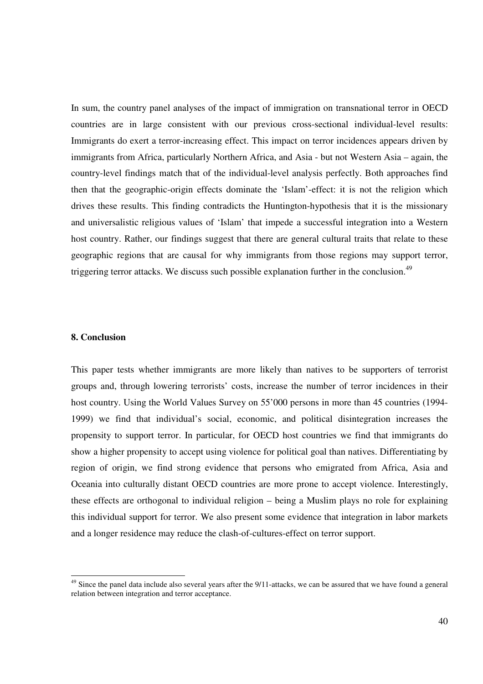In sum, the country panel analyses of the impact of immigration on transnational terror in OECD countries are in large consistent with our previous cross-sectional individual-level results: Immigrants do exert a terror-increasing effect. This impact on terror incidences appears driven by immigrants from Africa, particularly Northern Africa, and Asia - but not Western Asia – again, the country-level findings match that of the individual-level analysis perfectly. Both approaches find then that the geographic-origin effects dominate the 'Islam'-effect: it is not the religion which drives these results. This finding contradicts the Huntington-hypothesis that it is the missionary and universalistic religious values of 'Islam' that impede a successful integration into a Western host country. Rather, our findings suggest that there are general cultural traits that relate to these geographic regions that are causal for why immigrants from those regions may support terror, triggering terror attacks. We discuss such possible explanation further in the conclusion.<sup>49</sup>

#### **8. Conclusion**

-

This paper tests whether immigrants are more likely than natives to be supporters of terrorist groups and, through lowering terrorists' costs, increase the number of terror incidences in their host country. Using the World Values Survey on 55'000 persons in more than 45 countries (1994- 1999) we find that individual's social, economic, and political disintegration increases the propensity to support terror. In particular, for OECD host countries we find that immigrants do show a higher propensity to accept using violence for political goal than natives. Differentiating by region of origin, we find strong evidence that persons who emigrated from Africa, Asia and Oceania into culturally distant OECD countries are more prone to accept violence. Interestingly, these effects are orthogonal to individual religion – being a Muslim plays no role for explaining this individual support for terror. We also present some evidence that integration in labor markets and a longer residence may reduce the clash-of-cultures-effect on terror support.

<sup>&</sup>lt;sup>49</sup> Since the panel data include also several years after the 9/11-attacks, we can be assured that we have found a general relation between integration and terror acceptance.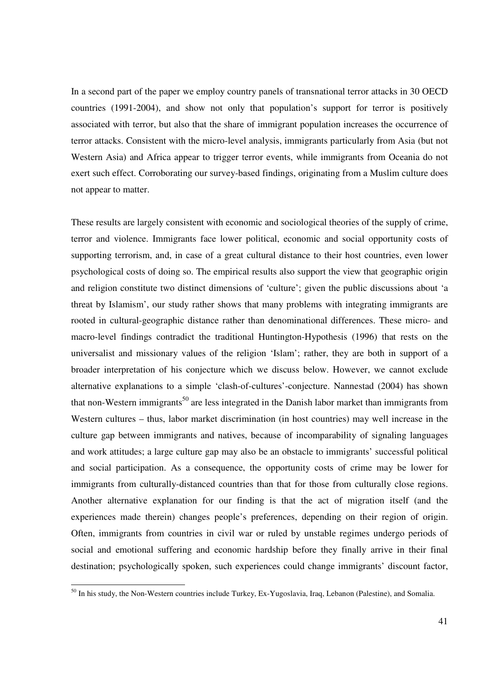In a second part of the paper we employ country panels of transnational terror attacks in 30 OECD countries (1991-2004), and show not only that population's support for terror is positively associated with terror, but also that the share of immigrant population increases the occurrence of terror attacks. Consistent with the micro-level analysis, immigrants particularly from Asia (but not Western Asia) and Africa appear to trigger terror events, while immigrants from Oceania do not exert such effect. Corroborating our survey-based findings, originating from a Muslim culture does not appear to matter.

These results are largely consistent with economic and sociological theories of the supply of crime, terror and violence. Immigrants face lower political, economic and social opportunity costs of supporting terrorism, and, in case of a great cultural distance to their host countries, even lower psychological costs of doing so. The empirical results also support the view that geographic origin and religion constitute two distinct dimensions of 'culture'; given the public discussions about 'a threat by Islamism', our study rather shows that many problems with integrating immigrants are rooted in cultural-geographic distance rather than denominational differences. These micro- and macro-level findings contradict the traditional Huntington-Hypothesis (1996) that rests on the universalist and missionary values of the religion 'Islam'; rather, they are both in support of a broader interpretation of his conjecture which we discuss below. However, we cannot exclude alternative explanations to a simple 'clash-of-cultures'-conjecture. Nannestad (2004) has shown that non-Western immigrants<sup>50</sup> are less integrated in the Danish labor market than immigrants from Western cultures – thus, labor market discrimination (in host countries) may well increase in the culture gap between immigrants and natives, because of incomparability of signaling languages and work attitudes; a large culture gap may also be an obstacle to immigrants' successful political and social participation. As a consequence, the opportunity costs of crime may be lower for immigrants from culturally-distanced countries than that for those from culturally close regions. Another alternative explanation for our finding is that the act of migration itself (and the experiences made therein) changes people's preferences, depending on their region of origin. Often, immigrants from countries in civil war or ruled by unstable regimes undergo periods of social and emotional suffering and economic hardship before they finally arrive in their final destination; psychologically spoken, such experiences could change immigrants' discount factor,

<sup>&</sup>lt;sup>50</sup> In his study, the Non-Western countries include Turkey, Ex-Yugoslavia, Iraq, Lebanon (Palestine), and Somalia.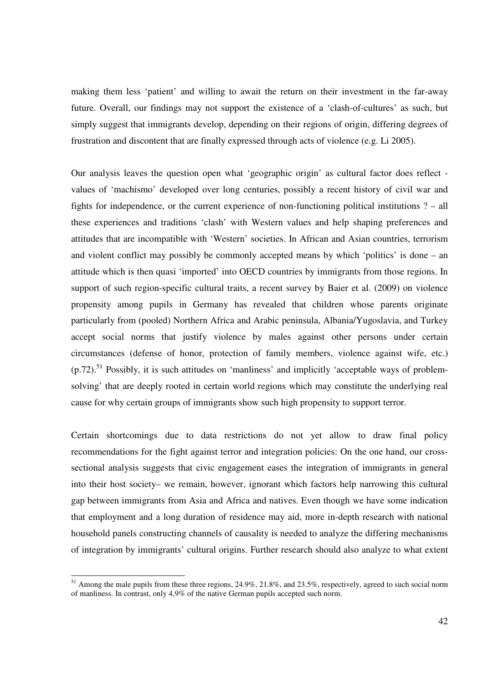making them less 'patient' and willing to await the return on their investment in the far-away future. Overall, our findings may not support the existence of a 'clash-of-cultures' as such, but simply suggest that immigrants develop, depending on their regions of origin, differing degrees of frustration and discontent that are finally expressed through acts of violence (e.g. Li 2005).

Our analysis leaves the question open what 'geographic origin' as cultural factor does reflect values of 'machismo' developed over long centuries, possibly a recent history of civil war and fights for independence, or the current experience of non-functioning political institutions ? – all these experiences and traditions 'clash' with Western values and help shaping preferences and attitudes that are incompatible with 'Western' societies. In African and Asian countries, terrorism and violent conflict may possibly be commonly accepted means by which 'politics' is done – an attitude which is then quasi 'imported' into OECD countries by immigrants from those regions. In support of such region-specific cultural traits, a recent survey by Baier et al. (2009) on violence propensity among pupils in Germany has revealed that children whose parents originate particularly from (pooled) Northern Africa and Arabic peninsula, Albania/Yugoslavia, and Turkey accept social norms that justify violence by males against other persons under certain circumstances (defense of honor, protection of family members, violence against wife, etc.)  $($ n.72). $51$  Possibly, it is such attitudes on 'manliness' and implicitly 'acceptable ways of problemsolving' that are deeply rooted in certain world regions which may constitute the underlying real cause for why certain groups of immigrants show such high propensity to support terror.

Certain shortcomings due to data restrictions do not yet allow to draw final policy recommendations for the fight against terror and integration policies: On the one hand, our crosssectional analysis suggests that civic engagement eases the integration of immigrants in general into their host society– we remain, however, ignorant which factors help narrowing this cultural gap between immigrants from Asia and Africa and natives. Even though we have some indication that employment and a long duration of residence may aid, more in-depth research with national household panels constructing channels of causality is needed to analyze the differing mechanisms of integration by immigrants' cultural origins. Further research should also analyze to what extent

 $<sup>51</sup>$  Among the male pupils from these three regions, 24.9%, 21.8%, and 23.5%, respectively, agreed to such social norm</sup> of manliness. In contrast, only 4,9% of the native German pupils accepted such norm.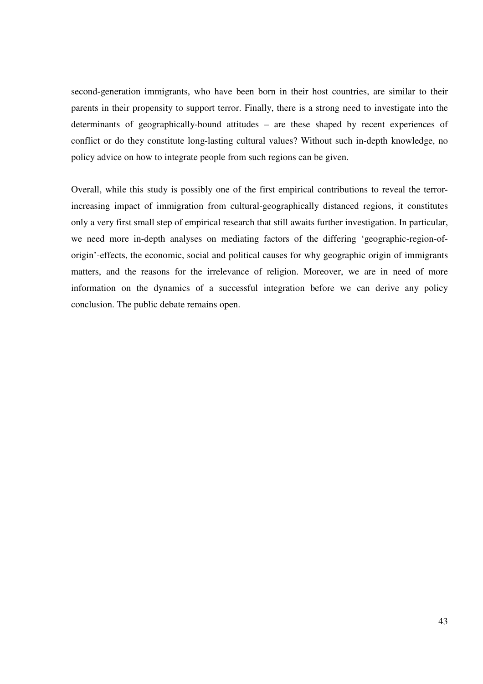second-generation immigrants, who have been born in their host countries, are similar to their parents in their propensity to support terror. Finally, there is a strong need to investigate into the determinants of geographically-bound attitudes – are these shaped by recent experiences of conflict or do they constitute long-lasting cultural values? Without such in-depth knowledge, no policy advice on how to integrate people from such regions can be given.

Overall, while this study is possibly one of the first empirical contributions to reveal the terrorincreasing impact of immigration from cultural-geographically distanced regions, it constitutes only a very first small step of empirical research that still awaits further investigation. In particular, we need more in-depth analyses on mediating factors of the differing 'geographic-region-oforigin'-effects, the economic, social and political causes for why geographic origin of immigrants matters, and the reasons for the irrelevance of religion. Moreover, we are in need of more information on the dynamics of a successful integration before we can derive any policy conclusion. The public debate remains open.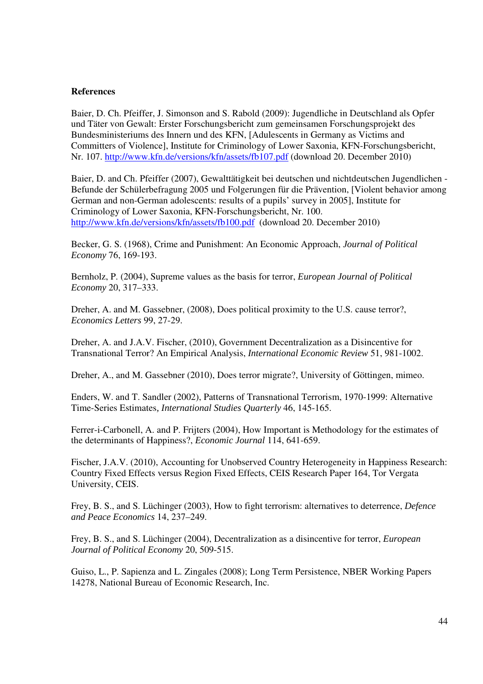#### **References**

Baier, D. Ch. Pfeiffer, J. Simonson and S. Rabold (2009): Jugendliche in Deutschland als Opfer und Täter von Gewalt: Erster Forschungsbericht zum gemeinsamen Forschungsprojekt des Bundesministeriums des Innern und des KFN, [Adulescents in Germany as Victims and Committers of Violence], Institute for Criminology of Lower Saxonia, KFN-Forschungsbericht, Nr. 107. http://www.kfn.de/versions/kfn/assets/fb107.pdf (download 20. December 2010)

Baier, D. and Ch. Pfeiffer (2007), Gewalttätigkeit bei deutschen und nichtdeutschen Jugendlichen - Befunde der Schülerbefragung 2005 und Folgerungen für die Prävention, [Violent behavior among German and non-German adolescents: results of a pupils' survey in 2005], Institute for Criminology of Lower Saxonia, KFN-Forschungsbericht, Nr. 100. http://www.kfn.de/versions/kfn/assets/fb100.pdf (download 20. December 2010)

Becker, G. S. (1968), Crime and Punishment: An Economic Approach, *Journal of Political Economy* 76, 169-193.

Bernholz, P. (2004), Supreme values as the basis for terror, *European Journal of Political Economy* 20, 317–333.

Dreher, A. and M. Gassebner, (2008), Does political proximity to the U.S. cause terror?, *Economics Letters* 99, 27-29.

Dreher, A. and J.A.V. Fischer, (2010), Government Decentralization as a Disincentive for Transnational Terror? An Empirical Analysis, *International Economic Review* 51, 981-1002.

Dreher, A., and M. Gassebner (2010), Does terror migrate?, University of Göttingen, mimeo.

Enders, W. and T. Sandler (2002), Patterns of Transnational Terrorism, 1970-1999: Alternative Time-Series Estimates*, International Studies Quarterly* 46, 145-165.

Ferrer-i-Carbonell, A. and P. Frijters (2004), How Important is Methodology for the estimates of the determinants of Happiness?, *Economic Journal* 114, 641-659.

Fischer, J.A.V. (2010), Accounting for Unobserved Country Heterogeneity in Happiness Research: Country Fixed Effects versus Region Fixed Effects, CEIS Research Paper 164, Tor Vergata University, CEIS.

Frey, B. S., and S. Lüchinger (2003), How to fight terrorism: alternatives to deterrence, *Defence and Peace Economics* 14, 237–249.

Frey, B. S., and S. Lüchinger (2004), Decentralization as a disincentive for terror, *European Journal of Political Economy* 20, 509-515.

Guiso, L., P. Sapienza and L. Zingales (2008); Long Term Persistence, NBER Working Papers 14278, National Bureau of Economic Research, Inc.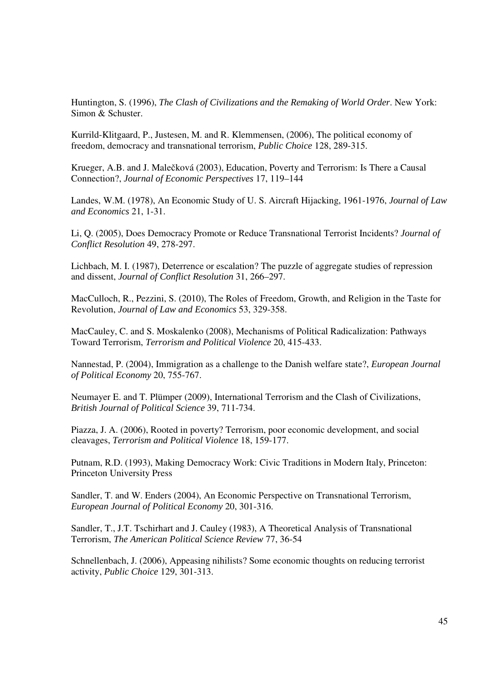Huntington, S. (1996), *The Clash of Civilizations and the Remaking of World Order*. New York: Simon & Schuster.

Kurrild-Klitgaard, P., Justesen, M. and R. Klemmensen, (2006), The political economy of freedom, democracy and transnational terrorism, *Public Choice* 128, 289-315.

Krueger, A.B. and J. Malečková (2003), Education, Poverty and Terrorism: Is There a Causal Connection?, *Journal of Economic Perspectives* 17, 119–144

Landes, W.M. (1978), An Economic Study of U. S. Aircraft Hijacking, 1961-1976, *Journal of Law and Economics* 21, 1-31.

Li, Q. (2005), Does Democracy Promote or Reduce Transnational Terrorist Incidents? *Journal of Conflict Resolution* 49, 278-297.

Lichbach, M. I. (1987), Deterrence or escalation? The puzzle of aggregate studies of repression and dissent, *Journal of Conflict Resolution* 31, 266–297.

MacCulloch, R., Pezzini, S. (2010), The Roles of Freedom, Growth, and Religion in the Taste for Revolution, *Journal of Law and Economics* 53, 329-358.

MacCauley, C. and S. Moskalenko (2008), Mechanisms of Political Radicalization: Pathways Toward Terrorism, *Terrorism and Political Violence* 20, 415-433.

Nannestad, P. (2004), Immigration as a challenge to the Danish welfare state?, *European Journal of Political Economy* 20, 755-767.

Neumayer E. and T. Plümper (2009), International Terrorism and the Clash of Civilizations, *British Journal of Political Science* 39, 711-734.

Piazza, J. A. (2006), Rooted in poverty? Terrorism, poor economic development, and social cleavages, *Terrorism and Political Violence* 18, 159-177.

Putnam, R.D. (1993), Making Democracy Work: Civic Traditions in Modern Italy, Princeton: Princeton University Press

Sandler, T. and W. Enders (2004), An Economic Perspective on Transnational Terrorism, *European Journal of Political Economy* 20, 301-316.

Sandler, T., J.T. Tschirhart and J. Cauley (1983), A Theoretical Analysis of Transnational Terrorism, *The American Political Science Review* 77, 36-54

Schnellenbach, J. (2006), Appeasing nihilists? Some economic thoughts on reducing terrorist activity, *Public Choice* 129, 301-313.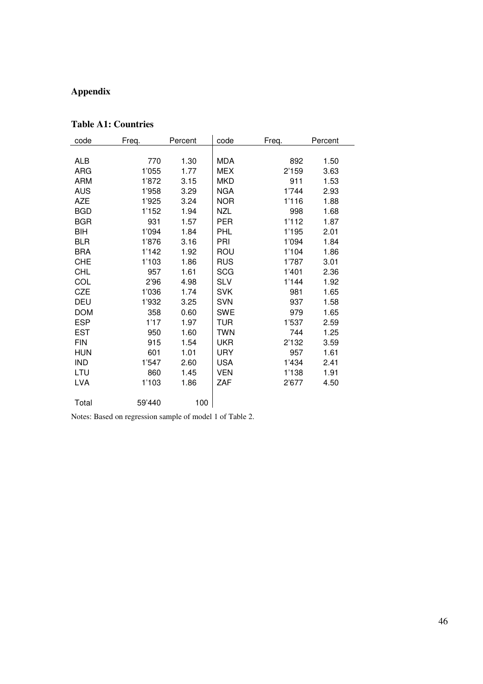# **Appendix**

### **Table A1: Countries**

| code       | Freq.  | Percent | code       | Freq. | Percent |
|------------|--------|---------|------------|-------|---------|
|            |        |         |            |       |         |
| ALB        | 770    | 1.30    | <b>MDA</b> | 892   | 1.50    |
| ARG        | 1'055  | 1.77    | MEX        | 2'159 | 3.63    |
| ARM        | 1'872  | 3.15    | <b>MKD</b> | 911   | 1.53    |
| AUS        | 1'958  | 3.29    | <b>NGA</b> | 1'744 | 2.93    |
| <b>AZE</b> | 1'925  | 3.24    | <b>NOR</b> | 1'116 | 1.88    |
| <b>BGD</b> | 1'152  | 1.94    | NZL        | 998   | 1.68    |
| <b>BGR</b> | 931    | 1.57    | PER        | 1'112 | 1.87    |
| BIH        | 1'094  | 1.84    | <b>PHL</b> | 1'195 | 2.01    |
| BLR        | 1'876  | 3.16    | PRI        | 1'094 | 1.84    |
| <b>BRA</b> | 1'142  | 1.92    | ROU        | 1'104 | 1.86    |
| <b>CHE</b> | 1'103  | 1.86    | <b>RUS</b> | 1'787 | 3.01    |
| <b>CHL</b> | 957    | 1.61    | <b>SCG</b> | 1'401 | 2.36    |
| COL        | 2'96   | 4.98    | <b>SLV</b> | 1'144 | 1.92    |
| CZE        | 1'036  | 1.74    | <b>SVK</b> | 981   | 1.65    |
| <b>DEU</b> | 1'932  | 3.25    | <b>SVN</b> | 937   | 1.58    |
| <b>DOM</b> | 358    | 0.60    | <b>SWE</b> | 979   | 1.65    |
| <b>ESP</b> | 1'17   | 1.97    | TUR        | 1'537 | 2.59    |
| <b>EST</b> | 950    | 1.60    | TWN        | 744   | 1.25    |
| <b>FIN</b> | 915    | 1.54    | <b>UKR</b> | 2'132 | 3.59    |
| <b>HUN</b> | 601    | 1.01    | <b>URY</b> | 957   | 1.61    |
| IND        | 1'547  | 2.60    | <b>USA</b> | 1'434 | 2.41    |
| LTU        | 860    | 1.45    | <b>VEN</b> | 1'138 | 1.91    |
| <b>LVA</b> | 1'103  | 1.86    | ZAF        | 2'677 | 4.50    |
|            |        |         |            |       |         |
| Total      | 59'440 | 100     |            |       |         |

Notes: Based on regression sample of model 1 of Table 2.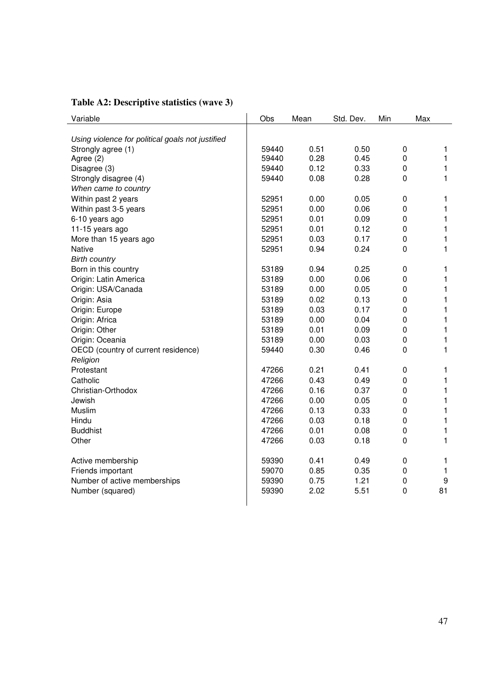| Variable                                         | Obs   | Mean | Std. Dev. | Min         | Max          |
|--------------------------------------------------|-------|------|-----------|-------------|--------------|
|                                                  |       |      |           |             |              |
| Using violence for political goals not justified |       |      |           |             |              |
| Strongly agree (1)                               | 59440 | 0.51 | 0.50      | $\mathbf 0$ | 1            |
| Agree (2)                                        | 59440 | 0.28 | 0.45      | $\mathbf 0$ | 1            |
| Disagree (3)                                     | 59440 | 0.12 | 0.33      | $\mathbf 0$ | 1            |
| Strongly disagree (4)                            | 59440 | 0.08 | 0.28      | 0           | 1            |
| When came to country                             |       |      |           |             |              |
| Within past 2 years                              | 52951 | 0.00 | 0.05      | $\pmb{0}$   | 1            |
| Within past 3-5 years                            | 52951 | 0.00 | 0.06      | $\pmb{0}$   | 1            |
| 6-10 years ago                                   | 52951 | 0.01 | 0.09      | $\pmb{0}$   | $\mathbf{1}$ |
| 11-15 years ago                                  | 52951 | 0.01 | 0.12      | $\mathbf 0$ | $\mathbf{1}$ |
| More than 15 years ago                           | 52951 | 0.03 | 0.17      | $\mathbf 0$ | $\mathbf{1}$ |
| <b>Native</b>                                    | 52951 | 0.94 | 0.24      | $\mathbf 0$ | $\mathbf{1}$ |
| <b>Birth country</b>                             |       |      |           |             |              |
| Born in this country                             | 53189 | 0.94 | 0.25      | 0           | 1            |
| Origin: Latin America                            | 53189 | 0.00 | 0.06      | $\mathbf 0$ | 1            |
| Origin: USA/Canada                               | 53189 | 0.00 | 0.05      | 0           | 1            |
| Origin: Asia                                     | 53189 | 0.02 | 0.13      | $\mathbf 0$ | 1            |
| Origin: Europe                                   | 53189 | 0.03 | 0.17      | $\mathbf 0$ | $\mathbf{1}$ |
| Origin: Africa                                   | 53189 | 0.00 | 0.04      | $\mathbf 0$ | 1            |
| Origin: Other                                    | 53189 | 0.01 | 0.09      | $\mathbf 0$ | $\mathbf{1}$ |
| Origin: Oceania                                  | 53189 | 0.00 | 0.03      | $\mathbf 0$ | 1            |
| OECD (country of current residence)              | 59440 | 0.30 | 0.46      | $\mathbf 0$ | $\mathbf{1}$ |
| Religion                                         |       |      |           |             |              |
| Protestant                                       | 47266 | 0.21 | 0.41      | $\pmb{0}$   | 1            |
| Catholic                                         | 47266 | 0.43 | 0.49      | $\mathbf 0$ | 1            |
| Christian-Orthodox                               | 47266 | 0.16 | 0.37      | $\mathbf 0$ | 1            |
| Jewish                                           | 47266 | 0.00 | 0.05      | 0           | 1            |
| Muslim                                           | 47266 | 0.13 | 0.33      | $\mathbf 0$ | 1            |
| Hindu                                            | 47266 | 0.03 | 0.18      | $\mathbf 0$ | $\mathbf{1}$ |
| <b>Buddhist</b>                                  | 47266 | 0.01 | 0.08      | $\mathbf 0$ |              |
|                                                  |       |      |           |             | 1            |
| Other                                            | 47266 | 0.03 | 0.18      | $\mathbf 0$ | $\mathbf{1}$ |
| Active membership                                | 59390 | 0.41 | 0.49      | $\pmb{0}$   | 1            |
| Friends important                                | 59070 | 0.85 | 0.35      | $\mathbf 0$ | 1            |
| Number of active memberships                     | 59390 | 0.75 | 1.21      | $\pmb{0}$   | 9            |
| Number (squared)                                 | 59390 | 2.02 | 5.51      | 0           | 81           |
|                                                  |       |      |           |             |              |

### **Table A2: Descriptive statistics (wave 3)**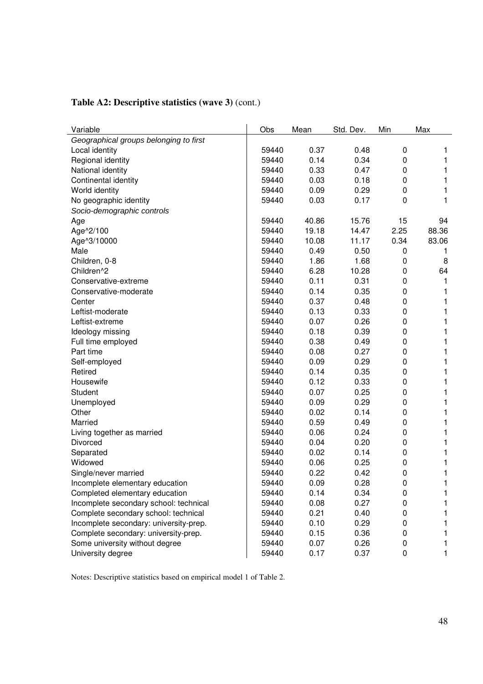| Variable                               | Obs   | Mean  | Std. Dev. | Min         | Max   |
|----------------------------------------|-------|-------|-----------|-------------|-------|
| Geographical groups belonging to first |       |       |           |             |       |
| Local identity                         | 59440 | 0.37  | 0.48      | 0           | 1     |
| Regional identity                      | 59440 | 0.14  | 0.34      | 0           | 1     |
| National identity                      | 59440 | 0.33  | 0.47      | 0           | 1     |
| Continental identity                   | 59440 | 0.03  | 0.18      | 0           | 1     |
| World identity                         | 59440 | 0.09  | 0.29      | 0           | 1     |
| No geographic identity                 | 59440 | 0.03  | 0.17      | 0           | 1     |
| Socio-demographic controls             |       |       |           |             |       |
| Age                                    | 59440 | 40.86 | 15.76     | 15          | 94    |
| Age^2/100                              | 59440 | 19.18 | 14.47     | 2.25        | 88.36 |
| Age^3/10000                            | 59440 | 10.08 | 11.17     | 0.34        | 83.06 |
| Male                                   | 59440 | 0.49  | 0.50      | 0           | 1     |
| Children, 0-8                          | 59440 | 1.86  | 1.68      | $\mathbf 0$ | 8     |
| Children <sup>^2</sup>                 | 59440 | 6.28  | 10.28     | 0           | 64    |
| Conservative-extreme                   | 59440 | 0.11  | 0.31      | 0           | 1     |
| Conservative-moderate                  | 59440 | 0.14  | 0.35      | 0           | 1     |
| Center                                 | 59440 | 0.37  | 0.48      | 0           | 1     |
| Leftist-moderate                       | 59440 | 0.13  | 0.33      | 0           | 1     |
| Leftist-extreme                        | 59440 | 0.07  | 0.26      | 0           | 1     |
| Ideology missing                       | 59440 | 0.18  | 0.39      | 0           | 1     |
| Full time employed                     | 59440 | 0.38  | 0.49      | 0           | 1     |
| Part time                              | 59440 | 0.08  | 0.27      | 0           | 1     |
| Self-employed                          | 59440 | 0.09  | 0.29      | 0           | 1     |
| Retired                                | 59440 | 0.14  | 0.35      | 0           | 1     |
| Housewife                              | 59440 | 0.12  | 0.33      | 0           | 1     |
| Student                                | 59440 | 0.07  | 0.25      | 0           | 1     |
| Unemployed                             | 59440 | 0.09  | 0.29      | 0           | 1     |
| Other                                  | 59440 | 0.02  | 0.14      | 0           | 1     |
| Married                                | 59440 | 0.59  | 0.49      | 0           | 1     |
| Living together as married             | 59440 | 0.06  | 0.24      | 0           | 1     |
| Divorced                               | 59440 | 0.04  | 0.20      | 0           | 1     |
| Separated                              | 59440 | 0.02  | 0.14      | 0           | 1     |
| Widowed                                | 59440 | 0.06  | 0.25      | 0           | 1     |
| Single/never married                   | 59440 | 0.22  | 0.42      | 0           | 1     |
| Incomplete elementary education        | 59440 | 0.09  | 0.28      | 0           | 1     |
| Completed elementary education         | 59440 | 0.14  | 0.34      | 0           | 1     |
| Incomplete secondary school: technical | 59440 | 0.08  | 0.27      | $\pmb{0}$   | 1     |
| Complete secondary school: technical   | 59440 | 0.21  | 0.40      | $\pmb{0}$   | 1     |
| Incomplete secondary: university-prep. | 59440 | 0.10  | 0.29      | 0           | 1     |
| Complete secondary: university-prep.   | 59440 | 0.15  | 0.36      | 0           | 1.    |
| Some university without degree         | 59440 | 0.07  | 0.26      | 0           | 1     |
| University degree                      | 59440 | 0.17  | 0.37      | $\pmb{0}$   | 1     |

### **Table A2: Descriptive statistics (wave 3)** (cont.)

Notes: Descriptive statistics based on empirical model 1 of Table 2.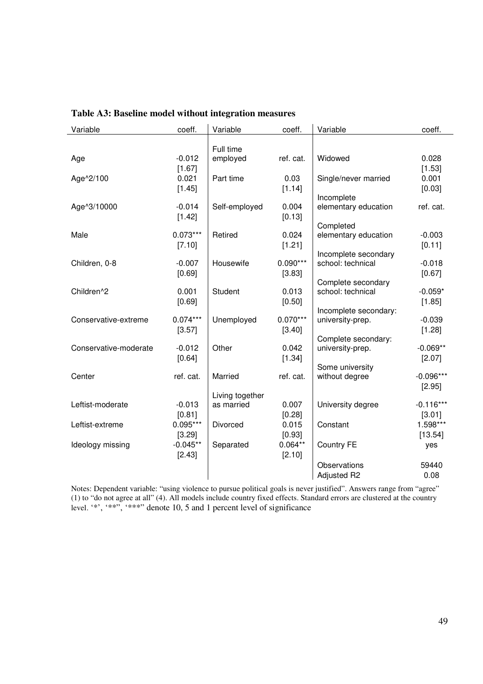| Variable              | coeff.     | Variable        | coeff.     | Variable                                | coeff.      |
|-----------------------|------------|-----------------|------------|-----------------------------------------|-------------|
|                       |            | Full time       |            |                                         |             |
| Age                   | $-0.012$   | employed        | ref. cat.  | Widowed                                 | 0.028       |
|                       | [1.67]     |                 |            |                                         | [1.53]      |
| Age^2/100             | 0.021      | Part time       | 0.03       | Single/never married                    | 0.001       |
|                       | [1.45]     |                 | [1.14]     |                                         | [0.03]      |
|                       |            |                 |            | Incomplete                              |             |
| Age^3/10000           | $-0.014$   | Self-employed   | 0.004      | elementary education                    | ref. cat.   |
|                       | [1.42]     |                 | [0.13]     |                                         |             |
|                       |            |                 |            | Completed                               |             |
| Male                  | $0.073***$ | Retired         | 0.024      | elementary education                    | $-0.003$    |
|                       | [7.10]     |                 | [1.21]     |                                         | [0.11]      |
|                       |            |                 |            | Incomplete secondary                    |             |
| Children, 0-8         | $-0.007$   | Housewife       | $0.090***$ | school: technical                       | $-0.018$    |
|                       | [0.69]     |                 | [3.83]     |                                         | [0.67]      |
| Children^2            | 0.001      | Student         | 0.013      | Complete secondary<br>school: technical | $-0.059*$   |
|                       |            |                 |            |                                         |             |
|                       | [0.69]     |                 | [0.50]     | Incomplete secondary:                   | [1.85]      |
| Conservative-extreme  | $0.074***$ | Unemployed      | $0.070***$ | university-prep.                        | $-0.039$    |
|                       | [3.57]     |                 | [3.40]     |                                         | [1.28]      |
|                       |            |                 |            | Complete secondary:                     |             |
| Conservative-moderate | $-0.012$   | Other           | 0.042      | university-prep.                        | $-0.069**$  |
|                       | [0.64]     |                 | [1.34]     |                                         | [2.07]      |
|                       |            |                 |            | Some university                         |             |
| Center                | ref. cat.  | Married         | ref. cat.  | without degree                          | $-0.096***$ |
|                       |            |                 |            |                                         | [2.95]      |
|                       |            | Living together |            |                                         |             |
| Leftist-moderate      | $-0.013$   | as married      | 0.007      | University degree                       | $-0.116***$ |
|                       | [0.81]     |                 | [0.28]     |                                         | [3.01]      |
| Leftist-extreme       | $0.095***$ | Divorced        | 0.015      | Constant                                | 1.598***    |
|                       | [3.29]     |                 | [0.93]     |                                         | [13.54]     |
| Ideology missing      | $-0.045**$ | Separated       | $0.064**$  | <b>Country FE</b>                       | yes         |
|                       | [2.43]     |                 | [2.10]     |                                         |             |
|                       |            |                 |            | Observations                            | 59440       |
|                       |            |                 |            | <b>Adjusted R2</b>                      | 0.08        |

### **Table A3: Baseline model without integration measures**

Notes: Dependent variable: "using violence to pursue political goals is never justified". Answers range from "agree" (1) to "do not agree at all" (4). All models include country fixed effects. Standard errors are clustered at the country level. '\*', '\*\*", '\*\*\*" denote 10, 5 and 1 percent level of significance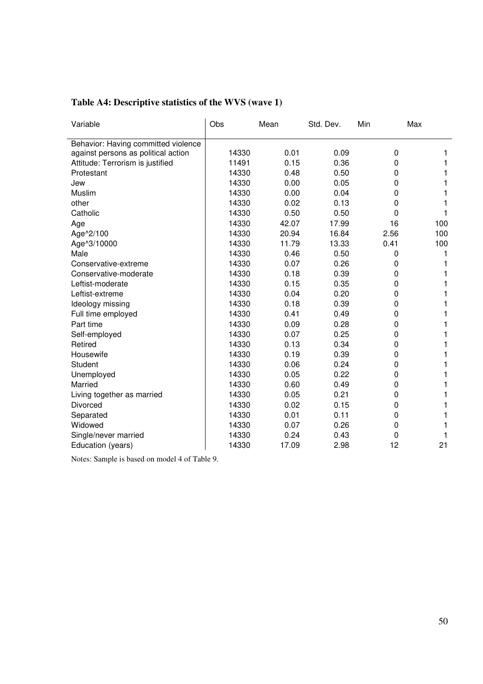| Variable                            | Obs   | Mean  | Std. Dev. | Min  | Max |
|-------------------------------------|-------|-------|-----------|------|-----|
| Behavior: Having committed violence |       |       |           |      |     |
| against persons as political action | 14330 | 0.01  | 0.09      | 0    |     |
| Attitude: Terrorism is justified    | 11491 | 0.15  | 0.36      | 0    |     |
| Protestant                          | 14330 | 0.48  | 0.50      | 0    |     |
| Jew                                 | 14330 | 0.00  | 0.05      | 0    |     |
| Muslim                              | 14330 | 0.00  | 0.04      | 0    |     |
| other                               | 14330 | 0.02  | 0.13      | 0    |     |
| Catholic                            | 14330 | 0.50  | 0.50      | 0    |     |
| Age                                 | 14330 | 42.07 | 17.99     | 16   | 100 |
| Age^2/100                           | 14330 | 20.94 | 16.84     | 2.56 | 100 |
| Age^3/10000                         | 14330 | 11.79 | 13.33     | 0.41 | 100 |
| Male                                | 14330 | 0.46  | 0.50      | 0    |     |
| Conservative-extreme                | 14330 | 0.07  | 0.26      | 0    |     |
| Conservative-moderate               | 14330 | 0.18  | 0.39      | 0    |     |
| Leftist-moderate                    | 14330 | 0.15  | 0.35      | 0    |     |
| Leftist-extreme                     | 14330 | 0.04  | 0.20      | 0    |     |
| Ideology missing                    | 14330 | 0.18  | 0.39      | 0    |     |
| Full time employed                  | 14330 | 0.41  | 0.49      | 0    |     |
| Part time                           | 14330 | 0.09  | 0.28      | 0    |     |
| Self-employed                       | 14330 | 0.07  | 0.25      | 0    |     |
| Retired                             | 14330 | 0.13  | 0.34      | 0    |     |
| Housewife                           | 14330 | 0.19  | 0.39      | 0    |     |
| Student                             | 14330 | 0.06  | 0.24      | 0    |     |
| Unemployed                          | 14330 | 0.05  | 0.22      | 0    |     |
| Married                             | 14330 | 0.60  | 0.49      | 0    |     |
| Living together as married          | 14330 | 0.05  | 0.21      | 0    |     |
| Divorced                            | 14330 | 0.02  | 0.15      | 0    |     |
| Separated                           | 14330 | 0.01  | 0.11      | 0    |     |
| Widowed                             | 14330 | 0.07  | 0.26      | 0    |     |
| Single/never married                | 14330 | 0.24  | 0.43      | 0    |     |
| Education (years)                   | 14330 | 17.09 | 2.98      | 12   | 21  |

Notes: Sample is based on model 4 of Table 9.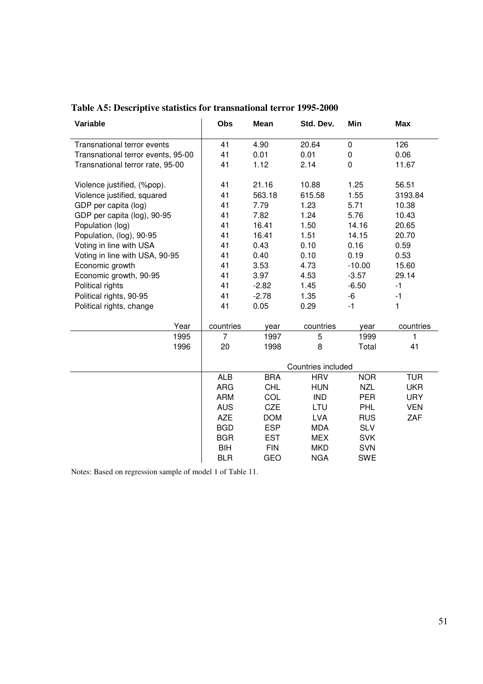| Variable                           | Obs                | Mean       | Std. Dev.  | Min         | <b>Max</b>   |  |  |
|------------------------------------|--------------------|------------|------------|-------------|--------------|--|--|
| Transnational terror events        | 41                 | 4.90       | 20.64      | $\pmb{0}$   | 126          |  |  |
| Transnational terror events, 95-00 | 41                 | 0.01       | 0.01       | 0           | 0.06         |  |  |
| Transnational terror rate, 95-00   | 41                 | 1.12       | 2.14       | $\mathbf 0$ | 11.67        |  |  |
| Violence justified, (%pop).        | 41                 | 21.16      | 10.88      | 1.25        | 56.51        |  |  |
| Violence justified, squared        | 41                 | 563.18     | 615.58     | 1.55        | 3193.84      |  |  |
| GDP per capita (log)               | 41                 | 7.79       | 1.23       | 5.71        | 10.38        |  |  |
| GDP per capita (log), 90-95        | 41                 | 7.82       | 1.24       | 5.76        | 10.43        |  |  |
| Population (log)                   | 41                 | 16.41      | 1.50       | 14.16       | 20.65        |  |  |
| Population, (log), 90-95           | 41                 | 16.41      | 1.51       | 14.15       | 20.70        |  |  |
| Voting in line with USA            | 41                 | 0.43       | 0.10       | 0.16        | 0.59         |  |  |
| Voting in line with USA, 90-95     | 41                 | 0.40       | 0.10       | 0.19        | 0.53         |  |  |
| Economic growth                    | 41                 | 3.53       | 4.73       | $-10.00$    | 15.60        |  |  |
| Economic growth, 90-95             | 41                 | 3.97       | 4.53       | $-3.57$     | 29.14        |  |  |
| Political rights                   | 41                 | $-2.82$    | 1.45       | $-6.50$     | $-1$         |  |  |
| Political rights, 90-95            | 41                 | $-2.78$    | 1.35       | -6          | $-1$         |  |  |
| Political rights, change           | 41                 | 0.05       | 0.29       | $-1$        | 1            |  |  |
| Year                               | countries          | year       | countries  | year        | countries    |  |  |
| 1995                               | $\overline{7}$     | 1997       | 5          | 1999        | $\mathbf{1}$ |  |  |
| 1996                               | 20                 | 1998       | 8          | Total       | 41           |  |  |
|                                    | Countries included |            |            |             |              |  |  |
|                                    | <b>ALB</b>         | <b>BRA</b> | <b>HRV</b> | <b>NOR</b>  | <b>TUR</b>   |  |  |
|                                    | <b>ARG</b>         | <b>CHL</b> | <b>HUN</b> | <b>NZL</b>  | <b>UKR</b>   |  |  |
|                                    | <b>ARM</b>         | COL        | <b>IND</b> | <b>PER</b>  | <b>URY</b>   |  |  |
|                                    | <b>AUS</b>         | <b>CZE</b> | LTU        | <b>PHL</b>  | <b>VEN</b>   |  |  |
|                                    | <b>AZE</b>         | <b>DOM</b> | <b>LVA</b> | <b>RUS</b>  | ZAF          |  |  |
|                                    | <b>BGD</b>         | <b>ESP</b> | <b>MDA</b> | <b>SLV</b>  |              |  |  |
|                                    | <b>BGR</b>         | <b>EST</b> | <b>MEX</b> | <b>SVK</b>  |              |  |  |
|                                    | <b>BIH</b>         | <b>FIN</b> | <b>MKD</b> | <b>SVN</b>  |              |  |  |
|                                    | <b>BLR</b>         | <b>GEO</b> | <b>NGA</b> | <b>SWE</b>  |              |  |  |

**Table A5: Descriptive statistics for transnational terror 1995-2000** 

Notes: Based on regression sample of model 1 of Table 11.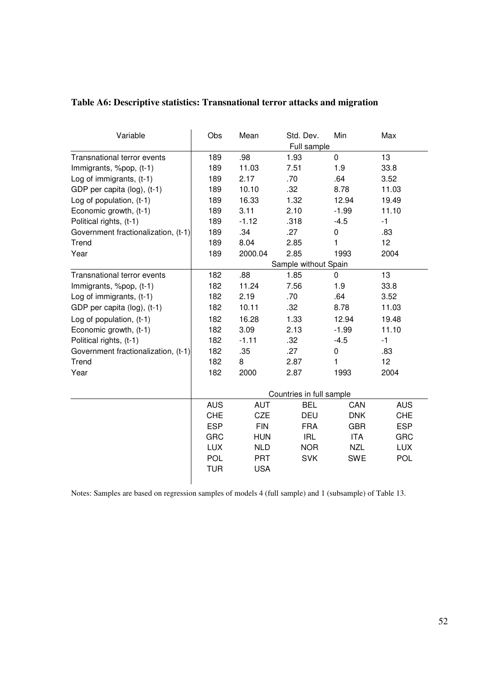|  | Table A6: Descriptive statistics: Transnational terror attacks and migration |  |
|--|------------------------------------------------------------------------------|--|
|  |                                                                              |  |

| Variable                            | Obs        | Mean       | Std. Dev.<br>Full sample | Min        | Max        |
|-------------------------------------|------------|------------|--------------------------|------------|------------|
| Transnational terror events         | 189        | .98        | 1.93                     | $\pmb{0}$  | 13         |
| Immigrants, %pop, (t-1)             | 189        | 11.03      | 7.51                     | 1.9        | 33.8       |
| Log of immigrants, (t-1)            | 189        | 2.17       | .70                      | .64        | 3.52       |
| GDP per capita (log), (t-1)         | 189        | 10.10      | .32                      | 8.78       | 11.03      |
| Log of population, (t-1)            | 189        | 16.33      | 1.32                     | 12.94      | 19.49      |
| Economic growth, (t-1)              | 189        | 3.11       | 2.10                     | $-1.99$    | 11.10      |
| Political rights, (t-1)             | 189        | $-1.12$    | .318                     | $-4.5$     | $-1$       |
| Government fractionalization, (t-1) | 189        | .34        | .27                      | 0          | .83        |
| Trend                               | 189        | 8.04       | 2.85                     | 1          | 12         |
| Year                                | 189        | 2000.04    | 2.85                     | 1993       | 2004       |
|                                     |            |            | Sample without Spain     |            |            |
| Transnational terror events         | 182        | .88        | 1.85                     | 0          | 13         |
| Immigrants, %pop, (t-1)             | 182        | 11.24      | 7.56                     | 1.9        | 33.8       |
| Log of immigrants, (t-1)            | 182        | 2.19       | .70                      | .64        | 3.52       |
| GDP per capita (log), (t-1)         | 182        | 10.11      | .32                      | 8.78       | 11.03      |
| Log of population, (t-1)            | 182        | 16.28      | 1.33                     | 12.94      | 19.48      |
| Economic growth, (t-1)              | 182        | 3.09       | 2.13                     | $-1.99$    | 11.10      |
| Political rights, (t-1)             | 182        | $-1.11$    | .32                      | $-4.5$     | $-1$       |
| Government fractionalization, (t-1) | 182        | .35        | .27                      | 0          | .83        |
| Trend                               | 182        | 8          | 2.87                     | 1          | 12         |
| Year                                | 182        | 2000       | 2.87                     | 1993       | 2004       |
|                                     |            |            | Countries in full sample |            |            |
|                                     | <b>AUS</b> | <b>AUT</b> | <b>BEL</b>               | CAN        | <b>AUS</b> |
|                                     | <b>CHE</b> | <b>CZE</b> | <b>DEU</b>               | <b>DNK</b> | <b>CHE</b> |
|                                     | <b>ESP</b> | <b>FIN</b> | <b>FRA</b>               | <b>GBR</b> | <b>ESP</b> |
|                                     | <b>GRC</b> | <b>HUN</b> | <b>IRL</b>               | <b>ITA</b> | <b>GRC</b> |
|                                     | <b>LUX</b> | <b>NLD</b> | <b>NOR</b>               | <b>NZL</b> | <b>LUX</b> |
|                                     | <b>POL</b> | <b>PRT</b> | <b>SVK</b>               | <b>SWE</b> | <b>POL</b> |
|                                     | <b>TUR</b> | <b>USA</b> |                          |            |            |
|                                     |            |            |                          |            |            |

Notes: Samples are based on regression samples of models 4 (full sample) and 1 (subsample) of Table 13.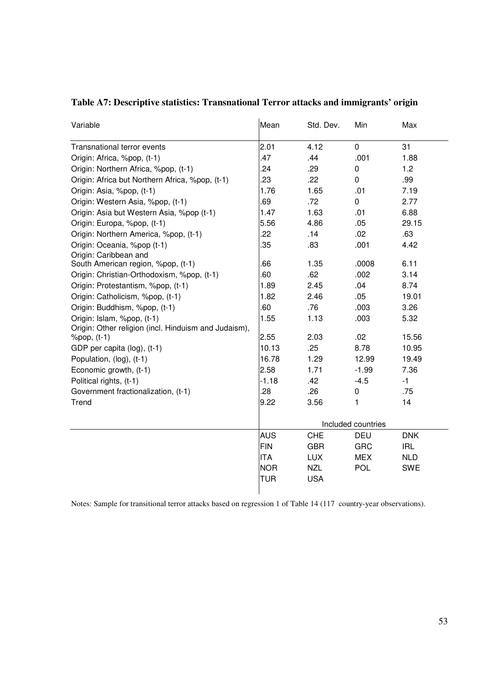| Variable                                             | Mean               | Std. Dev.  | Min            | Max        |
|------------------------------------------------------|--------------------|------------|----------------|------------|
| Transnational terror events                          | 2.01               | 4.12       | $\mathbf 0$    | 31         |
| Origin: Africa, %pop, (t-1)                          | .47                | .44        | .001           | 1.88       |
| Origin: Northern Africa, %pop, (t-1)                 | .24                | .29        | 0              | 1.2        |
| Origin: Africa but Northern Africa, %pop, (t-1)      | .23                | .22        | $\overline{0}$ | .99        |
| Origin: Asia, %pop, (t-1)                            | 1.76               | 1.65       | .01            | 7.19       |
| Origin: Western Asia, %pop, (t-1)                    | 69                 | .72        | 0              | 2.77       |
| Origin: Asia but Western Asia, %pop (t-1)            | 1.47               | 1.63       | .01            | 6.88       |
| Origin: Europa, %pop, (t-1)                          | 5.56               | 4.86       | .05            | 29.15      |
| Origin: Northern America, %pop, (t-1)                | 22                 | .14        | .02            | .63        |
| Origin: Oceania, %pop (t-1)<br>Origin: Caribbean and | .35                | .83        | .001           | 4.42       |
| South American region, %pop, (t-1)                   | .66                | 1.35       | .0008          | 6.11       |
| Origin: Christian-Orthodoxism, %pop, (t-1)           | .60                | .62        | .002           | 3.14       |
| Origin: Protestantism, %pop, (t-1)                   | 1.89               | 2.45       | .04            | 8.74       |
| Origin: Catholicism, %pop, (t-1)                     | 1.82               | 2.46       | .05            | 19.01      |
| Origin: Buddhism, %pop, (t-1)                        | 60                 | .76        | .003           | 3.26       |
| Origin: Islam, %pop, (t-1)                           | 1.55               | 1.13       | .003           | 5.32       |
| Origin: Other religion (incl. Hinduism and Judaism), |                    |            |                |            |
| %pop, (t-1)                                          | 2.55               | 2.03       | .02            | 15.56      |
| GDP per capita (log), (t-1)                          | 10.13              | .25        | 8.78           | 10.95      |
| Population, (log), (t-1)                             | 16.78              | 1.29       | 12.99          | 19.49      |
| Economic growth, (t-1)                               | 2.58               | 1.71       | $-1.99$        | 7.36       |
| Political rights, (t-1)                              | $-1.18$            | .42        | $-4.5$         | $-1$       |
| Government fractionalization, (t-1)                  | .28                | .26        | 0              | .75        |
| Trend                                                | 9.22               | 3.56       | 1              | 14         |
|                                                      | Included countries |            |                |            |
|                                                      | <b>AUS</b>         | CHE        | DEU            | <b>DNK</b> |
|                                                      | <b>FIN</b>         | <b>GBR</b> | <b>GRC</b>     | <b>IRL</b> |
|                                                      | <b>ITA</b>         | <b>LUX</b> | <b>MEX</b>     | <b>NLD</b> |
|                                                      | <b>NOR</b>         | <b>NZL</b> | POL            | <b>SWE</b> |
|                                                      | <b>TUR</b>         | <b>USA</b> |                |            |

### **Table A7: Descriptive statistics: Transnational Terror attacks and immigrants' origin**

Notes: Sample for transitional terror attacks based on regression 1 of Table 14 (117 country-year observations).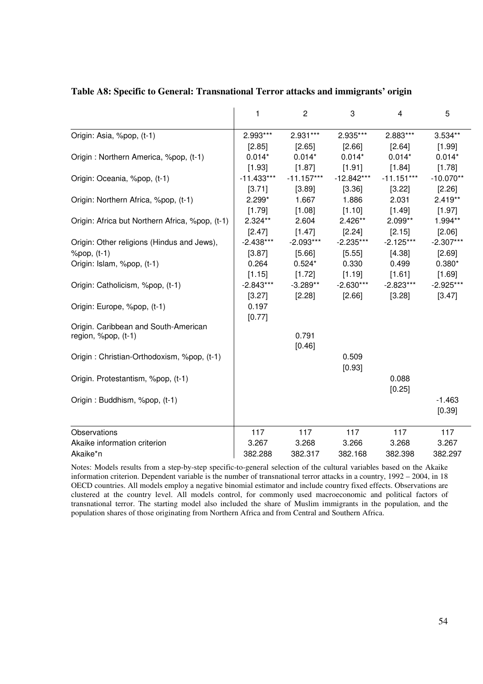|                                                 | 1            | $\overline{c}$ | 3            | 4            | 5           |
|-------------------------------------------------|--------------|----------------|--------------|--------------|-------------|
| Origin: Asia, %pop, (t-1)                       | 2.993***     | 2.931***       | 2.935***     | 2.883***     | 3.534**     |
|                                                 | [2.85]       | [2.65]         | $[2.66]$     | [2.64]       | [1.99]      |
| Origin: Northern America, %pop, (t-1)           | $0.014*$     | $0.014*$       | $0.014*$     | $0.014*$     | $0.014*$    |
|                                                 | [1.93]       | [1.87]         | [1.91]       | [1.84]       | [1.78]      |
| Origin: Oceania, %pop, (t-1)                    | $-11.433***$ | $-11.157***$   | $-12.842***$ | $-11.151***$ | $-10.070**$ |
|                                                 | [3.71]       | [3.89]         | [3.36]       | [3.22]       | [2.26]      |
| Origin: Northern Africa, %pop, (t-1)            | $2.299*$     | 1.667          | 1.886        | 2.031        | $2.419**$   |
|                                                 | [1.79]       | [1.08]         | [1.10]       | [1.49]       | [1.97]      |
| Origin: Africa but Northern Africa, %pop, (t-1) | 2.324**      | 2.604          | $2.426**$    | $2.099**$    | 1.994**     |
|                                                 | [2.47]       | [1.47]         | $[2.24]$     | [2.15]       | [2.06]      |
| Origin: Other religions (Hindus and Jews),      | $-2.438***$  | $-2.093***$    | $-2.235***$  | $-2.125***$  | $-2.307***$ |
| $%pop, (t-1)$                                   | [3.87]       | [5.66]         | [5.55]       | [4.38]       | [2.69]      |
| Origin: Islam, %pop, (t-1)                      | 0.264        | $0.524*$       | 0.330        | 0.499        | $0.380*$    |
|                                                 | [1.15]       | [1.72]         | [1.19]       | [1.61]       | [1.69]      |
| Origin: Catholicism, %pop, (t-1)                | $-2.843***$  | $-3.289**$     | $-2.630***$  | $-2.823***$  | $-2.925***$ |
|                                                 | [3.27]       | [2.28]         | [2.66]       | [3.28]       | [3.47]      |
| Origin: Europe, %pop, (t-1)                     | 0.197        |                |              |              |             |
|                                                 | [0.77]       |                |              |              |             |
| Origin. Caribbean and South-American            |              |                |              |              |             |
| region, %pop, (t-1)                             |              | 0.791          |              |              |             |
|                                                 |              | [0.46]         |              |              |             |
| Origin: Christian-Orthodoxism, %pop, (t-1)      |              |                | 0.509        |              |             |
|                                                 |              |                | [0.93]       |              |             |
| Origin. Protestantism, %pop, (t-1)              |              |                |              | 0.088        |             |
|                                                 |              |                |              | [0.25]       |             |
| Origin: Buddhism, %pop, (t-1)                   |              |                |              |              | $-1.463$    |
|                                                 |              |                |              |              | [0.39]      |
| Observations                                    | 117          | 117            | 117          | 117          | 117         |
| Akaike information criterion                    | 3.267        | 3.268          | 3.266        | 3.268        | 3.267       |
| Akaike*n                                        | 382.288      | 382.317        | 382.168      | 382.398      | 382.297     |

#### **Table A8: Specific to General: Transnational Terror attacks and immigrants' origin**

Notes: Models results from a step-by-step specific-to-general selection of the cultural variables based on the Akaike information criterion. Dependent variable is the number of transnational terror attacks in a country, 1992 – 2004, in 18 OECD countries. All models employ a negative binomial estimator and include country fixed effects. Observations are clustered at the country level. All models control, for commonly used macroeconomic and political factors of transnational terror. The starting model also included the share of Muslim immigrants in the population, and the population shares of those originating from Northern Africa and from Central and Southern Africa.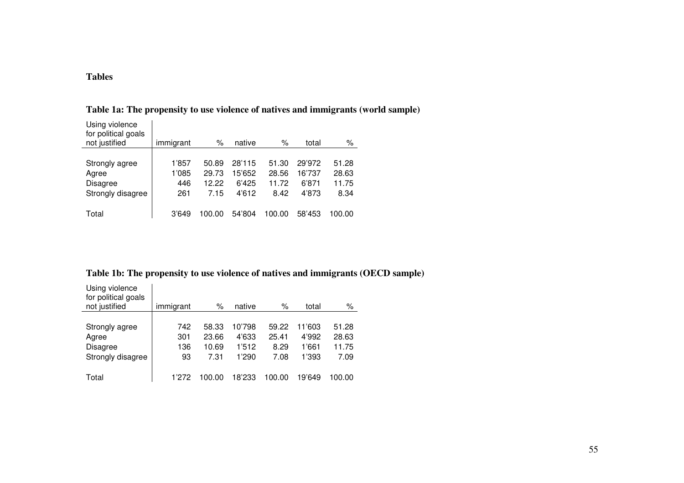### **Tables**

| Using violence<br>for political goals<br>not justified | immigrant | $\%$   | native | $\%$   | total  | %      |
|--------------------------------------------------------|-----------|--------|--------|--------|--------|--------|
|                                                        |           |        |        |        |        |        |
| Strongly agree                                         | 1'857     | 50.89  | 28'115 | 51.30  | 29'972 | 51.28  |
| Agree                                                  | 1'085     | 29.73  | 15'652 | 28.56  | 16'737 | 28.63  |
| <b>Disagree</b>                                        | 446       | 12.22  | 6'425  | 11.72  | 6'871  | 11.75  |
| Strongly disagree                                      | 261       | 7.15   | 4'612  | 8.42   | 4'873  | 8.34   |
|                                                        |           |        |        |        |        |        |
| Total                                                  | 3'649     | .oo oo | 54'804 | 100.00 | 58'453 | 100.00 |

**Table 1a: The propensity to use violence of natives and immigrants (world sample)** 

### **Table 1b: The propensity to use violence of natives and immigrants (OECD sample)**

| Using violence<br>for political goals<br>not justified | immigrant | %          | native | %      | total  | $\%$   |
|--------------------------------------------------------|-----------|------------|--------|--------|--------|--------|
|                                                        |           |            |        |        |        |        |
| Strongly agree                                         | 742       | 58.33      | 10'798 | 59.22  | 11'603 | 51.28  |
| Agree                                                  | 301       | 23.66      | 4'633  | 25.41  | 4'992  | 28.63  |
| Disagree                                               | 136       | 10.69      | 1'512  | 8.29   | 1'661  | 11.75  |
| Strongly disagree                                      | 93        | 7.31       | 1'290  | 7.08   | 1'393  | 7.09   |
|                                                        |           |            |        |        |        |        |
| Total                                                  | 1'272     | 00.<br>.00 | 18'233 | 100.00 | 19'649 | 100.00 |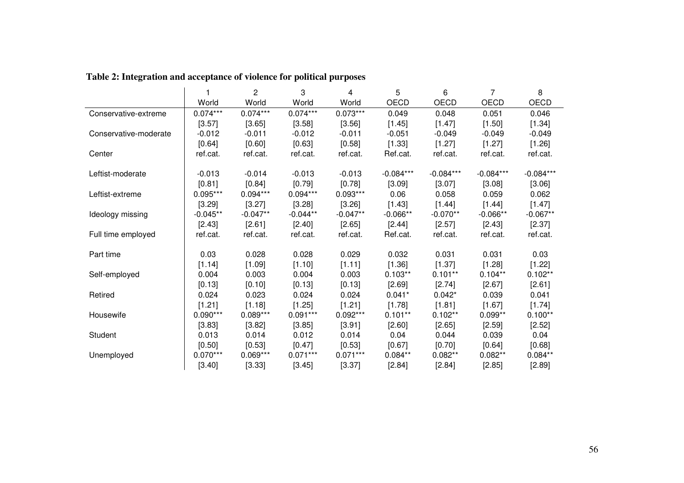|                       |            | 2          | 3          | 4          | 5           | 6           | 7           | 8           |
|-----------------------|------------|------------|------------|------------|-------------|-------------|-------------|-------------|
|                       | World      | World      | World      | World      | OECD        | OECD        | OECD        | OECD        |
| Conservative-extreme  | $0.074***$ | $0.074***$ | $0.074***$ | $0.073***$ | 0.049       | 0.048       | 0.051       | 0.046       |
|                       | [3.57]     | [3.65]     | [3.58]     | [3.56]     | [1.45]      | [1.47]      | [1.50]      | [1.34]      |
| Conservative-moderate | $-0.012$   | $-0.011$   | $-0.012$   | $-0.011$   | $-0.051$    | $-0.049$    | $-0.049$    | $-0.049$    |
|                       | [0.64]     | [0.60]     | [0.63]     | [0.58]     | [1.33]      | [1.27]      | [1.27]      | [1.26]      |
| Center                | ref.cat.   | ref.cat.   | ref.cat.   | ref.cat.   | Ref.cat.    | ref.cat.    | ref.cat.    | ref.cat.    |
| Leftist-moderate      | $-0.013$   | $-0.014$   | $-0.013$   | $-0.013$   | $-0.084***$ | $-0.084***$ | $-0.084***$ | $-0.084***$ |
|                       | [0.81]     | [0.84]     | [0.79]     | [0.78]     | [3.09]      | [3.07]      | [3.08]      | [3.06]      |
| Leftist-extreme       | $0.095***$ | $0.094***$ | $0.094***$ | $0.093***$ | 0.06        | 0.058       | 0.059       | 0.062       |
|                       | [3.29]     | $[3.27]$   | [3.28]     | [3.26]     | [1.43]      | [1.44]      | $[1.44]$    | [1.47]      |
| Ideology missing      | $-0.045**$ | $-0.047**$ | $-0.044**$ | $-0.047**$ | $-0.066**$  | $-0.070**$  | $-0.066**$  | $-0.067**$  |
|                       | [2.43]     | [2.61]     | [2.40]     | [2.65]     | $[2.44]$    | [2.57]      | [2.43]      | [2.37]      |
| Full time employed    | ref.cat.   | ref.cat.   | ref.cat.   | ref.cat.   | Ref.cat.    | ref.cat.    | ref.cat.    | ref.cat.    |
| Part time             | 0.03       | 0.028      | 0.028      | 0.029      | 0.032       | 0.031       | 0.031       | 0.03        |
|                       | [1.14]     | [1.09]     | [1.10]     | [1.11]     | $[1.36]$    | [1.37]      | [1.28]      | [1.22]      |
| Self-employed         | 0.004      | 0.003      | 0.004      | 0.003      | $0.103**$   | $0.101**$   | $0.104**$   | $0.102**$   |
|                       | [0.13]     | [0.10]     | [0.13]     | [0.13]     | [2.69]      | $[2.74]$    | [2.67]      | [2.61]      |
| Retired               | 0.024      | 0.023      | 0.024      | 0.024      | $0.041*$    | $0.042*$    | 0.039       | 0.041       |
|                       | [1.21]     | [1.18]     | [1.25]     | [1.21]     | [1.78]      | [1.81]      | [1.67]      | [1.74]      |
| Housewife             | $0.090***$ | $0.089***$ | $0.091***$ | $0.092***$ | $0.101**$   | $0.102**$   | $0.099**$   | $0.100**$   |
|                       | [3.83]     | [3.82]     | [3.85]     | [3.91]     | $[2.60]$    | [2.65]      | [2.59]      | [2.52]      |
| Student               | 0.013      | 0.014      | 0.012      | 0.014      | 0.04        | 0.044       | 0.039       | 0.04        |
|                       | [0.50]     | [0.53]     | [0.47]     | [0.53]     | [0.67]      | $[0.70]$    | [0.64]      | [0.68]      |
| Unemployed            | $0.070***$ | $0.069***$ | $0.071***$ | $0.071***$ | $0.084**$   | $0.082**$   | $0.082**$   | $0.084**$   |
|                       | [3.40]     | [3.33]     | [3.45]     | [3.37]     | [2.84]      | [2.84]      | [2.85]      | [2.89]      |

# **Table 2: Integration and acceptance of violence for political purposes**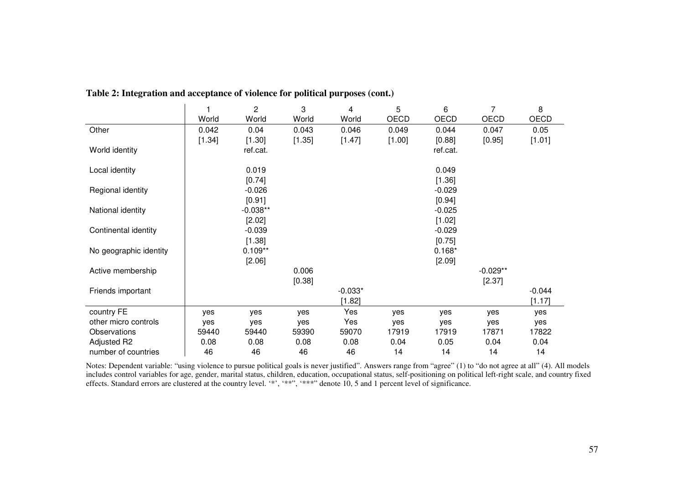|                        | $\overline{\phantom{a}}$ | $\overline{c}$ | 3      | 4         | 5      | 6        | 7          | 8           |
|------------------------|--------------------------|----------------|--------|-----------|--------|----------|------------|-------------|
|                        | World                    | World          | World  | World     | OECD   | OECD     | OECD       | <b>OECD</b> |
| Other                  | 0.042                    | 0.04           | 0.043  | 0.046     | 0.049  | 0.044    | 0.047      | 0.05        |
|                        | [1.34]                   | [1.30]         | [1.35] | [1.47]    | [1.00] | [0.88]   | [0.95]     | [1.01]      |
| World identity         |                          | ref.cat.       |        |           |        | ref.cat. |            |             |
| Local identity         |                          | 0.019          |        |           |        | 0.049    |            |             |
|                        |                          | [0.74]         |        |           |        | [1.36]   |            |             |
| Regional identity      |                          | $-0.026$       |        |           |        | $-0.029$ |            |             |
|                        |                          | [0.91]         |        |           |        | [0.94]   |            |             |
| National identity      |                          | $-0.038**$     |        |           |        | $-0.025$ |            |             |
|                        |                          | [2.02]         |        |           |        | [1.02]   |            |             |
| Continental identity   |                          | $-0.039$       |        |           |        | $-0.029$ |            |             |
|                        |                          | [1.38]         |        |           |        | [0.75]   |            |             |
| No geographic identity |                          | $0.109**$      |        |           |        | $0.168*$ |            |             |
|                        |                          | [2.06]         |        |           |        | [2.09]   |            |             |
| Active membership      |                          |                | 0.006  |           |        |          | $-0.029**$ |             |
|                        |                          |                | [0.38] |           |        |          | [2.37]     |             |
| Friends important      |                          |                |        | $-0.033*$ |        |          |            | $-0.044$    |
|                        |                          |                |        | [1.82]    |        |          |            | [1.17]      |
| country FE             | yes                      | yes            | yes    | Yes       | yes    | yes      | yes        | yes         |
| other micro controls   | yes                      | yes            | yes    | Yes       | yes    | yes      | yes        | yes         |
| Observations           | 59440                    | 59440          | 59390  | 59070     | 17919  | 17919    | 17871      | 17822       |
| Adjusted R2            | 0.08                     | 0.08           | 0.08   | 0.08      | 0.04   | 0.05     | 0.04       | 0.04        |
| number of countries    | 46                       | 46             | 46     | 46        | 14     | 14       | 14         | 14          |

**Table 2: Integration and acceptance of violence for political purposes (cont.)** 

Notes: Dependent variable: "using violence to pursue political goals is never justified". Answers range from "agree" (1) to "do not agree at all" (4). All models includes control variables for age, gender, marital status, children, education, occupational status, self-positioning on political left-right scale, and country fixed effects. Standard errors are clustered at the country level. '\*', '\*\*", '\*\*\*" denote 10, 5 and 1 percent level of significance.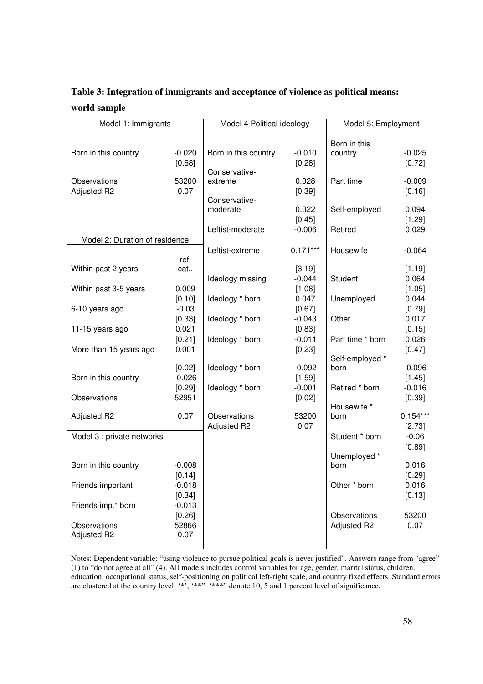### **Table 3: Integration of immigrants and acceptance of violence as political means: world sample**

| Model 1: Immigrants            |                    | Model 4 Political ideology |                    | Model 5: Employment |                    |
|--------------------------------|--------------------|----------------------------|--------------------|---------------------|--------------------|
|                                |                    |                            |                    | Born in this        |                    |
| Born in this country           | $-0.020$<br>[0.68] | Born in this country       | $-0.010$<br>[0.28] | country             | $-0.025$<br>[0.72] |
| Observations                   | 53200              | Conservative-<br>extreme   | 0.028              | Part time           | $-0.009$           |
| Adjusted R2                    | 0.07               |                            | [0.39]             |                     | [0.16]             |
|                                |                    | Conservative-              |                    |                     |                    |
|                                |                    | moderate                   | 0.022              | Self-employed       | 0.094              |
|                                |                    |                            | [0.45]             |                     | [1.29]             |
|                                |                    | Leftist-moderate           | $-0.006$           | Retired             | 0.029              |
| Model 2: Duration of residence |                    |                            |                    |                     |                    |
|                                | ref.               | Leftist-extreme            | $0.171***$         | Housewife           | $-0.064$           |
| Within past 2 years            | cat                |                            | [3.19]             |                     | [1.19]             |
|                                |                    | Ideology missing           | $-0.044$           | Student             | 0.064              |
| Within past 3-5 years          | 0.009              |                            | [1.08]             |                     | [1.05]             |
|                                | [0.10]             | Ideology * born            | 0.047              | Unemployed          | 0.044              |
| 6-10 years ago                 | $-0.03$            |                            | [0.67]             |                     | [0.79]             |
|                                | [0.33]             | Ideology * born            | $-0.043$           | Other               | 0.017              |
| 11-15 years ago                | 0.021              |                            | [0.83]             |                     | [0.15]             |
|                                | [0.21]             | Ideology * born            | $-0.011$           | Part time * born    | 0.026              |
| More than 15 years ago         | 0.001              |                            | [0.23]             |                     | [0.47]             |
|                                |                    |                            |                    | Self-employed *     |                    |
|                                | [0.02]<br>$-0.026$ | Ideology * born            | $-0.092$           | born                | $-0.096$           |
| Born in this country           | [0.29]             | Ideology * born            | [1.59]<br>$-0.001$ | Retired * born      | [1.45]<br>$-0.016$ |
| Observations                   | 52951              |                            | [0.02]             |                     | [0.39]             |
|                                |                    |                            |                    | Housewife *         |                    |
| Adjusted R2                    | 0.07               | Observations               | 53200              | born                | $0.154***$         |
|                                |                    | Adjusted R2                | 0.07               |                     | [2.73]             |
| Model 3 : private networks     |                    |                            |                    | Student * born      | $-0.06$            |
|                                |                    |                            |                    |                     | [0.89]             |
|                                |                    |                            |                    | Unemployed *        |                    |
| Born in this country           | $-0.008$           |                            |                    | born                | 0.016              |
|                                | [0.14]             |                            |                    |                     | [0.29]             |
| Friends important              | $-0.018$           |                            |                    | Other * born        | 0.016              |
| Friends imp.* born             | [0.34]<br>$-0.013$ |                            |                    |                     | [0.13]             |
|                                | [0.26]             |                            |                    | Observations        | 53200              |
| Observations                   | 52866              |                            |                    | Adjusted R2         | 0.07               |
| Adjusted R2                    | 0.07               |                            |                    |                     |                    |
|                                |                    |                            |                    |                     |                    |

Notes: Dependent variable: "using violence to pursue political goals is never justified". Answers range from "agree" (1) to "do not agree at all" (4). All models includes control variables for age, gender, marital status, children, education, occupational status, self-positioning on political left-right scale, and country fixed effects. Standard errors are clustered at the country level. '\*', '\*\*'', '\*\*\*'' denote 10, 5 and 1 percent level of significance.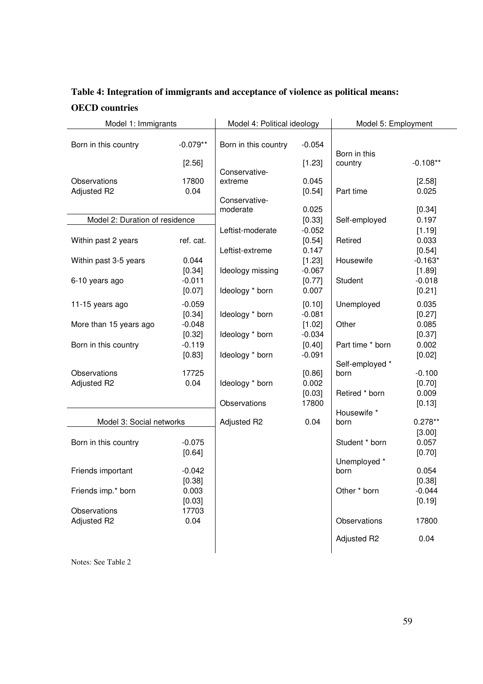# **Table 4: Integration of immigrants and acceptance of violence as political means: OECD countries**

| Model 1: Immigrants            |                    | Model 4: Political ideology |                    | Model 5: Employment |                 |
|--------------------------------|--------------------|-----------------------------|--------------------|---------------------|-----------------|
|                                |                    |                             |                    |                     |                 |
| Born in this country           | $-0.079**$         | Born in this country        | $-0.054$           | Born in this        |                 |
|                                | [2.56]             |                             | [1.23]             | country             | $-0.108**$      |
|                                |                    | Conservative-               |                    |                     |                 |
| Observations                   | 17800              | extreme                     | 0.045              |                     | [2.58]          |
| Adjusted R2                    | 0.04               | Conservative-               | [0.54]             | Part time           | 0.025           |
|                                |                    | moderate                    | 0.025              |                     | [0.34]          |
| Model 2: Duration of residence |                    |                             | [0.33]             | Self-employed       | 0.197           |
|                                |                    | Leftist-moderate            | $-0.052$           |                     | [1.19]          |
| Within past 2 years            | ref. cat.          |                             | [0.54]             | Retired             | 0.033           |
|                                |                    | Leftist-extreme             | 0.147              |                     | [0.54]          |
| Within past 3-5 years          | 0.044              |                             | [1.23]             | Housewife           | $-0.163*$       |
|                                | [0.34]             | Ideology missing            | $-0.067$           |                     | [1.89]          |
| 6-10 years ago                 | $-0.011$           |                             | [0.77]             | Student             | $-0.018$        |
|                                | [0.07]             | Ideology * born             | 0.007              |                     | [0.21]          |
| 11-15 years ago                | $-0.059$           |                             | [0.10]             | Unemployed          | 0.035           |
|                                | [0.34]             | Ideology * born             | $-0.081$           |                     | [0.27]          |
| More than 15 years ago         | $-0.048$           |                             | [1.02]<br>$-0.034$ | Other               | 0.085           |
| Born in this country           | [0.32]<br>$-0.119$ | Ideology * born             | [0.40]             | Part time * born    | [0.37]<br>0.002 |
|                                | [0.83]             | Ideology * born             | $-0.091$           |                     | [0.02]          |
|                                |                    |                             |                    | Self-employed *     |                 |
| Observations                   | 17725              |                             | [0.86]             | born                | $-0.100$        |
| Adjusted R2                    | 0.04               | Ideology * born             | 0.002              |                     | [0.70]          |
|                                |                    |                             | [0.03]             | Retired * born      | 0.009           |
|                                |                    | Observations                | 17800              | Housewife *         | [0.13]          |
| Model 3: Social networks       |                    | Adjusted R2                 | 0.04               | born                | $0.278**$       |
|                                |                    |                             |                    |                     | [3.00]          |
| Born in this country           | $-0.075$           |                             |                    | Student * born      | 0.057           |
|                                | [0.64]             |                             |                    |                     | [0.70]          |
|                                |                    |                             |                    | Unemployed *        |                 |
| Friends important              | $-0.042$           |                             |                    | born                | 0.054           |
|                                | [0.38]             |                             |                    |                     | [0.38]          |
| Friends imp.* born             | 0.003              |                             |                    | Other * born        | $-0.044$        |
| Observations                   | [0.03]<br>17703    |                             |                    |                     | [0.19]          |
| Adjusted R2                    | 0.04               |                             |                    | Observations        | 17800           |
|                                |                    |                             |                    |                     |                 |
|                                |                    |                             |                    | Adjusted R2         | 0.04            |

Notes: See Table 2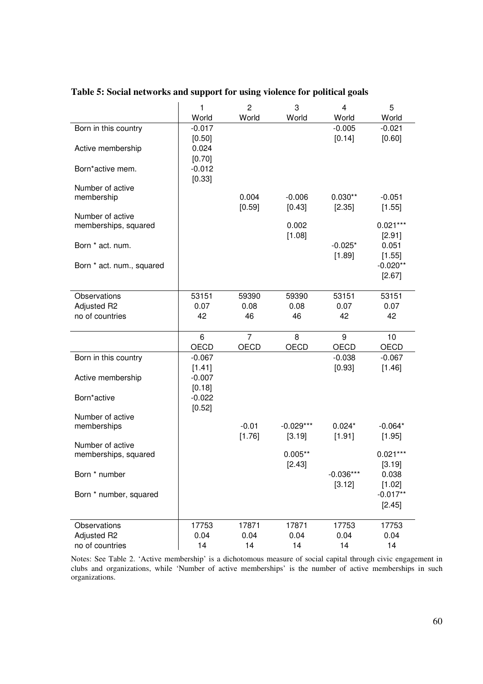|                                          | 1<br>World                | $\overline{c}$<br>World | 3<br>World         | 4<br>World            | 5<br>World                |
|------------------------------------------|---------------------------|-------------------------|--------------------|-----------------------|---------------------------|
| Born in this country                     | $-0.017$                  |                         |                    | $-0.005$              | $-0.021$                  |
| Active membership                        | [0.50]<br>0.024<br>[0.70] |                         |                    | [0.14]                | [0.60]                    |
| Born*active mem.                         | $-0.012$<br>[0.33]        |                         |                    |                       |                           |
| Number of active<br>membership           |                           | 0.004<br>[0.59]         | $-0.006$<br>[0.43] | $0.030**$<br>[2.35]   | $-0.051$<br>[1.55]        |
| Number of active<br>memberships, squared |                           |                         | 0.002              |                       | $0.021***$                |
| Born * act. num.                         |                           |                         | [1.08]             | $-0.025*$<br>[1.89]   | [2.91]<br>0.051<br>[1.55] |
| Born * act. num., squared                |                           |                         |                    |                       | $-0.020**$<br>[2.67]      |
| Observations                             | 53151                     | 59390                   | 59390              | 53151                 | 53151                     |
| Adjusted R2<br>no of countries           | 0.07<br>42                | 0.08<br>46              | 0.08<br>46         | 0.07<br>42            | 0.07<br>42                |
|                                          | 6                         | $\overline{7}$          | 8                  | 9                     | 10                        |
| Born in this country                     | OECD<br>$-0.067$          | OECD                    | OECD               | OECD<br>$-0.038$      | OECD<br>$-0.067$          |
|                                          | [1.41]                    |                         |                    | [0.93]                | [1.46]                    |
| Active membership                        | $-0.007$<br>[0.18]        |                         |                    |                       |                           |
| Born*active                              | $-0.022$<br>[0.52]        |                         |                    |                       |                           |
| Number of active                         |                           | $-0.01$                 | $-0.029***$        | $0.024*$              | $-0.064*$                 |
| memberships                              |                           | [1.76]                  | [3.19]             | [1.91]                | [1.95]                    |
| Number of active<br>memberships, squared |                           |                         | $0.005**$          |                       | $0.021***$                |
| Born * number                            |                           |                         | [2.43]             | $-0.036***$<br>[3.12] | [3.19]<br>0.038<br>[1.02] |
| Born * number, squared                   |                           |                         |                    |                       | $-0.017**$<br>[2.45]      |
| Observations                             | 17753                     | 17871                   | 17871              | 17753                 | 17753                     |
| Adjusted R2<br>no of countries           | 0.04<br>14                | 0.04<br>14              | 0.04<br>14         | 0.04<br>14            | 0.04<br>14                |

**Table 5: Social networks and support for using violence for political goals** 

Notes: See Table 2. 'Active membership' is a dichotomous measure of social capital through civic engagement in clubs and organizations, while 'Number of active memberships' is the number of active memberships in such organizations.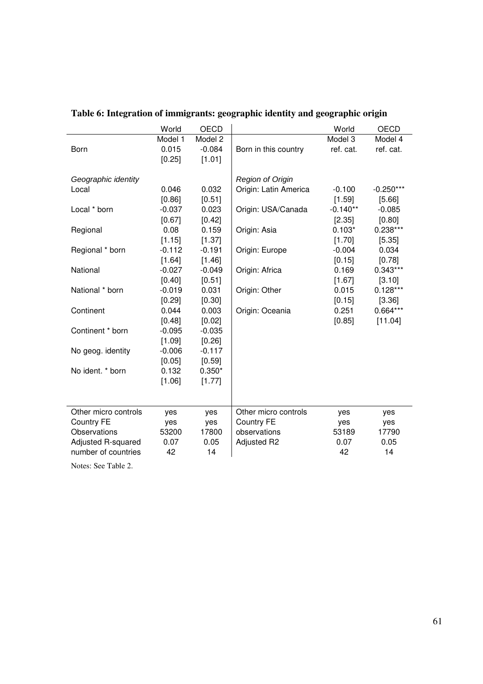|                      | World    | OECD     |                       | World      | OECD        |
|----------------------|----------|----------|-----------------------|------------|-------------|
|                      | Model 1  | Model 2  |                       | Model 3    | Model 4     |
| Born                 | 0.015    | $-0.084$ | Born in this country  | ref. cat.  | ref. cat.   |
|                      | [0.25]   | [1.01]   |                       |            |             |
|                      |          |          |                       |            |             |
| Geographic identity  |          |          | Region of Origin      |            |             |
| Local                | 0.046    | 0.032    | Origin: Latin America | $-0.100$   | $-0.250***$ |
|                      | [0.86]   | [0.51]   |                       | [1.59]     | [5.66]      |
| Local * born         | $-0.037$ | 0.023    | Origin: USA/Canada    | $-0.140**$ | $-0.085$    |
|                      | [0.67]   | [0.42]   |                       | [2.35]     | [0.80]      |
| Regional             | 0.08     | 0.159    | Origin: Asia          | $0.103*$   | $0.238***$  |
|                      | [1.15]   | [1.37]   |                       | [1.70]     | [5.35]      |
| Regional * born      | $-0.112$ | $-0.191$ | Origin: Europe        | $-0.004$   | 0.034       |
|                      | [1.64]   | [1.46]   |                       | [0.15]     | [0.78]      |
| National             | $-0.027$ | $-0.049$ | Origin: Africa        | 0.169      | $0.343***$  |
|                      | [0.40]   | [0.51]   |                       | [1.67]     | [3.10]      |
| National * born      | $-0.019$ | 0.031    | Origin: Other         | 0.015      | $0.128***$  |
|                      | [0.29]   | [0.30]   |                       | [0.15]     | [3.36]      |
| Continent            | 0.044    | 0.003    | Origin: Oceania       | 0.251      | 0.664***    |
|                      | [0.48]   | [0.02]   |                       | [0.85]     | [11.04]     |
| Continent * born     | $-0.095$ | $-0.035$ |                       |            |             |
|                      | [1.09]   | [0.26]   |                       |            |             |
| No geog. identity    | $-0.006$ | $-0.117$ |                       |            |             |
|                      | [0.05]   | [0.59]   |                       |            |             |
| No ident. * born     | 0.132    | $0.350*$ |                       |            |             |
|                      | [1.06]   | [1.77]   |                       |            |             |
|                      |          |          |                       |            |             |
|                      |          |          |                       |            |             |
| Other micro controls | yes      | yes      | Other micro controls  | yes        | yes         |
| <b>Country FE</b>    | yes      | yes      | <b>Country FE</b>     | yes        | yes         |
| Observations         | 53200    | 17800    | observations          | 53189      | 17790       |
| Adjusted R-squared   | 0.07     | 0.05     | Adjusted R2           | 0.07       | 0.05        |
| number of countries  | 42       | 14       |                       | 42         | 14          |
|                      |          |          |                       |            |             |

# **Table 6: Integration of immigrants: geographic identity and geographic origin**

Notes: See Table 2.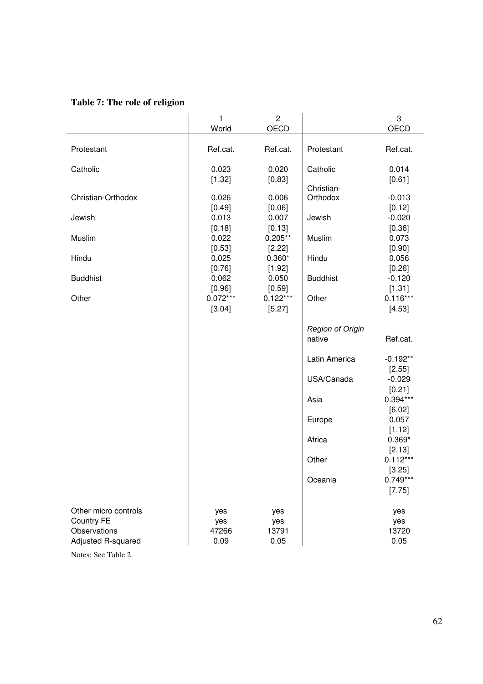### **Table 7: The role of religion**

|                      | 1               | $\overline{c}$  |                         | 3                  |
|----------------------|-----------------|-----------------|-------------------------|--------------------|
|                      | World           | OECD            |                         | OECD               |
|                      |                 |                 |                         |                    |
| Protestant           | Ref.cat.        | Ref.cat.        | Protestant              | Ref.cat.           |
|                      |                 |                 |                         |                    |
| Catholic             | 0.023           | 0.020           | Catholic                | 0.014              |
|                      | [1.32]          | [0.83]          |                         | [0.61]             |
|                      |                 |                 | Christian-              |                    |
| Christian-Orthodox   | 0.026           | 0.006           | Orthodox                | $-0.013$           |
|                      | [0.49]          | [0.06]          |                         | [0.12]             |
| Jewish               | 0.013           | 0.007           | Jewish                  | $-0.020$           |
|                      | [0.18]          | [0.13]          |                         | [0.36]             |
| Muslim               | 0.022           | $0.205**$       | Muslim                  | 0.073              |
|                      | [0.53]          | [2.22]          |                         | [0.90]             |
| Hindu                | 0.025           | $0.360*$        | Hindu                   | 0.056              |
| <b>Buddhist</b>      | [0.76]<br>0.062 | [1.92]<br>0.050 | <b>Buddhist</b>         | [0.26]<br>$-0.120$ |
|                      | [0.96]          | [0.59]          |                         | [1.31]             |
| Other                | $0.072***$      | $0.122***$      | Other                   | $0.116***$         |
|                      | [3.04]          | [5.27]          |                         | [4.53]             |
|                      |                 |                 |                         |                    |
|                      |                 |                 | <b>Region of Origin</b> |                    |
|                      |                 |                 | native                  | Ref.cat.           |
|                      |                 |                 |                         |                    |
|                      |                 |                 | Latin America           | $-0.192**$         |
|                      |                 |                 |                         | [2.55]             |
|                      |                 |                 | USA/Canada              | $-0.029$           |
|                      |                 |                 |                         | [0.21]             |
|                      |                 |                 | Asia                    | $0.394***$         |
|                      |                 |                 |                         | [6.02]             |
|                      |                 |                 | Europe                  | 0.057              |
|                      |                 |                 |                         | [1.12]             |
|                      |                 |                 | Africa                  | $0.369*$           |
|                      |                 |                 |                         | [2.13]             |
|                      |                 |                 | Other                   | $0.112***$         |
|                      |                 |                 |                         | [3.25]             |
|                      |                 |                 | Oceania                 | $0.749***$         |
|                      |                 |                 |                         | [7.75]             |
|                      |                 |                 |                         |                    |
| Other micro controls | yes             | yes             |                         | yes                |
| <b>Country FE</b>    | yes             | yes             |                         | yes                |
| Observations         | 47266           | 13791           |                         | 13720              |
| Adjusted R-squared   | 0.09            | 0.05            |                         | 0.05               |
|                      |                 |                 |                         |                    |

Notes: See Table 2.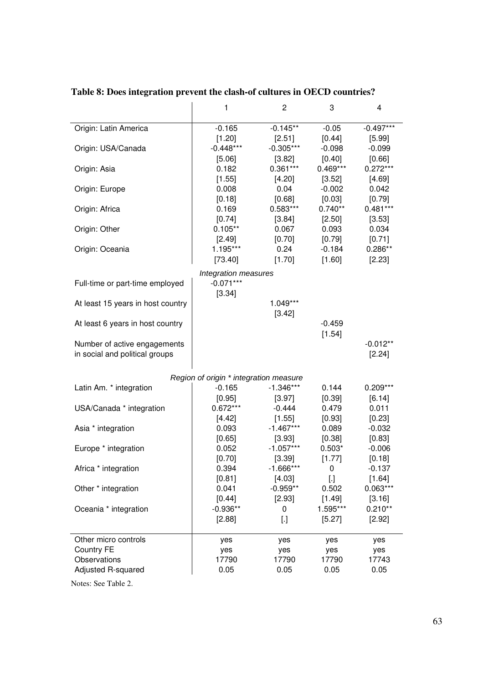|                                                                | 1                                      | $\mathbf{2}$               | 3                                | 4                         |
|----------------------------------------------------------------|----------------------------------------|----------------------------|----------------------------------|---------------------------|
| Origin: Latin America                                          | $-0.165$                               | $-0.145**$                 | $-0.05$                          | $-0.497***$               |
| Origin: USA/Canada                                             | [1.20]<br>$-0.448***$                  | $[2.51]$<br>$-0.305***$    | $[0.44]$<br>$-0.098$             | [5.99]<br>$-0.099$        |
| Origin: Asia                                                   | $[5.06]$<br>0.182                      | [3.82]<br>$0.361***$       | [0.40]<br>$0.469***$<br>$[3.52]$ | [0.66]<br>$0.272***$      |
| Origin: Europe                                                 | [1.55]<br>0.008<br>[0.18]              | $[4.20]$<br>0.04<br>[0.68] | $-0.002$<br>[0.03]               | [4.69]<br>0.042<br>[0.79] |
| Origin: Africa                                                 | 0.169<br>[0.74]                        | $0.583***$<br>$[3.84]$     | $0.740**$<br>$[2.50]$            | $0.481***$<br>[3.53]      |
| Origin: Other                                                  | $0.105**$<br>$[2.49]$                  | 0.067<br>[0.70]            | 0.093<br>$[0.79]$                | 0.034<br>[0.71]           |
| Origin: Oceania                                                | 1.195***<br>[73.40]                    | 0.24<br>[1.70]             | $-0.184$<br>[1.60]               | $0.286**$<br>[2.23]       |
|                                                                | Integration measures                   |                            |                                  |                           |
| Full-time or part-time employed                                | $-0.071***$                            |                            |                                  |                           |
| At least 15 years in host country                              | [3.34]                                 | 1.049***                   |                                  |                           |
|                                                                |                                        | [3.42]                     |                                  |                           |
| At least 6 years in host country                               |                                        |                            | $-0.459$<br>[1.54]               |                           |
| Number of active engagements<br>in social and political groups |                                        |                            |                                  | $-0.012**$<br>$[2.24]$    |
|                                                                | Region of origin * integration measure |                            |                                  |                           |
| Latin Am. * integration                                        | $-0.165$                               | $-1.346***$                | 0.144                            | $0.209***$                |
| USA/Canada * integration                                       | [0.95]<br>$0.672***$                   | $[3.97]$<br>$-0.444$       | $[0.39]$<br>0.479                | [6.14]<br>0.011           |
|                                                                | $[4.42]$                               | [1.55]                     | [0.93]                           | [0.23]                    |
| Asia * integration                                             | 0.093<br>[0.65]                        | $-1.467***$<br>$[3.93]$    | 0.089<br>[0.38]                  | $-0.032$<br>[0.83]        |
| Europe * integration                                           | 0.052                                  | $-1.057***$                | $0.503*$                         | $-0.006$                  |
|                                                                | [0.70]<br>0.394                        | [3.39]<br>$-1.666***$      | [1.77]                           | [0.18]                    |
| Africa * integration                                           | [0.81]                                 | [4.03]                     | 0<br>[.]                         | $-0.137$<br>[1.64]        |
| Other * integration                                            | 0.041                                  | $-0.959**$                 | 0.502                            | $0.063***$                |
| Oceania * integration                                          | [0.44]<br>$-0.936**$                   | [2.93]<br>0                | [1.49]<br>1.595***               | [3.16]<br>$0.210**$       |
|                                                                | [2.88]                                 | $[.]$                      | [5.27]                           | [2.92]                    |
| Other micro controls                                           | yes                                    | yes                        | yes                              | yes                       |
| Country FE<br>Observations                                     | yes                                    | yes                        | yes                              | yes                       |
| Adjusted R-squared                                             | 17790<br>0.05                          | 17790<br>0.05              | 17790<br>0.05                    | 17743<br>0.05             |
|                                                                |                                        |                            |                                  |                           |

### **Table 8: Does integration prevent the clash-of cultures in OECD countries?**

Notes: See Table 2.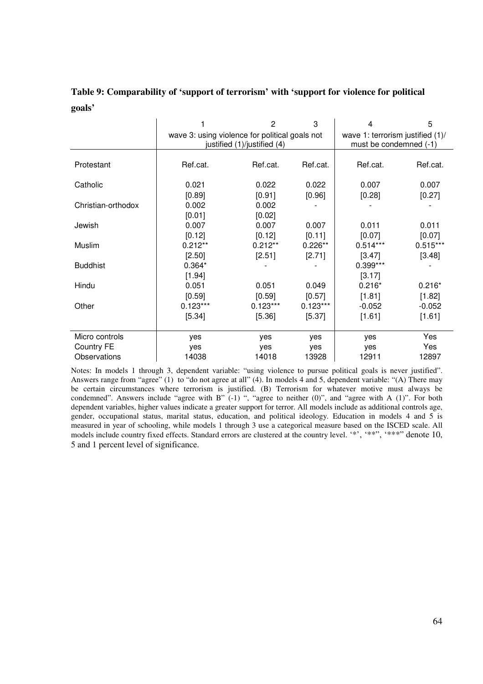### **Table 9: Comparability of 'support of terrorism' with 'support for violence for political goals'**

|                    |                                                | $\overline{2}$              | 3          | 4                                                          | 5          |  |
|--------------------|------------------------------------------------|-----------------------------|------------|------------------------------------------------------------|------------|--|
|                    | wave 3: using violence for political goals not | justified (1)/justified (4) |            | wave 1: terrorism justified (1)/<br>must be condemned (-1) |            |  |
|                    |                                                |                             |            |                                                            |            |  |
| Protestant         | Ref.cat.                                       | Ref.cat.                    | Ref.cat.   | Ref.cat.                                                   | Ref.cat.   |  |
|                    |                                                |                             |            |                                                            |            |  |
| Catholic           | 0.021                                          | 0.022                       | 0.022      | 0.007                                                      | 0.007      |  |
|                    | [0.89]                                         | [0.91]                      | [0.96]     | [0.28]                                                     | [0.27]     |  |
| Christian-orthodox | 0.002                                          | 0.002                       |            |                                                            |            |  |
|                    | [0.01]                                         | [0.02]                      |            |                                                            |            |  |
| Jewish             | 0.007                                          | 0.007                       | 0.007      | 0.011                                                      | 0.011      |  |
|                    | [0.12]                                         | [0.12]                      | [0.11]     | [0.07]                                                     | [0.07]     |  |
| Muslim             | $0.212**$                                      | $0.212**$                   | $0.226**$  | $0.514***$                                                 | $0.515***$ |  |
|                    | [2.50]                                         | [2.51]                      | [2.71]     | [3.47]                                                     | $[3.48]$   |  |
| <b>Buddhist</b>    | $0.364*$                                       |                             |            | 0.399***                                                   |            |  |
|                    | [1.94]                                         |                             |            | [3.17]                                                     |            |  |
| Hindu              | 0.051                                          | 0.051                       | 0.049      | $0.216*$                                                   | $0.216*$   |  |
|                    | [0.59]                                         | [0.59]                      | [0.57]     | [1.81]                                                     | [1.82]     |  |
| Other              | $0.123***$                                     | $0.123***$                  | $0.123***$ | $-0.052$                                                   | $-0.052$   |  |
|                    | [5.34]                                         | [5.36]                      | [5.37]     | [1.61]                                                     | [1.61]     |  |
|                    |                                                |                             |            |                                                            |            |  |
| Micro controls     | yes                                            | yes                         | yes        | yes                                                        | Yes        |  |
| Country FE         | yes                                            | yes                         | yes        | yes                                                        | Yes        |  |
| Observations       | 14038                                          | 14018                       | 13928      | 12911                                                      | 12897      |  |

Notes: In models 1 through 3, dependent variable: "using violence to pursue political goals is never justified". Answers range from "agree" (1) to "do not agree at all" (4). In models 4 and 5, dependent variable: "(A) There may be certain circumstances where terrorism is justified. (B) Terrorism for whatever motive must always be condemned". Answers include "agree with B" (-1) ", "agree to neither (0)", and "agree with A (1)". For both dependent variables, higher values indicate a greater support for terror. All models include as additional controls age, gender, occupational status, marital status, education, and political ideology. Education in models 4 and 5 is measured in year of schooling, while models 1 through 3 use a categorical measure based on the ISCED scale. All models include country fixed effects. Standard errors are clustered at the country level. '\*', '\*\*'', '\*\*\*'' denote 10, 5 and 1 percent level of significance.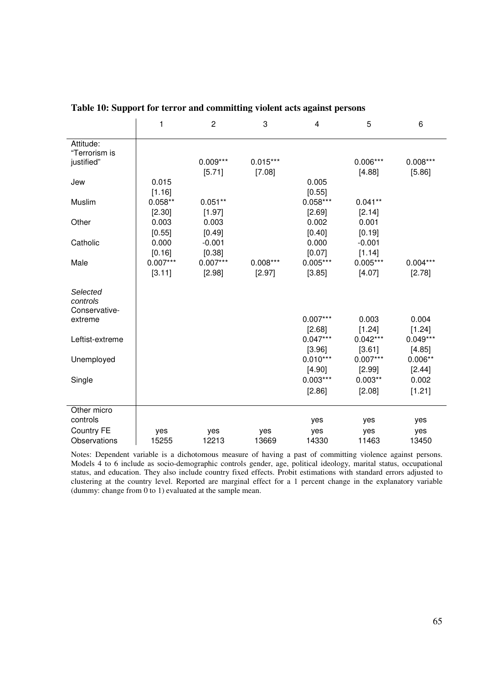|                   | 1          | $\overline{2}$ | 3          | $\overline{\mathbf{4}}$ | 5          | 6          |
|-------------------|------------|----------------|------------|-------------------------|------------|------------|
| Attitude:         |            |                |            |                         |            |            |
| "Terrorism is     |            |                |            |                         |            |            |
| justified"        |            | $0.009***$     | $0.015***$ |                         | $0.006***$ | $0.008***$ |
|                   |            | [5.71]         | [7.08]     |                         | [4.88]     | [5.86]     |
| Jew               | 0.015      |                |            | 0.005                   |            |            |
|                   | [1.16]     |                |            | [0.55]                  |            |            |
| Muslim            | $0.058**$  | $0.051**$      |            | $0.058***$              | $0.041**$  |            |
|                   | [2.30]     | [1.97]         |            | [2.69]                  | [2.14]     |            |
| Other             | 0.003      | 0.003          |            | 0.002                   | 0.001      |            |
|                   | [0.55]     | [0.49]         |            | [0.40]                  | [0.19]     |            |
| Catholic          | 0.000      | $-0.001$       |            | 0.000                   | $-0.001$   |            |
|                   | [0.16]     | [0.38]         |            | [0.07]                  | [1.14]     |            |
| Male              | $0.007***$ | $0.007***$     | $0.008***$ | $0.005***$              | $0.005***$ | $0.004***$ |
|                   | [3.11]     | [2.98]         | [2.97]     | [3.85]                  | [4.07]     | [2.78]     |
| Selected          |            |                |            |                         |            |            |
| controls          |            |                |            |                         |            |            |
| Conservative-     |            |                |            |                         |            |            |
| extreme           |            |                |            | $0.007***$              | 0.003      | 0.004      |
|                   |            |                |            | [2.68]                  | [1.24]     | [1.24]     |
| Leftist-extreme   |            |                |            | $0.047***$              | $0.042***$ | $0.049***$ |
|                   |            |                |            | [3.96]                  | [3.61]     | [4.85]     |
| Unemployed        |            |                |            | $0.010***$              | $0.007***$ | $0.006**$  |
|                   |            |                |            | [4.90]                  | [2.99]     | [2.44]     |
| Single            |            |                |            | $0.003***$              | $0.003**$  | 0.002      |
|                   |            |                |            | [2.86]                  | [2.08]     | [1.21]     |
| Other micro       |            |                |            |                         |            |            |
| controls          |            |                |            | yes                     | yes        | yes        |
| <b>Country FE</b> | yes        | yes            | yes        | yes                     | yes        | yes        |
| Observations      | 15255      | 12213          | 13669      | 14330                   | 11463      | 13450      |

**Table 10: Support for terror and committing violent acts against persons** 

Notes: Dependent variable is a dichotomous measure of having a past of committing violence against persons. Models 4 to 6 include as socio-demographic controls gender, age, political ideology, marital status, occupational status, and education. They also include country fixed effects. Probit estimations with standard errors adjusted to clustering at the country level. Reported are marginal effect for a 1 percent change in the explanatory variable (dummy: change from 0 to 1) evaluated at the sample mean.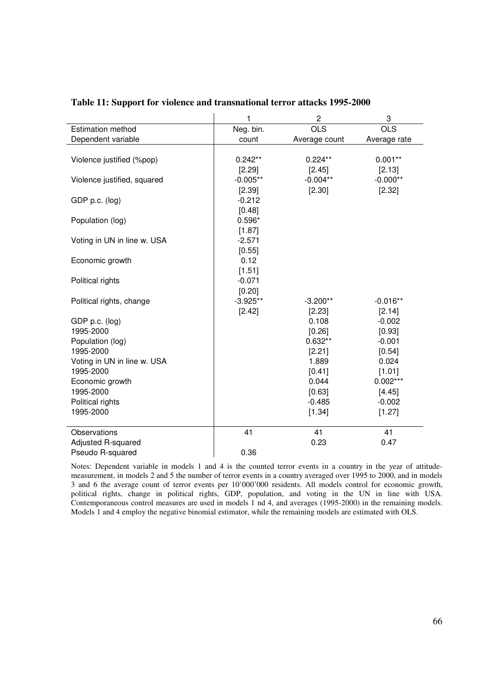|                             | 1          | $\overline{c}$ | 3            |
|-----------------------------|------------|----------------|--------------|
| <b>Estimation method</b>    | Neg. bin.  | <b>OLS</b>     | <b>OLS</b>   |
| Dependent variable          | count      | Average count  | Average rate |
|                             |            |                |              |
| Violence justified (%pop)   | $0.242**$  | $0.224**$      | $0.001**$    |
|                             | [2.29]     | [2.45]         | [2.13]       |
| Violence justified, squared | $-0.005**$ | $-0.004**$     | $-0.000**$   |
|                             | [2.39]     | [2.30]         | [2.32]       |
| GDP p.c. (log)              | $-0.212$   |                |              |
|                             | [0.48]     |                |              |
| Population (log)            | $0.596*$   |                |              |
|                             | [1.87]     |                |              |
| Voting in UN in line w. USA | $-2.571$   |                |              |
|                             | [0.55]     |                |              |
| Economic growth             | 0.12       |                |              |
|                             | [1.51]     |                |              |
| Political rights            | $-0.071$   |                |              |
|                             | [0.20]     |                |              |
| Political rights, change    | $-3.925**$ | $-3.200**$     | $-0.016**$   |
|                             | [2.42]     | [2.23]         | [2.14]       |
| GDP p.c. (log)              |            | 0.108          | $-0.002$     |
| 1995-2000                   |            | [0.26]         | [0.93]       |
| Population (log)            |            | $0.632**$      | $-0.001$     |
| 1995-2000                   |            | [2.21]         | [0.54]       |
| Voting in UN in line w. USA |            | 1.889          | 0.024        |
| 1995-2000                   |            | [0.41]         | [1.01]       |
| Economic growth             |            | 0.044          | $0.002***$   |
| 1995-2000                   |            | [0.63]         | [4.45]       |
| Political rights            |            | $-0.485$       | $-0.002$     |
| 1995-2000                   |            | [1.34]         | [1.27]       |
|                             |            |                |              |
| Observations                | 41         | 41             | 41           |
| Adjusted R-squared          |            | 0.23           | 0.47         |
| Pseudo R-squared            | 0.36       |                |              |

#### **Table 11: Support for violence and transnational terror attacks 1995-2000**

Notes: Dependent variable in models 1 and 4 is the counted terror events in a country in the year of attitudemeasurement, in models 2 and 5 the number of terror events in a country averaged over 1995 to 2000, and in models 3 and 6 the average count of terror events per 10'000'000 residents. All models control for economic growth, political rights, change in political rights, GDP, population, and voting in the UN in line with USA. Contemporaneous control measures are used in models 1 nd 4, and averages (1995-2000) in the remaining models. Models 1 and 4 employ the negative binomial estimator, while the remaining models are estimated with OLS.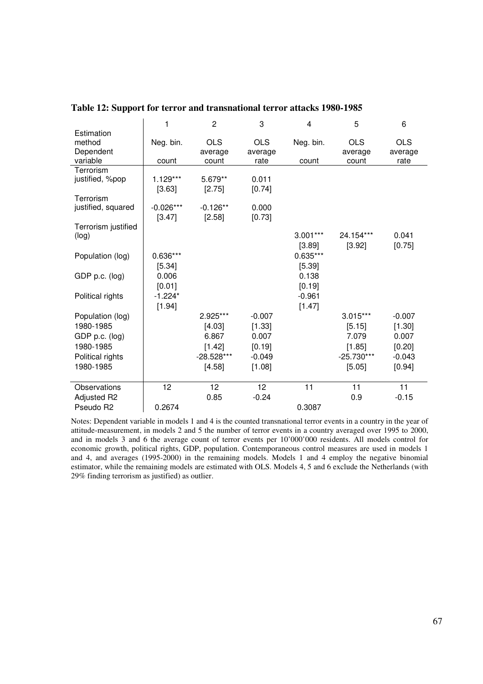|                     | 1           | $\overline{c}$ | 3          | $\overline{4}$ | 5            | 6          |
|---------------------|-------------|----------------|------------|----------------|--------------|------------|
| Estimation          |             |                |            |                |              |            |
| method              | Neg. bin.   | <b>OLS</b>     | <b>OLS</b> | Neg. bin.      | <b>OLS</b>   | <b>OLS</b> |
| Dependent           |             | average        | average    |                | average      | average    |
| variable            | count       | count          | rate       | count          | count        | rate       |
| Terrorism           |             |                |            |                |              |            |
| justified, %pop     | 1.129***    | 5.679**        | 0.011      |                |              |            |
|                     | [3.63]      | [2.75]         | [0.74]     |                |              |            |
| Terrorism           |             |                |            |                |              |            |
| justified, squared  | $-0.026***$ | $-0.126**$     | 0.000      |                |              |            |
|                     | [3.47]      | [2.58]         | [0.73]     |                |              |            |
| Terrorism justified |             |                |            |                |              |            |
| (log)               |             |                |            | $3.001***$     | 24.154***    | 0.041      |
|                     |             |                |            | [3.89]         | [3.92]       | [0.75]     |
| Population (log)    | $0.636***$  |                |            | $0.635***$     |              |            |
|                     | [5.34]      |                |            | [5.39]         |              |            |
| GDP p.c. (log)      | 0.006       |                |            | 0.138          |              |            |
|                     | [0.01]      |                |            | [0.19]         |              |            |
| Political rights    | $-1.224*$   |                |            | $-0.961$       |              |            |
|                     | [1.94]      |                |            | [1.47]         |              |            |
|                     |             | 2.925***       | $-0.007$   |                | $3.015***$   | $-0.007$   |
| Population (log)    |             |                |            |                |              |            |
| 1980-1985           |             | [4.03]         | [1.33]     |                | [5.15]       | [1.30]     |
| GDP p.c. (log)      |             | 6.867          | 0.007      |                | 7.079        | 0.007      |
| 1980-1985           |             | $[1.42]$       | [0.19]     |                | [1.85]       | [0.20]     |
| Political rights    |             | -28.528***     | $-0.049$   |                | $-25.730***$ | $-0.043$   |
| 1980-1985           |             | [4.58]         | [1.08]     |                | [5.05]       | [0.94]     |
|                     |             |                |            |                |              |            |
| Observations        | 12          | 12             | 12         | 11             | 11           | 11         |
| Adjusted R2         |             | 0.85           | $-0.24$    |                | 0.9          | $-0.15$    |
| Pseudo R2           | 0.2674      |                |            | 0.3087         |              |            |

#### **Table 12: Support for terror and transnational terror attacks 1980-1985**

Notes: Dependent variable in models 1 and 4 is the counted transnational terror events in a country in the year of attitude-measurement, in models 2 and 5 the number of terror events in a country averaged over 1995 to 2000, and in models 3 and 6 the average count of terror events per 10'000'000 residents. All models control for economic growth, political rights, GDP, population. Contemporaneous control measures are used in models 1 and 4, and averages (1995-2000) in the remaining models. Models 1 and 4 employ the negative binomial estimator, while the remaining models are estimated with OLS. Models 4, 5 and 6 exclude the Netherlands (with 29% finding terrorism as justified) as outlier.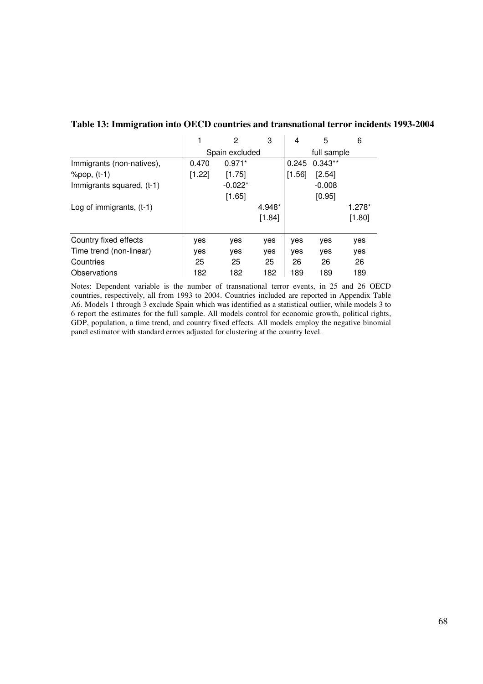|                            |                | 2         | 3      | 4           | 5         | 6      |
|----------------------------|----------------|-----------|--------|-------------|-----------|--------|
|                            | Spain excluded |           |        | full sample |           |        |
| Immigrants (non-natives),  | 0.470          | $0.971*$  |        | 0.245       | $0.343**$ |        |
| $\%$ pop, $(t-1)$          | [1.22]         | [1.75]    |        | [1.56]      | [2.54]    |        |
| Immigrants squared, (t-1)  |                | $-0.022*$ |        |             | $-0.008$  |        |
|                            |                | $[1.65]$  |        |             | [0.95]    |        |
| Log of immigrants, $(t-1)$ |                |           | 4.948* |             |           | 1.278* |
|                            |                |           | [1.84] |             |           | [1.80] |
| Country fixed effects      | yes            | yes       | yes    | yes         | yes       | yes    |
| Time trend (non-linear)    | yes            | yes       | yes    | yes         | yes       | yes    |
| Countries                  | 25             | 25        | 25     | 26          | 26        | 26     |
| Observations               | 182            | 182       | 182    | 189         | 189       | 189    |

#### **Table 13: Immigration into OECD countries and transnational terror incidents 1993-2004**

Notes: Dependent variable is the number of transnational terror events, in 25 and 26 OECD countries, respectively, all from 1993 to 2004. Countries included are reported in Appendix Table A6. Models 1 through 3 exclude Spain which was identified as a statistical outlier, while models 3 to 6 report the estimates for the full sample. All models control for economic growth, political rights, GDP, population, a time trend, and country fixed effects. All models employ the negative binomial panel estimator with standard errors adjusted for clustering at the country level.